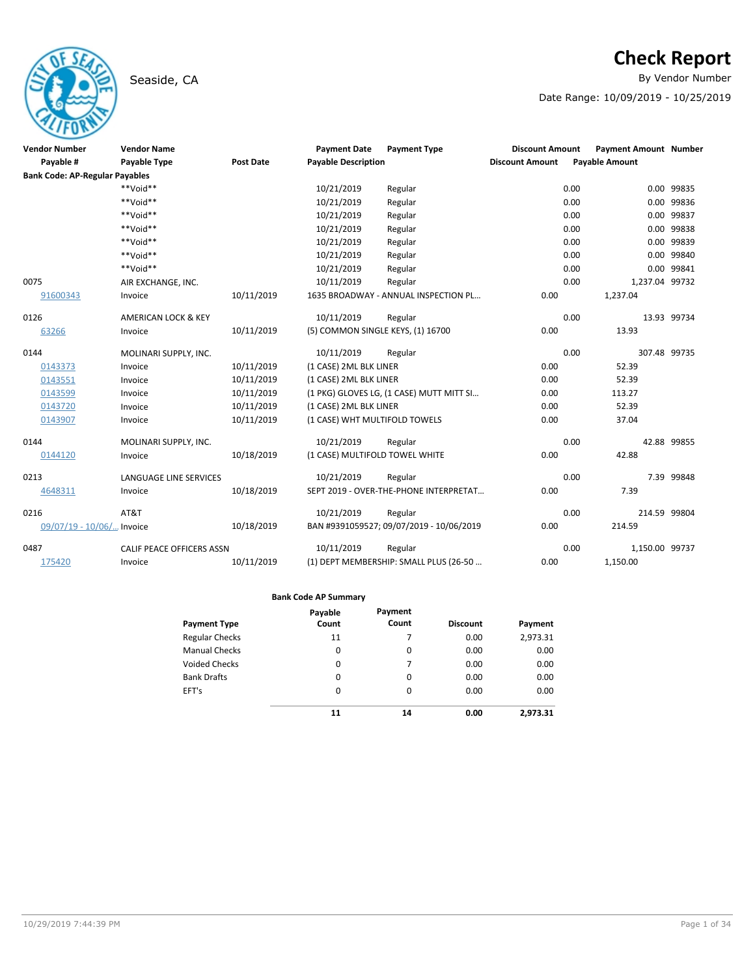## Seaside, CA **By Vendor Number**

# **Check Report**

Date Range: 10/09/2019 - 10/25/2019

| <b>Vendor Number</b>                  | <b>Vendor Name</b>            |                  | <b>Payment Date</b>               | <b>Payment Type</b>                      | <b>Discount Amount</b> | <b>Payment Amount Number</b> |             |
|---------------------------------------|-------------------------------|------------------|-----------------------------------|------------------------------------------|------------------------|------------------------------|-------------|
| Payable #                             | Payable Type                  | <b>Post Date</b> | <b>Payable Description</b>        |                                          | <b>Discount Amount</b> | <b>Payable Amount</b>        |             |
| <b>Bank Code: AP-Regular Payables</b> |                               |                  |                                   |                                          |                        |                              |             |
|                                       | $**$ Noid**                   |                  | 10/21/2019                        | Regular                                  |                        | 0.00                         | 0.00 99835  |
|                                       | **Void**                      |                  | 10/21/2019                        | Regular                                  |                        | 0.00                         | 0.00 99836  |
|                                       | $**$ Noid**                   |                  | 10/21/2019                        | Regular                                  |                        | 0.00                         | 0.00 99837  |
|                                       | $**$ Noid**                   |                  | 10/21/2019                        | Regular                                  |                        | 0.00                         | 0.00 99838  |
|                                       | $**$ Noid**                   |                  | 10/21/2019                        | Regular                                  |                        | 0.00                         | 0.00 99839  |
|                                       | **Void**                      |                  | 10/21/2019                        | Regular                                  |                        | 0.00                         | 0.00 99840  |
|                                       | **Void**                      |                  | 10/21/2019                        | Regular                                  |                        | 0.00                         | 0.00 99841  |
| 0075                                  | AIR EXCHANGE, INC.            |                  | 10/11/2019                        | Regular                                  |                        | 0.00<br>1,237.04 99732       |             |
| 91600343                              | Invoice                       | 10/11/2019       |                                   | 1635 BROADWAY - ANNUAL INSPECTION PL     | 0.00                   | 1,237.04                     |             |
| 0126                                  | AMERICAN LOCK & KEY           |                  | 10/11/2019                        | Regular                                  |                        | 0.00                         | 13.93 99734 |
| 63266                                 | Invoice                       | 10/11/2019       | (5) COMMON SINGLE KEYS, (1) 16700 |                                          | 0.00                   | 13.93                        |             |
| 0144                                  | MOLINARI SUPPLY, INC.         |                  | 10/11/2019                        | Regular                                  |                        | 0.00<br>307.48 99735         |             |
| 0143373                               | Invoice                       | 10/11/2019       | (1 CASE) 2ML BLK LINER            |                                          | 0.00                   | 52.39                        |             |
| 0143551                               | Invoice                       | 10/11/2019       | (1 CASE) 2ML BLK LINER            |                                          | 0.00                   | 52.39                        |             |
| 0143599                               | Invoice                       | 10/11/2019       |                                   | (1 PKG) GLOVES LG, (1 CASE) MUTT MITT SI | 0.00                   | 113.27                       |             |
| 0143720                               | Invoice                       | 10/11/2019       | (1 CASE) 2ML BLK LINER            |                                          | 0.00                   | 52.39                        |             |
| 0143907                               | Invoice                       | 10/11/2019       | (1 CASE) WHT MULTIFOLD TOWELS     |                                          | 0.00                   | 37.04                        |             |
| 0144                                  | MOLINARI SUPPLY, INC.         |                  | 10/21/2019                        | Regular                                  |                        | 0.00                         | 42.88 99855 |
| 0144120                               | Invoice                       | 10/18/2019       | (1 CASE) MULTIFOLD TOWEL WHITE    |                                          | 0.00                   | 42.88                        |             |
| 0213                                  | <b>LANGUAGE LINE SERVICES</b> |                  | 10/21/2019                        | Regular                                  |                        | 0.00                         | 7.39 99848  |
| 4648311                               | Invoice                       | 10/18/2019       |                                   | SEPT 2019 - OVER-THE-PHONE INTERPRETAT   | 0.00                   | 7.39                         |             |
| 0216                                  | AT&T                          |                  | 10/21/2019                        | Regular                                  |                        | 0.00<br>214.59 99804         |             |
| 09/07/19 - 10/06/ Invoice             |                               | 10/18/2019       |                                   | BAN #9391059527; 09/07/2019 - 10/06/2019 | 0.00                   | 214.59                       |             |
| 0487                                  | CALIF PEACE OFFICERS ASSN     |                  | 10/11/2019                        | Regular                                  |                        | 0.00<br>1,150.00 99737       |             |
| 175420                                | Invoice                       | 10/11/2019       |                                   | (1) DEPT MEMBERSHIP: SMALL PLUS (26-50   | 0.00                   | 1,150.00                     |             |

|                       | Payable  | Payment |                 |          |
|-----------------------|----------|---------|-----------------|----------|
| <b>Payment Type</b>   | Count    | Count   | <b>Discount</b> | Payment  |
| <b>Regular Checks</b> | 11       | 7       | 0.00            | 2,973.31 |
| <b>Manual Checks</b>  | 0        | 0       | 0.00            | 0.00     |
| <b>Voided Checks</b>  | 0        | 7       | 0.00            | 0.00     |
| <b>Bank Drafts</b>    | 0        | 0       | 0.00            | 0.00     |
| EFT's                 | $\Omega$ | 0       | 0.00            | 0.00     |
|                       | 11       | 14      | 0.00            | 2.973.31 |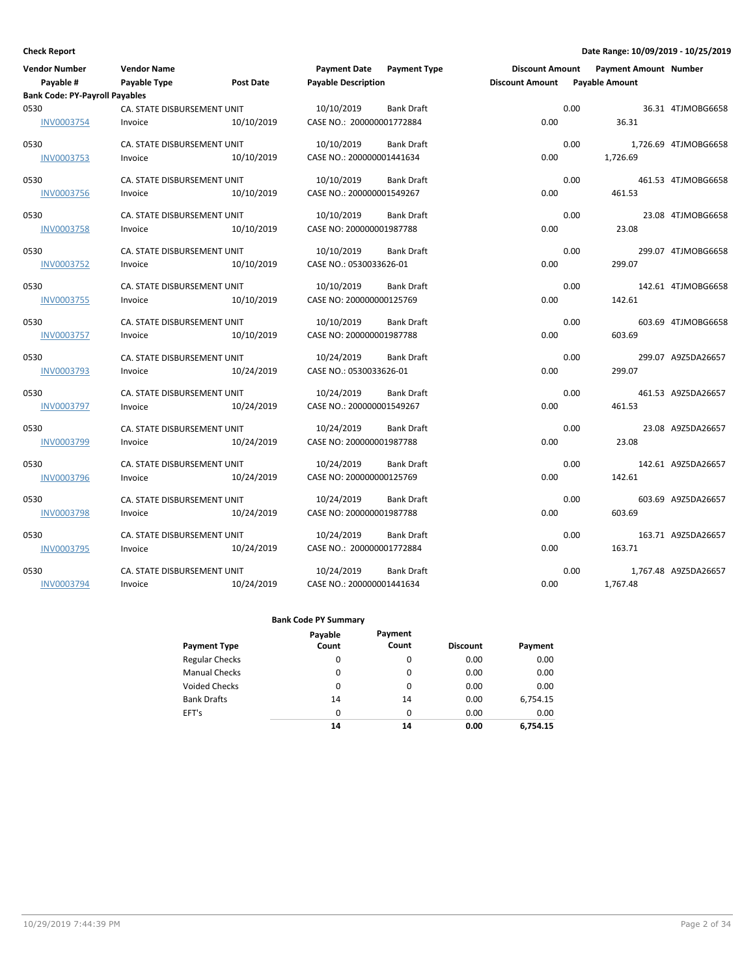| <b>Vendor Number</b>                  | <b>Vendor Name</b>          |                  | <b>Payment Date</b>        | <b>Payment Type</b> | <b>Discount Amount</b> |      | <b>Payment Amount Number</b> |                      |
|---------------------------------------|-----------------------------|------------------|----------------------------|---------------------|------------------------|------|------------------------------|----------------------|
| Payable #                             | Payable Type                | <b>Post Date</b> | <b>Payable Description</b> |                     | <b>Discount Amount</b> |      | Payable Amount               |                      |
| <b>Bank Code: PY-Payroll Payables</b> |                             |                  |                            |                     |                        |      |                              |                      |
| 0530                                  | CA. STATE DISBURSEMENT UNIT |                  | 10/10/2019                 | <b>Bank Draft</b>   |                        | 0.00 |                              | 36.31 4TJMOBG6658    |
| <b>INV0003754</b>                     | Invoice                     | 10/10/2019       | CASE NO.: 200000001772884  |                     | 0.00                   |      | 36.31                        |                      |
| 0530                                  | CA. STATE DISBURSEMENT UNIT |                  | 10/10/2019                 | <b>Bank Draft</b>   |                        | 0.00 |                              | 1,726.69 4TJMOBG6658 |
| <b>INV0003753</b>                     | Invoice                     | 10/10/2019       | CASE NO.: 200000001441634  |                     | 0.00                   |      | 1,726.69                     |                      |
| 0530                                  | CA. STATE DISBURSEMENT UNIT |                  | 10/10/2019                 | <b>Bank Draft</b>   |                        | 0.00 |                              | 461.53 4TJMOBG6658   |
| <b>INV0003756</b>                     | Invoice                     | 10/10/2019       | CASE NO.: 200000001549267  |                     | 0.00                   |      | 461.53                       |                      |
| 0530                                  | CA. STATE DISBURSEMENT UNIT |                  | 10/10/2019                 | <b>Bank Draft</b>   |                        | 0.00 |                              | 23.08 4TJMOBG6658    |
| INV0003758                            | Invoice                     | 10/10/2019       | CASE NO: 200000001987788   |                     | 0.00                   |      | 23.08                        |                      |
| 0530                                  | CA. STATE DISBURSEMENT UNIT |                  | 10/10/2019                 | <b>Bank Draft</b>   |                        | 0.00 |                              | 299.07 4TJMOBG6658   |
| <b>INV0003752</b>                     | Invoice                     | 10/10/2019       | CASE NO.: 0530033626-01    |                     | 0.00                   |      | 299.07                       |                      |
| 0530                                  | CA. STATE DISBURSEMENT UNIT |                  | 10/10/2019                 | <b>Bank Draft</b>   |                        | 0.00 |                              | 142.61 4TJMOBG6658   |
| <b>INV0003755</b>                     | Invoice                     | 10/10/2019       | CASE NO: 200000000125769   |                     | 0.00                   |      | 142.61                       |                      |
| 0530                                  | CA. STATE DISBURSEMENT UNIT |                  | 10/10/2019                 | <b>Bank Draft</b>   |                        | 0.00 |                              | 603.69 4TJMOBG6658   |
| <b>INV0003757</b>                     | Invoice                     | 10/10/2019       | CASE NO: 200000001987788   |                     | 0.00                   |      | 603.69                       |                      |
| 0530                                  | CA. STATE DISBURSEMENT UNIT |                  | 10/24/2019                 | <b>Bank Draft</b>   |                        | 0.00 |                              | 299.07 A9Z5DA26657   |
| <b>INV0003793</b>                     | Invoice                     | 10/24/2019       | CASE NO.: 0530033626-01    |                     | 0.00                   |      | 299.07                       |                      |
| 0530                                  | CA. STATE DISBURSEMENT UNIT |                  | 10/24/2019                 | <b>Bank Draft</b>   |                        | 0.00 |                              | 461.53 A9Z5DA26657   |
| <b>INV0003797</b>                     | Invoice                     | 10/24/2019       | CASE NO.: 200000001549267  |                     | 0.00                   |      | 461.53                       |                      |
| 0530                                  | CA. STATE DISBURSEMENT UNIT |                  | 10/24/2019                 | <b>Bank Draft</b>   |                        | 0.00 |                              | 23.08 A9Z5DA26657    |
| <b>INV0003799</b>                     | Invoice                     | 10/24/2019       | CASE NO: 200000001987788   |                     | 0.00                   |      | 23.08                        |                      |
| 0530                                  | CA. STATE DISBURSEMENT UNIT |                  | 10/24/2019                 | <b>Bank Draft</b>   |                        | 0.00 |                              | 142.61 A9Z5DA26657   |
| <b>INV0003796</b>                     | Invoice                     | 10/24/2019       | CASE NO: 200000000125769   |                     | 0.00                   |      | 142.61                       |                      |
| 0530                                  | CA. STATE DISBURSEMENT UNIT |                  | 10/24/2019                 | <b>Bank Draft</b>   |                        | 0.00 |                              | 603.69 A9Z5DA26657   |
| <b>INV0003798</b>                     | Invoice                     | 10/24/2019       | CASE NO: 200000001987788   |                     | 0.00                   |      | 603.69                       |                      |
| 0530                                  | CA. STATE DISBURSEMENT UNIT |                  | 10/24/2019                 | <b>Bank Draft</b>   |                        | 0.00 |                              | 163.71 A9Z5DA26657   |
| <b>INV0003795</b>                     | Invoice                     | 10/24/2019       | CASE NO.: 200000001772884  |                     | 0.00                   |      | 163.71                       |                      |
| 0530                                  | CA. STATE DISBURSEMENT UNIT |                  | 10/24/2019                 | <b>Bank Draft</b>   |                        | 0.00 |                              | 1,767.48 A9Z5DA26657 |
| <b>INV0003794</b>                     | Invoice                     | 10/24/2019       | CASE NO.: 200000001441634  |                     | 0.00                   |      | 1,767.48                     |                      |

|                       | Payable<br>Count | Payment<br>Count |                 |          |
|-----------------------|------------------|------------------|-----------------|----------|
| <b>Payment Type</b>   |                  |                  | <b>Discount</b> | Payment  |
| <b>Regular Checks</b> | 0                | 0                | 0.00            | 0.00     |
| <b>Manual Checks</b>  | 0                | 0                | 0.00            | 0.00     |
| <b>Voided Checks</b>  | 0                | 0                | 0.00            | 0.00     |
| <b>Bank Drafts</b>    | 14               | 14               | 0.00            | 6,754.15 |
| EFT's                 | $\Omega$         | $\Omega$         | 0.00            | 0.00     |
|                       | 14               | 14               | 0.00            | 6.754.15 |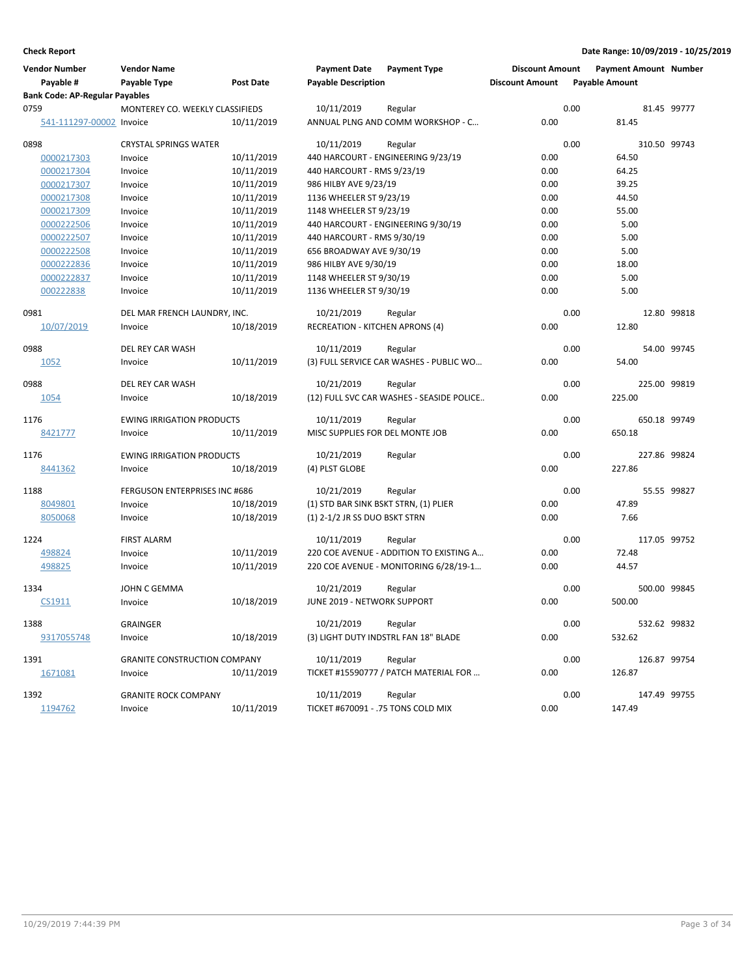| <b>Vendor Number</b>                  | <b>Vendor Name</b>                   |                  | <b>Payment Date</b>                    | <b>Payment Type</b>                       | <b>Discount Amount</b> |      | <b>Payment Amount Number</b> |             |
|---------------------------------------|--------------------------------------|------------------|----------------------------------------|-------------------------------------------|------------------------|------|------------------------------|-------------|
| Payable #                             | Payable Type                         | <b>Post Date</b> | <b>Payable Description</b>             |                                           | <b>Discount Amount</b> |      | <b>Payable Amount</b>        |             |
| <b>Bank Code: AP-Regular Payables</b> |                                      |                  |                                        |                                           |                        |      |                              |             |
| 0759                                  | MONTEREY CO. WEEKLY CLASSIFIEDS      |                  | 10/11/2019                             | Regular                                   |                        | 0.00 |                              | 81.45 99777 |
| 541-111297-00002 Invoice              |                                      | 10/11/2019       |                                        | ANNUAL PLNG AND COMM WORKSHOP - C         | 0.00                   |      | 81.45                        |             |
| 0898                                  | <b>CRYSTAL SPRINGS WATER</b>         |                  | 10/11/2019                             | Regular                                   |                        | 0.00 | 310.50 99743                 |             |
| 0000217303                            | Invoice                              | 10/11/2019       |                                        | 440 HARCOURT - ENGINEERING 9/23/19        | 0.00                   |      | 64.50                        |             |
| 0000217304                            | Invoice                              | 10/11/2019       | 440 HARCOURT - RMS 9/23/19             |                                           | 0.00                   |      | 64.25                        |             |
| 0000217307                            | Invoice                              | 10/11/2019       | 986 HILBY AVE 9/23/19                  |                                           | 0.00                   |      | 39.25                        |             |
| 0000217308                            | Invoice                              | 10/11/2019       | 1136 WHEELER ST 9/23/19                |                                           | 0.00                   |      | 44.50                        |             |
| 0000217309                            | Invoice                              | 10/11/2019       | 1148 WHEELER ST 9/23/19                |                                           | 0.00                   |      | 55.00                        |             |
| 0000222506                            | Invoice                              | 10/11/2019       |                                        | 440 HARCOURT - ENGINEERING 9/30/19        | 0.00                   |      | 5.00                         |             |
| 0000222507                            | Invoice                              | 10/11/2019       | 440 HARCOURT - RMS 9/30/19             |                                           | 0.00                   |      | 5.00                         |             |
| 0000222508                            | Invoice                              | 10/11/2019       | 656 BROADWAY AVE 9/30/19               |                                           | 0.00                   |      | 5.00                         |             |
| 0000222836                            | Invoice                              | 10/11/2019       | 986 HILBY AVE 9/30/19                  |                                           | 0.00                   |      | 18.00                        |             |
| 0000222837                            | Invoice                              | 10/11/2019       | 1148 WHEELER ST 9/30/19                |                                           | 0.00                   |      | 5.00                         |             |
| 000222838                             | Invoice                              | 10/11/2019       | 1136 WHEELER ST 9/30/19                |                                           | 0.00                   |      | 5.00                         |             |
| 0981                                  | DEL MAR FRENCH LAUNDRY, INC.         |                  | 10/21/2019                             | Regular                                   |                        | 0.00 |                              | 12.80 99818 |
| 10/07/2019                            | Invoice                              | 10/18/2019       | <b>RECREATION - KITCHEN APRONS (4)</b> |                                           | 0.00                   |      | 12.80                        |             |
| 0988                                  | DEL REY CAR WASH                     |                  | 10/11/2019                             | Regular                                   |                        | 0.00 |                              | 54.00 99745 |
| 1052                                  | Invoice                              | 10/11/2019       |                                        | (3) FULL SERVICE CAR WASHES - PUBLIC WO   | 0.00                   |      | 54.00                        |             |
| 0988                                  | DEL REY CAR WASH                     |                  | 10/21/2019                             | Regular                                   |                        | 0.00 | 225.00 99819                 |             |
| 1054                                  | Invoice                              | 10/18/2019       |                                        | (12) FULL SVC CAR WASHES - SEASIDE POLICE | 0.00                   |      | 225.00                       |             |
| 1176                                  | <b>EWING IRRIGATION PRODUCTS</b>     |                  | 10/11/2019                             | Regular                                   |                        | 0.00 | 650.18 99749                 |             |
| 8421777                               | Invoice                              | 10/11/2019       | MISC SUPPLIES FOR DEL MONTE JOB        |                                           | 0.00                   |      | 650.18                       |             |
| 1176                                  | <b>EWING IRRIGATION PRODUCTS</b>     |                  | 10/21/2019                             | Regular                                   |                        | 0.00 | 227.86 99824                 |             |
| 8441362                               | Invoice                              | 10/18/2019       | (4) PLST GLOBE                         |                                           | 0.00                   |      | 227.86                       |             |
| 1188                                  | <b>FERGUSON ENTERPRISES INC #686</b> |                  | 10/21/2019                             | Regular                                   |                        | 0.00 |                              | 55.55 99827 |
| 8049801                               | Invoice                              | 10/18/2019       | (1) STD BAR SINK BSKT STRN, (1) PLIER  |                                           | 0.00                   |      | 47.89                        |             |
| 8050068                               | Invoice                              | 10/18/2019       | (1) 2-1/2 JR SS DUO BSKT STRN          |                                           | 0.00                   |      | 7.66                         |             |
| 1224                                  | <b>FIRST ALARM</b>                   |                  | 10/11/2019                             | Regular                                   |                        | 0.00 | 117.05 99752                 |             |
| 498824                                | Invoice                              | 10/11/2019       |                                        | 220 COE AVENUE - ADDITION TO EXISTING A   | 0.00                   |      | 72.48                        |             |
| 498825                                | Invoice                              | 10/11/2019       |                                        | 220 COE AVENUE - MONITORING 6/28/19-1     | 0.00                   |      | 44.57                        |             |
| 1334                                  | JOHN C GEMMA                         |                  | 10/21/2019                             | Regular                                   |                        | 0.00 | 500.00 99845                 |             |
| CS1911                                | Invoice                              | 10/18/2019       | JUNE 2019 - NETWORK SUPPORT            |                                           | 0.00                   |      | 500.00                       |             |
| 1388                                  | GRAINGER                             |                  | 10/21/2019                             | Regular                                   |                        | 0.00 | 532.62 99832                 |             |
| 9317055748                            | Invoice                              | 10/18/2019       |                                        | (3) LIGHT DUTY INDSTRL FAN 18" BLADE      | 0.00                   |      | 532.62                       |             |
| 1391                                  | <b>GRANITE CONSTRUCTION COMPANY</b>  |                  | 10/11/2019                             | Regular                                   |                        | 0.00 | 126.87 99754                 |             |
| 1671081                               | Invoice                              | 10/11/2019       |                                        | TICKET #15590777 / PATCH MATERIAL FOR     | 0.00                   |      | 126.87                       |             |
| 1392                                  | <b>GRANITE ROCK COMPANY</b>          |                  | 10/11/2019                             | Regular                                   |                        | 0.00 | 147.49 99755                 |             |
| 1194762                               | Invoice                              | 10/11/2019       | TICKET #670091 - .75 TONS COLD MIX     |                                           | 0.00                   |      | 147.49                       |             |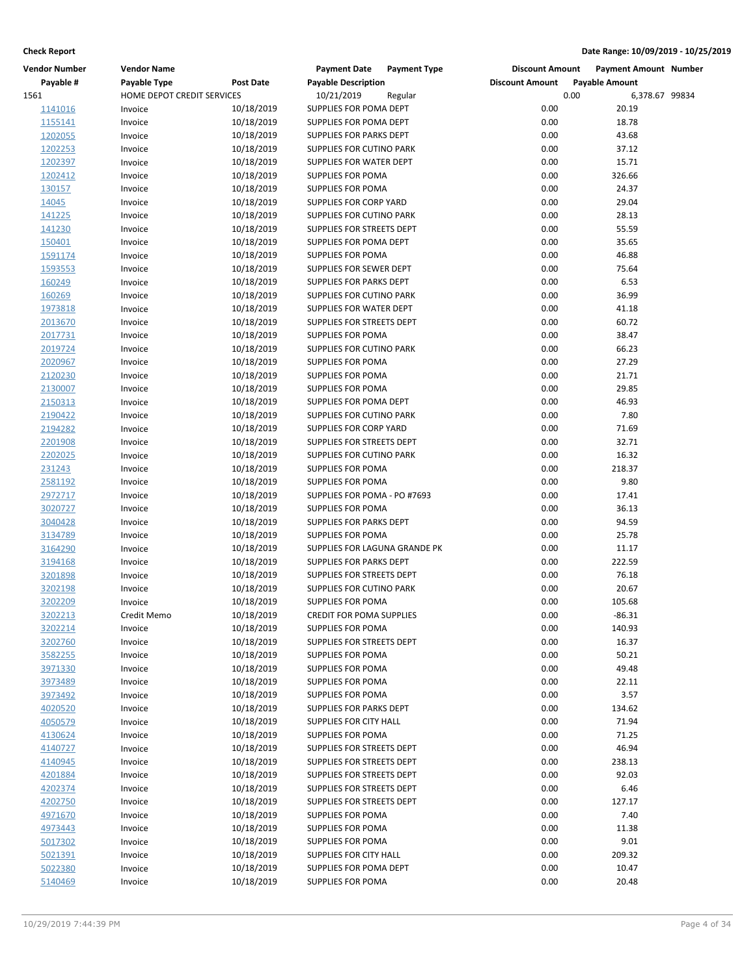| <b>Vendor Number</b> | <b>Vendor Name</b>         |            | <b>Payment Date</b>           | <b>Payment Type</b> | <b>Discount Amount</b> |                       | <b>Payment Amount Number</b> |  |
|----------------------|----------------------------|------------|-------------------------------|---------------------|------------------------|-----------------------|------------------------------|--|
| Payable #            | Payable Type               | Post Date  | <b>Payable Description</b>    |                     | <b>Discount Amount</b> | <b>Payable Amount</b> |                              |  |
| 1561                 | HOME DEPOT CREDIT SERVICES |            | 10/21/2019                    | Regular             |                        | 0.00                  | 6,378.67 99834               |  |
| 1141016              | Invoice                    | 10/18/2019 | SUPPLIES FOR POMA DEPT        |                     | 0.00                   |                       | 20.19                        |  |
| 1155141              | Invoice                    | 10/18/2019 | SUPPLIES FOR POMA DEPT        |                     | 0.00                   |                       | 18.78                        |  |
| 1202055              | Invoice                    | 10/18/2019 | SUPPLIES FOR PARKS DEPT       |                     | 0.00                   |                       | 43.68                        |  |
| 1202253              | Invoice                    | 10/18/2019 | SUPPLIES FOR CUTINO PARK      |                     | 0.00                   |                       | 37.12                        |  |
| 1202397              | Invoice                    | 10/18/2019 | SUPPLIES FOR WATER DEPT       |                     | 0.00                   |                       | 15.71                        |  |
| 1202412              | Invoice                    | 10/18/2019 | SUPPLIES FOR POMA             |                     | 0.00                   |                       | 326.66                       |  |
| 130157               | Invoice                    | 10/18/2019 | SUPPLIES FOR POMA             |                     | 0.00                   |                       | 24.37                        |  |
| 14045                | Invoice                    | 10/18/2019 | SUPPLIES FOR CORP YARD        |                     | 0.00                   |                       | 29.04                        |  |
| 141225               | Invoice                    | 10/18/2019 | SUPPLIES FOR CUTINO PARK      |                     | 0.00                   |                       | 28.13                        |  |
| 141230               | Invoice                    | 10/18/2019 | SUPPLIES FOR STREETS DEPT     |                     | 0.00                   |                       | 55.59                        |  |
| 150401               | Invoice                    | 10/18/2019 | SUPPLIES FOR POMA DEPT        |                     | 0.00                   |                       | 35.65                        |  |
| 1591174              | Invoice                    | 10/18/2019 | SUPPLIES FOR POMA             |                     | 0.00                   |                       | 46.88                        |  |
| 1593553              | Invoice                    | 10/18/2019 | SUPPLIES FOR SEWER DEPT       |                     | 0.00                   |                       | 75.64                        |  |
| 160249               | Invoice                    | 10/18/2019 | SUPPLIES FOR PARKS DEPT       |                     | 0.00                   |                       | 6.53                         |  |
| 160269               | Invoice                    | 10/18/2019 | SUPPLIES FOR CUTINO PARK      |                     | 0.00                   |                       | 36.99                        |  |
| 1973818              | Invoice                    | 10/18/2019 | SUPPLIES FOR WATER DEPT       |                     | 0.00                   |                       | 41.18                        |  |
| 2013670              | Invoice                    | 10/18/2019 | SUPPLIES FOR STREETS DEPT     |                     | 0.00                   |                       | 60.72                        |  |
| 2017731              | Invoice                    | 10/18/2019 | SUPPLIES FOR POMA             |                     | 0.00                   |                       | 38.47                        |  |
| 2019724              | Invoice                    | 10/18/2019 | SUPPLIES FOR CUTINO PARK      |                     | 0.00                   |                       | 66.23                        |  |
| 2020967              | Invoice                    | 10/18/2019 | SUPPLIES FOR POMA             |                     | 0.00                   |                       | 27.29                        |  |
| 2120230              | Invoice                    | 10/18/2019 | SUPPLIES FOR POMA             |                     | 0.00                   |                       | 21.71                        |  |
| 2130007              | Invoice                    | 10/18/2019 | SUPPLIES FOR POMA             |                     | 0.00                   |                       | 29.85                        |  |
| 2150313              | Invoice                    | 10/18/2019 | SUPPLIES FOR POMA DEPT        |                     | 0.00                   |                       | 46.93                        |  |
| 2190422              | Invoice                    | 10/18/2019 | SUPPLIES FOR CUTINO PARK      |                     | 0.00                   |                       | 7.80                         |  |
| 2194282              | Invoice                    | 10/18/2019 | SUPPLIES FOR CORP YARD        |                     | 0.00                   |                       | 71.69                        |  |
| 2201908              | Invoice                    | 10/18/2019 | SUPPLIES FOR STREETS DEPT     |                     | 0.00                   |                       | 32.71                        |  |
| 2202025              | Invoice                    | 10/18/2019 | SUPPLIES FOR CUTINO PARK      |                     | 0.00                   |                       | 16.32                        |  |
| 231243               | Invoice                    | 10/18/2019 | SUPPLIES FOR POMA             |                     | 0.00                   |                       | 218.37                       |  |
| 2581192              | Invoice                    | 10/18/2019 | <b>SUPPLIES FOR POMA</b>      |                     | 0.00                   |                       | 9.80                         |  |
| 2972717              | Invoice                    | 10/18/2019 | SUPPLIES FOR POMA - PO #7693  |                     | 0.00                   |                       | 17.41                        |  |
| 3020727              | Invoice                    | 10/18/2019 | SUPPLIES FOR POMA             |                     | 0.00                   |                       | 36.13                        |  |
| 3040428              | Invoice                    | 10/18/2019 | SUPPLIES FOR PARKS DEPT       |                     | 0.00                   |                       | 94.59                        |  |
| 3134789              | Invoice                    | 10/18/2019 | SUPPLIES FOR POMA             |                     | 0.00                   |                       | 25.78                        |  |
| 3164290              | Invoice                    | 10/18/2019 | SUPPLIES FOR LAGUNA GRANDE PK |                     | 0.00                   |                       | 11.17                        |  |
| 3194168              | Invoice                    | 10/18/2019 | SUPPLIES FOR PARKS DEPT       |                     | 0.00                   |                       | 222.59                       |  |
| 3201898              | Invoice                    | 10/18/2019 | SUPPLIES FOR STREETS DEPT     |                     | 0.00                   |                       | 76.18                        |  |
| 3202198              | Invoice                    | 10/18/2019 | SUPPLIES FOR CUTINO PARK      |                     | 0.00                   |                       | 20.67                        |  |
| 3202209              | Invoice                    | 10/18/2019 | SUPPLIES FOR POMA             |                     | 0.00                   |                       | 105.68                       |  |
| 3202213              | Credit Memo                | 10/18/2019 | CREDIT FOR POMA SUPPLIES      |                     | 0.00                   |                       | $-86.31$                     |  |
| 3202214              | Invoice                    | 10/18/2019 | SUPPLIES FOR POMA             |                     | 0.00                   |                       | 140.93                       |  |
| 3202760              | Invoice                    | 10/18/2019 | SUPPLIES FOR STREETS DEPT     |                     | 0.00                   |                       | 16.37                        |  |
| 3582255              | Invoice                    | 10/18/2019 | SUPPLIES FOR POMA             |                     | 0.00                   |                       | 50.21                        |  |
| 3971330              | Invoice                    | 10/18/2019 | SUPPLIES FOR POMA             |                     | 0.00                   |                       | 49.48                        |  |
| 3973489              | Invoice                    | 10/18/2019 | <b>SUPPLIES FOR POMA</b>      |                     | 0.00                   |                       | 22.11                        |  |
| 3973492              | Invoice                    | 10/18/2019 | SUPPLIES FOR POMA             |                     | 0.00                   |                       | 3.57                         |  |
| 4020520              | Invoice                    | 10/18/2019 | SUPPLIES FOR PARKS DEPT       |                     | 0.00                   |                       | 134.62                       |  |
| 4050579              | Invoice                    | 10/18/2019 | SUPPLIES FOR CITY HALL        |                     | 0.00                   |                       | 71.94                        |  |
| 4130624              | Invoice                    | 10/18/2019 | SUPPLIES FOR POMA             |                     | 0.00                   |                       | 71.25                        |  |
| 4140727              | Invoice                    | 10/18/2019 | SUPPLIES FOR STREETS DEPT     |                     | 0.00                   |                       | 46.94                        |  |
| 4140945              | Invoice                    | 10/18/2019 | SUPPLIES FOR STREETS DEPT     |                     | 0.00                   |                       | 238.13                       |  |
| 4201884              | Invoice                    | 10/18/2019 | SUPPLIES FOR STREETS DEPT     |                     | 0.00                   |                       | 92.03                        |  |
| 4202374              | Invoice                    | 10/18/2019 | SUPPLIES FOR STREETS DEPT     |                     | 0.00                   |                       | 6.46                         |  |
| 4202750              | Invoice                    | 10/18/2019 | SUPPLIES FOR STREETS DEPT     |                     | 0.00                   |                       | 127.17                       |  |
| 4971670              | Invoice                    | 10/18/2019 | <b>SUPPLIES FOR POMA</b>      |                     | 0.00                   |                       | 7.40                         |  |
| 4973443              | Invoice                    | 10/18/2019 | SUPPLIES FOR POMA             |                     | 0.00                   |                       | 11.38                        |  |
| 5017302              | Invoice                    | 10/18/2019 | SUPPLIES FOR POMA             |                     | 0.00                   |                       | 9.01                         |  |
| 5021391              | Invoice                    | 10/18/2019 | SUPPLIES FOR CITY HALL        |                     | 0.00                   |                       | 209.32                       |  |
| 5022380              | Invoice                    | 10/18/2019 | SUPPLIES FOR POMA DEPT        |                     | 0.00                   |                       | 10.47                        |  |
| 5140469              | Invoice                    | 10/18/2019 | SUPPLIES FOR POMA             |                     | 0.00                   |                       | 20.48                        |  |
|                      |                            |            |                               |                     |                        |                       |                              |  |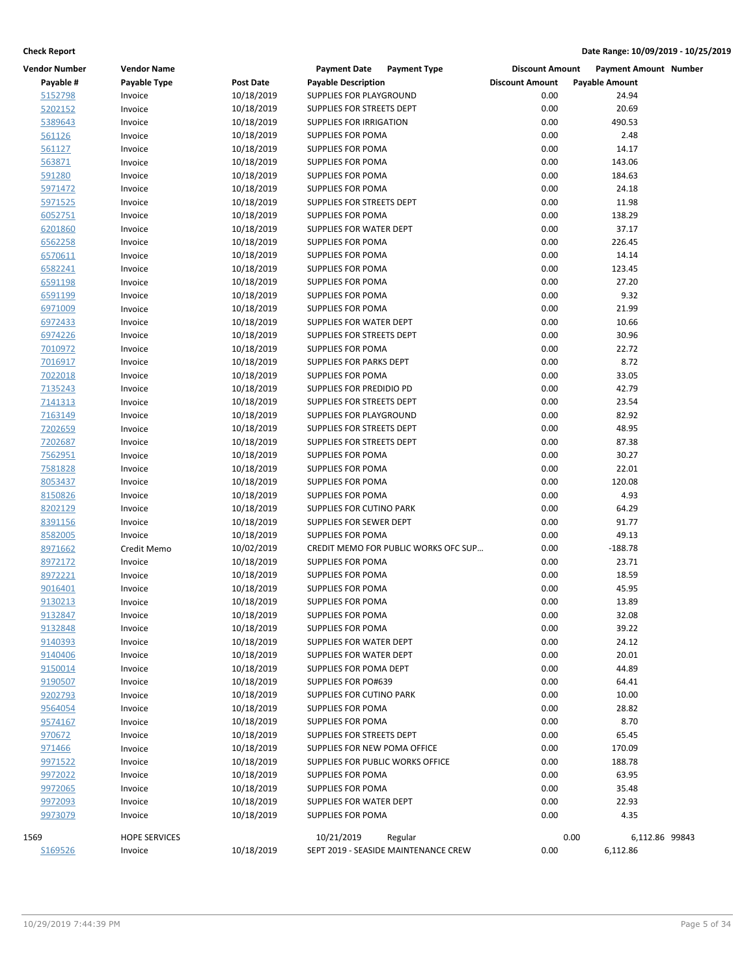| <b>Vendor Number</b> | <b>Vendor Name</b>   |                          | <b>Payment Date</b><br><b>Payment Type</b>        | <b>Discount Amount</b> | <b>Payment Amount Number</b> |
|----------------------|----------------------|--------------------------|---------------------------------------------------|------------------------|------------------------------|
| Payable #            | Payable Type         | <b>Post Date</b>         | <b>Payable Description</b>                        | <b>Discount Amount</b> | <b>Payable Amount</b>        |
| 5152798              | Invoice              | 10/18/2019               | SUPPLIES FOR PLAYGROUND                           | 0.00                   | 24.94                        |
| 5202152              | Invoice              | 10/18/2019               | SUPPLIES FOR STREETS DEPT                         | 0.00                   | 20.69                        |
| 5389643              | Invoice              | 10/18/2019               | SUPPLIES FOR IRRIGATION                           | 0.00                   | 490.53                       |
| 561126               | Invoice              | 10/18/2019               | <b>SUPPLIES FOR POMA</b>                          | 0.00                   | 2.48                         |
| 561127               | Invoice              | 10/18/2019               | <b>SUPPLIES FOR POMA</b>                          | 0.00                   | 14.17                        |
| 563871               | Invoice              | 10/18/2019               | SUPPLIES FOR POMA                                 | 0.00                   | 143.06                       |
| 591280               | Invoice              | 10/18/2019               | SUPPLIES FOR POMA                                 | 0.00                   | 184.63                       |
| 5971472              | Invoice              | 10/18/2019               | SUPPLIES FOR POMA                                 | 0.00                   | 24.18                        |
| 5971525              | Invoice              | 10/18/2019               | SUPPLIES FOR STREETS DEPT                         | 0.00                   | 11.98                        |
| 6052751              | Invoice              | 10/18/2019               | <b>SUPPLIES FOR POMA</b>                          | 0.00                   | 138.29                       |
| 6201860              | Invoice              | 10/18/2019               | SUPPLIES FOR WATER DEPT                           | 0.00                   | 37.17                        |
| 6562258              | Invoice              | 10/18/2019               | SUPPLIES FOR POMA                                 | 0.00                   | 226.45                       |
| 6570611              | Invoice              | 10/18/2019               | SUPPLIES FOR POMA                                 | 0.00                   | 14.14                        |
| 6582241              | Invoice              | 10/18/2019               | <b>SUPPLIES FOR POMA</b>                          | 0.00                   | 123.45                       |
| 6591198              | Invoice              | 10/18/2019               | SUPPLIES FOR POMA                                 | 0.00                   | 27.20                        |
| 6591199              | Invoice              | 10/18/2019               | SUPPLIES FOR POMA                                 | 0.00                   | 9.32                         |
| 6971009              | Invoice              | 10/18/2019               | SUPPLIES FOR POMA                                 | 0.00                   | 21.99                        |
| 6972433              | Invoice              | 10/18/2019               | SUPPLIES FOR WATER DEPT                           | 0.00                   | 10.66                        |
| 6974226              | Invoice              | 10/18/2019               | SUPPLIES FOR STREETS DEPT                         | 0.00                   | 30.96                        |
| 7010972              | Invoice              | 10/18/2019               | <b>SUPPLIES FOR POMA</b>                          | 0.00                   | 22.72                        |
| 7016917              | Invoice              | 10/18/2019               | SUPPLIES FOR PARKS DEPT                           | 0.00                   | 8.72                         |
| 7022018              | Invoice              | 10/18/2019               | SUPPLIES FOR POMA                                 | 0.00                   | 33.05                        |
| 7135243              | Invoice              | 10/18/2019               | SUPPLIES FOR PREDIDIO PD                          | 0.00                   | 42.79                        |
| 7141313              | Invoice              | 10/18/2019               | SUPPLIES FOR STREETS DEPT                         | 0.00                   | 23.54                        |
| 7163149              | Invoice              | 10/18/2019               | SUPPLIES FOR PLAYGROUND                           | 0.00                   | 82.92                        |
| 7202659              | Invoice              | 10/18/2019               | SUPPLIES FOR STREETS DEPT                         | 0.00                   | 48.95                        |
| 7202687              | Invoice              | 10/18/2019               | SUPPLIES FOR STREETS DEPT                         | 0.00                   | 87.38                        |
| 7562951              | Invoice              | 10/18/2019               | SUPPLIES FOR POMA                                 | 0.00                   | 30.27                        |
| 7581828              | Invoice              | 10/18/2019               | <b>SUPPLIES FOR POMA</b>                          | 0.00                   | 22.01                        |
| 8053437              | Invoice              | 10/18/2019               | SUPPLIES FOR POMA                                 | 0.00                   | 120.08                       |
| 8150826              | Invoice              | 10/18/2019               | SUPPLIES FOR POMA                                 | 0.00                   | 4.93                         |
| 8202129              | Invoice              | 10/18/2019               | SUPPLIES FOR CUTINO PARK                          | 0.00                   | 64.29                        |
| 8391156              | Invoice              | 10/18/2019               | SUPPLIES FOR SEWER DEPT                           | 0.00                   | 91.77                        |
| 8582005              | Invoice              | 10/18/2019               | <b>SUPPLIES FOR POMA</b>                          | 0.00                   | 49.13                        |
| 8971662              | Credit Memo          | 10/02/2019               | CREDIT MEMO FOR PUBLIC WORKS OFC SUP              | 0.00                   | $-188.78$                    |
| 8972172              | Invoice              | 10/18/2019               | SUPPLIES FOR POMA                                 | 0.00                   | 23.71                        |
| 8972221              | Invoice              | 10/18/2019               | SUPPLIES FOR POMA                                 | 0.00                   | 18.59                        |
| 9016401              | Invoice              | 10/18/2019               | <b>SUPPLIES FOR POMA</b>                          | 0.00                   | 45.95                        |
| 9130213              | Invoice              | 10/18/2019               | <b>SUPPLIES FOR POMA</b>                          | 0.00                   | 13.89                        |
| <u>9132847</u>       | Invoice              | 10/18/2019               | SUPPLIES FOR POMA                                 | 0.00                   | 32.08                        |
| 9132848              | Invoice              | 10/18/2019               | <b>SUPPLIES FOR POMA</b>                          | 0.00                   | 39.22                        |
| 9140393              | Invoice              | 10/18/2019               | SUPPLIES FOR WATER DEPT                           | 0.00<br>0.00           | 24.12<br>20.01               |
| 9140406<br>9150014   | Invoice              | 10/18/2019               | SUPPLIES FOR WATER DEPT<br>SUPPLIES FOR POMA DEPT | 0.00                   | 44.89                        |
| 9190507              | Invoice<br>Invoice   | 10/18/2019<br>10/18/2019 | SUPPLIES FOR PO#639                               | 0.00                   | 64.41                        |
| 9202793              | Invoice              | 10/18/2019               | <b>SUPPLIES FOR CUTINO PARK</b>                   | 0.00                   | 10.00                        |
| 9564054              | Invoice              | 10/18/2019               | SUPPLIES FOR POMA                                 | 0.00                   | 28.82                        |
| 9574167              | Invoice              | 10/18/2019               | SUPPLIES FOR POMA                                 | 0.00                   | 8.70                         |
| 970672               | Invoice              | 10/18/2019               | <b>SUPPLIES FOR STREETS DEPT</b>                  | 0.00                   | 65.45                        |
| 971466               | Invoice              | 10/18/2019               | SUPPLIES FOR NEW POMA OFFICE                      | 0.00                   | 170.09                       |
| 9971522              | Invoice              | 10/18/2019               | SUPPLIES FOR PUBLIC WORKS OFFICE                  | 0.00                   | 188.78                       |
| 9972022              | Invoice              | 10/18/2019               | SUPPLIES FOR POMA                                 | 0.00                   | 63.95                        |
| 9972065              | Invoice              | 10/18/2019               | SUPPLIES FOR POMA                                 | 0.00                   | 35.48                        |
| 9972093              | Invoice              | 10/18/2019               | SUPPLIES FOR WATER DEPT                           | 0.00                   | 22.93                        |
| 9973079              | Invoice              | 10/18/2019               | <b>SUPPLIES FOR POMA</b>                          | 0.00                   | 4.35                         |
|                      |                      |                          |                                                   |                        |                              |
| 1569                 | <b>HOPE SERVICES</b> |                          | 10/21/2019<br>Regular                             | 0.00                   | 6,112.86 99843               |
| S169526              | Invoice              | 10/18/2019               | SEPT 2019 - SEASIDE MAINTENANCE CREW              | 0.00                   | 6,112.86                     |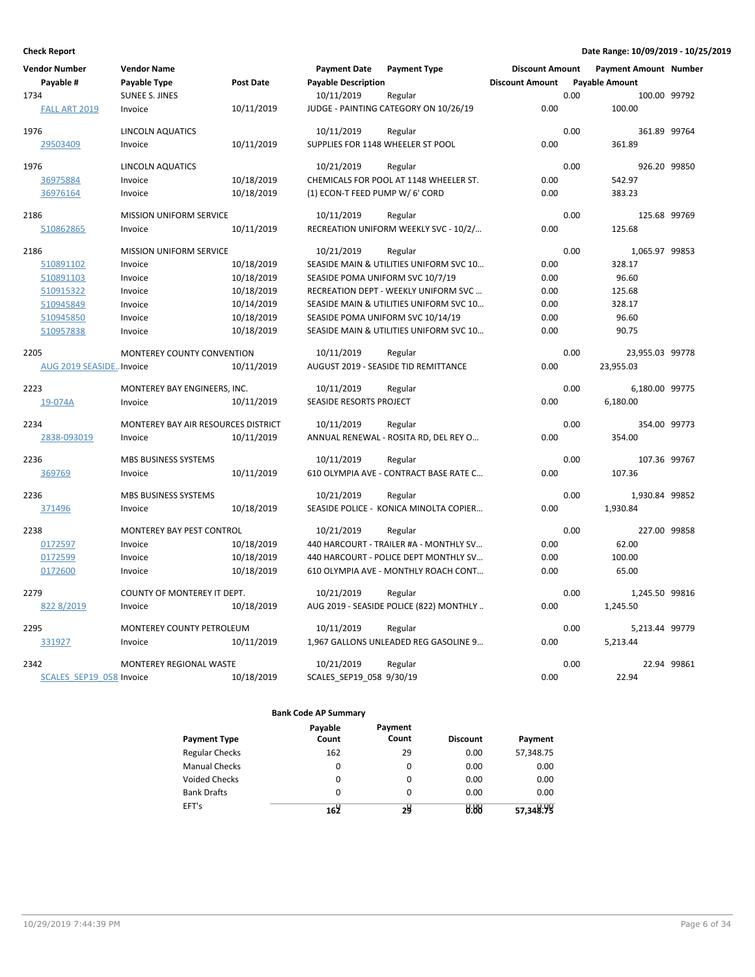| <b>Vendor Number</b>     | <b>Vendor Name</b>                  |                  | <b>Payment Date</b>               | <b>Payment Type</b>                     | <b>Discount Amount</b> |      | <b>Payment Amount Number</b> |              |
|--------------------------|-------------------------------------|------------------|-----------------------------------|-----------------------------------------|------------------------|------|------------------------------|--------------|
| Payable #                | Payable Type                        | <b>Post Date</b> | <b>Payable Description</b>        |                                         | <b>Discount Amount</b> |      | <b>Payable Amount</b>        |              |
| 1734                     | <b>SUNEE S. JINES</b>               |                  | 10/11/2019                        | Regular                                 |                        | 0.00 |                              | 100.00 99792 |
| FALL ART 2019            | Invoice                             | 10/11/2019       |                                   | JUDGE - PAINTING CATEGORY ON 10/26/19   | 0.00                   |      | 100.00                       |              |
| 1976                     | <b>LINCOLN AQUATICS</b>             |                  | 10/11/2019                        | Regular                                 |                        | 0.00 | 361.89 99764                 |              |
| 29503409                 | Invoice                             | 10/11/2019       | SUPPLIES FOR 1148 WHEELER ST POOL |                                         | 0.00                   |      | 361.89                       |              |
| 1976                     | <b>LINCOLN AQUATICS</b>             |                  | 10/21/2019                        | Regular                                 |                        | 0.00 | 926.20 99850                 |              |
| 36975884                 | Invoice                             | 10/18/2019       |                                   | CHEMICALS FOR POOL AT 1148 WHEELER ST.  | 0.00                   |      | 542.97                       |              |
| 36976164                 | Invoice                             | 10/18/2019       | (1) ECON-T FEED PUMP W/ 6' CORD   |                                         | 0.00                   |      | 383.23                       |              |
| 2186                     | <b>MISSION UNIFORM SERVICE</b>      |                  | 10/11/2019                        | Regular                                 |                        | 0.00 | 125.68 99769                 |              |
| 510862865                | Invoice                             | 10/11/2019       |                                   | RECREATION UNIFORM WEEKLY SVC - 10/2/   | 0.00                   |      | 125.68                       |              |
| 2186                     | <b>MISSION UNIFORM SERVICE</b>      |                  | 10/21/2019                        | Regular                                 |                        | 0.00 | 1,065.97 99853               |              |
| 510891102                | Invoice                             | 10/18/2019       |                                   | SEASIDE MAIN & UTILITIES UNIFORM SVC 10 | 0.00                   |      | 328.17                       |              |
| 510891103                | Invoice                             | 10/18/2019       | SEASIDE POMA UNIFORM SVC 10/7/19  |                                         | 0.00                   |      | 96.60                        |              |
| 510915322                | Invoice                             | 10/18/2019       |                                   | RECREATION DEPT - WEEKLY UNIFORM SVC    | 0.00                   |      | 125.68                       |              |
| 510945849                | Invoice                             | 10/14/2019       |                                   | SEASIDE MAIN & UTILITIES UNIFORM SVC 10 | 0.00                   |      | 328.17                       |              |
| 510945850                | Invoice                             | 10/18/2019       |                                   | SEASIDE POMA UNIFORM SVC 10/14/19       | 0.00                   |      | 96.60                        |              |
| 510957838                | Invoice                             | 10/18/2019       |                                   | SEASIDE MAIN & UTILITIES UNIFORM SVC 10 | 0.00                   |      | 90.75                        |              |
| 2205                     | MONTEREY COUNTY CONVENTION          |                  | 10/11/2019                        | Regular                                 |                        | 0.00 | 23,955.03 99778              |              |
| AUG 2019 SEASIDE Invoice |                                     | 10/11/2019       |                                   | AUGUST 2019 - SEASIDE TID REMITTANCE    | 0.00                   |      | 23,955.03                    |              |
| 2223                     | MONTEREY BAY ENGINEERS, INC.        |                  | 10/11/2019                        | Regular                                 |                        | 0.00 | 6,180.00 99775               |              |
| 19-074A                  | Invoice                             | 10/11/2019       | <b>SEASIDE RESORTS PROJECT</b>    |                                         | 0.00                   |      | 6,180.00                     |              |
| 2234                     | MONTEREY BAY AIR RESOURCES DISTRICT |                  | 10/11/2019                        | Regular                                 |                        | 0.00 | 354.00 99773                 |              |
| 2838-093019              | Invoice                             | 10/11/2019       |                                   | ANNUAL RENEWAL - ROSITA RD, DEL REY O   | 0.00                   |      | 354.00                       |              |
| 2236                     | MBS BUSINESS SYSTEMS                |                  | 10/11/2019                        | Regular                                 |                        | 0.00 | 107.36 99767                 |              |
| 369769                   | Invoice                             | 10/11/2019       |                                   | 610 OLYMPIA AVE - CONTRACT BASE RATE C  | 0.00                   |      | 107.36                       |              |
| 2236                     | MBS BUSINESS SYSTEMS                |                  | 10/21/2019                        | Regular                                 |                        | 0.00 | 1,930.84 99852               |              |
| 371496                   | Invoice                             | 10/18/2019       |                                   | SEASIDE POLICE - KONICA MINOLTA COPIER  | 0.00                   |      | 1,930.84                     |              |
| 2238                     | MONTEREY BAY PEST CONTROL           |                  | 10/21/2019                        | Regular                                 |                        | 0.00 | 227.00 99858                 |              |
| 0172597                  | Invoice                             | 10/18/2019       |                                   | 440 HARCOURT - TRAILER #A - MONTHLY SV  | 0.00                   |      | 62.00                        |              |
| 0172599                  | Invoice                             | 10/18/2019       |                                   | 440 HARCOURT - POLICE DEPT MONTHLY SV   | 0.00                   |      | 100.00                       |              |
| 0172600                  | Invoice                             | 10/18/2019       |                                   | 610 OLYMPIA AVE - MONTHLY ROACH CONT    | 0.00                   |      | 65.00                        |              |
| 2279                     | COUNTY OF MONTEREY IT DEPT.         |                  | 10/21/2019                        | Regular                                 |                        | 0.00 | 1,245.50 99816               |              |
| 822 8/2019               | Invoice                             | 10/18/2019       |                                   | AUG 2019 - SEASIDE POLICE (822) MONTHLY | 0.00                   |      | 1,245.50                     |              |
| 2295                     | <b>MONTEREY COUNTY PETROLEUM</b>    |                  | 10/11/2019                        | Regular                                 |                        | 0.00 | 5,213.44 99779               |              |
| 331927                   | Invoice                             | 10/11/2019       |                                   | 1,967 GALLONS UNLEADED REG GASOLINE 9   | 0.00                   |      | 5,213.44                     |              |
| 2342                     | <b>MONTEREY REGIONAL WASTE</b>      |                  | 10/21/2019                        | Regular                                 |                        | 0.00 |                              | 22.94 99861  |
| SCALES SEP19 058 Invoice |                                     | 10/18/2019       | SCALES_SEP19_058 9/30/19          |                                         | 0.00                   |      | 22.94                        |              |

|                       | Payable  | Payment  |                 |           |
|-----------------------|----------|----------|-----------------|-----------|
| <b>Payment Type</b>   | Count    | Count    | <b>Discount</b> | Payment   |
| <b>Regular Checks</b> | 162      | 29       | 0.00            | 57,348.75 |
| <b>Manual Checks</b>  | $\Omega$ | $\Omega$ | 0.00            | 0.00      |
| <b>Voided Checks</b>  | 0        | $\Omega$ | 0.00            | 0.00      |
| <b>Bank Drafts</b>    | 0        | $\Omega$ | 0.00            | 0.00      |
| EFT's                 | لأ16     | 24       | 8.88            | 57,348.99 |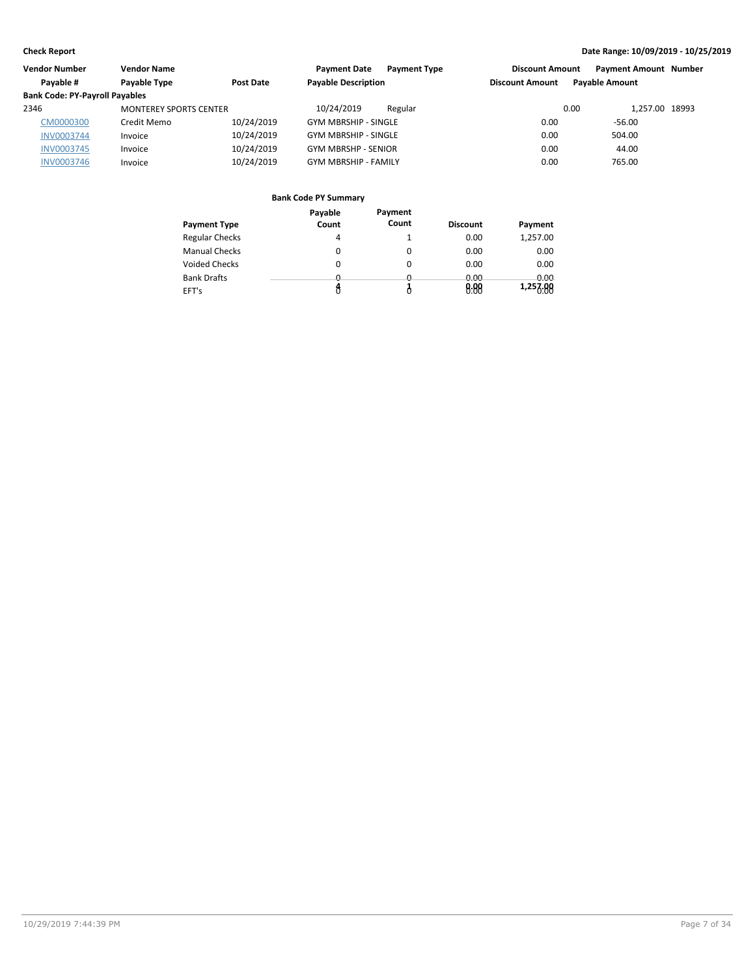| Vendor Number                         | <b>Vendor Name</b>            |            | <b>Payment Date</b><br><b>Payment Type</b> | <b>Discount Amount</b> | <b>Payment Amount Number</b> |  |
|---------------------------------------|-------------------------------|------------|--------------------------------------------|------------------------|------------------------------|--|
| Payable #                             | Payable Type                  | Post Date  | <b>Payable Description</b>                 | <b>Discount Amount</b> | <b>Payable Amount</b>        |  |
| <b>Bank Code: PY-Payroll Payables</b> |                               |            |                                            |                        |                              |  |
| 2346                                  | <b>MONTEREY SPORTS CENTER</b> |            | 10/24/2019<br>Regular                      | 0.00                   | 1.257.00 18993               |  |
| CM0000300                             | Credit Memo                   | 10/24/2019 | <b>GYM MBRSHIP - SINGLE</b>                | 0.00                   | $-56.00$                     |  |
| <b>INV0003744</b>                     | Invoice                       | 10/24/2019 | <b>GYM MBRSHIP - SINGLE</b>                | 0.00                   | 504.00                       |  |
| <b>INV0003745</b>                     | Invoice                       | 10/24/2019 | <b>GYM MBRSHP - SENIOR</b>                 | 0.00                   | 44.00                        |  |
| <b>INV0003746</b>                     | Invoice                       | 10/24/2019 | <b>GYM MBRSHIP - FAMILY</b>                | 0.00                   | 765.00                       |  |

|                       | Payable  | Payment  |                 |          |
|-----------------------|----------|----------|-----------------|----------|
| <b>Payment Type</b>   | Count    | Count    | <b>Discount</b> | Payment  |
| <b>Regular Checks</b> | 4        |          | 0.00            | 1,257.00 |
| <b>Manual Checks</b>  | 0        | 0        | 0.00            | 0.00     |
| <b>Voided Checks</b>  | 0        | 0        | 0.00            | 0.00     |
| <b>Bank Drafts</b>    | <u>n</u> | <u>n</u> | 0.00            | 0.00     |
| EFT's                 |          |          | 8.88            | 1,257.00 |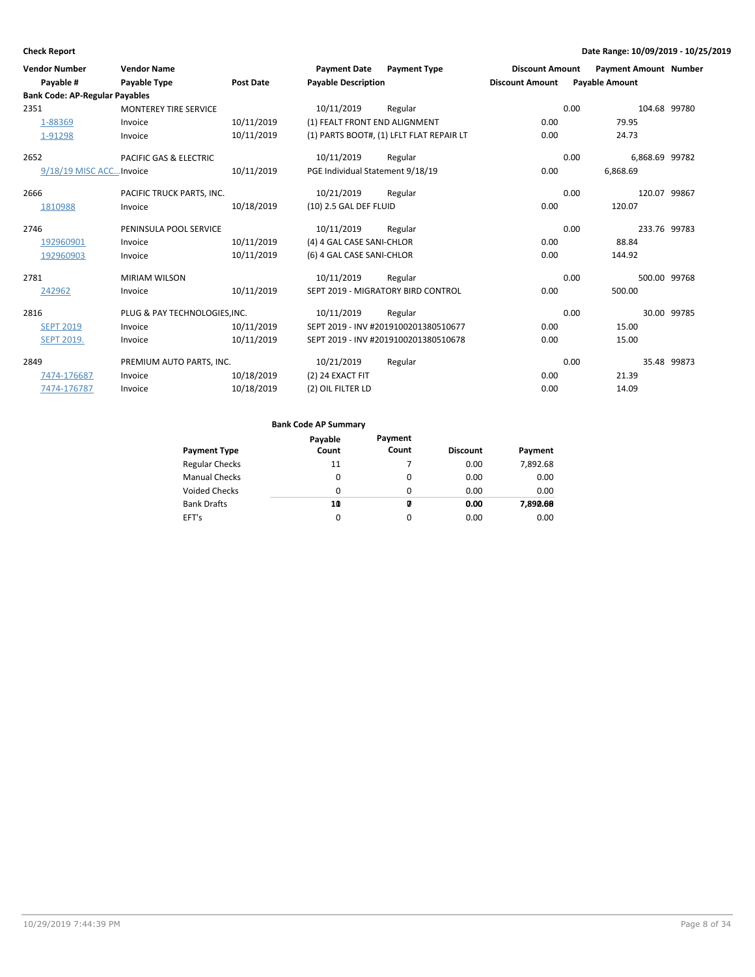| <b>Vendor Number</b>                  | <b>Vendor Name</b>            |                  | <b>Payment Date</b>              | <b>Payment Type</b>                      | <b>Discount Amount</b> | <b>Payment Amount Number</b> |             |
|---------------------------------------|-------------------------------|------------------|----------------------------------|------------------------------------------|------------------------|------------------------------|-------------|
| Payable #                             | <b>Payable Type</b>           | <b>Post Date</b> | <b>Payable Description</b>       |                                          | <b>Discount Amount</b> | <b>Payable Amount</b>        |             |
| <b>Bank Code: AP-Regular Payables</b> |                               |                  |                                  |                                          |                        |                              |             |
| 2351                                  | <b>MONTEREY TIRE SERVICE</b>  |                  | 10/11/2019                       | Regular                                  |                        | 0.00<br>104.68 99780         |             |
| 1-88369                               | Invoice                       | 10/11/2019       | (1) FEALT FRONT END ALIGNMENT    |                                          | 0.00                   | 79.95                        |             |
| 1-91298                               | Invoice                       | 10/11/2019       |                                  | (1) PARTS BOOT#, (1) LFLT FLAT REPAIR LT | 0.00                   | 24.73                        |             |
| 2652                                  | PACIFIC GAS & ELECTRIC        |                  | 10/11/2019                       | Regular                                  |                        | 0.00<br>6,868.69 99782       |             |
| 9/18/19 MISC ACC Invoice              |                               | 10/11/2019       | PGE Individual Statement 9/18/19 |                                          | 0.00                   | 6,868.69                     |             |
| 2666                                  | PACIFIC TRUCK PARTS, INC.     |                  | 10/21/2019                       | Regular                                  |                        | 0.00<br>120.07 99867         |             |
| 1810988                               | Invoice                       | 10/18/2019       | (10) 2.5 GAL DEF FLUID           |                                          | 0.00                   | 120.07                       |             |
| 2746                                  | PENINSULA POOL SERVICE        |                  | 10/11/2019                       | Regular                                  |                        | 0.00<br>233.76 99783         |             |
| 192960901                             | Invoice                       | 10/11/2019       | (4) 4 GAL CASE SANI-CHLOR        |                                          | 0.00                   | 88.84                        |             |
| 192960903                             | Invoice                       | 10/11/2019       | (6) 4 GAL CASE SANI-CHLOR        |                                          | 0.00                   | 144.92                       |             |
| 2781                                  | <b>MIRIAM WILSON</b>          |                  | 10/11/2019                       | Regular                                  |                        | 0.00<br>500.00 99768         |             |
| 242962                                | Invoice                       | 10/11/2019       |                                  | SEPT 2019 - MIGRATORY BIRD CONTROL       | 0.00                   | 500.00                       |             |
| 2816                                  | PLUG & PAY TECHNOLOGIES, INC. |                  | 10/11/2019                       | Regular                                  |                        | 0.00                         | 30.00 99785 |
| <b>SEPT 2019</b>                      | Invoice                       | 10/11/2019       |                                  | SEPT 2019 - INV #2019100201380510677     | 0.00                   | 15.00                        |             |
| <b>SEPT 2019.</b>                     | Invoice                       | 10/11/2019       |                                  | SEPT 2019 - INV #2019100201380510678     | 0.00                   | 15.00                        |             |
| 2849                                  | PREMIUM AUTO PARTS, INC.      |                  | 10/21/2019                       | Regular                                  |                        | 0.00                         | 35.48 99873 |
| 7474-176687                           | Invoice                       | 10/18/2019       | (2) 24 EXACT FIT                 |                                          | 0.00                   | 21.39                        |             |
| 7474-176787                           | Invoice                       | 10/18/2019       | (2) OIL FILTER LD                |                                          | 0.00                   | 14.09                        |             |

|                       | Payable | Payment  |                 |          |
|-----------------------|---------|----------|-----------------|----------|
| <b>Payment Type</b>   | Count   | Count    | <b>Discount</b> | Payment  |
| <b>Regular Checks</b> | 11      |          | 0.00            | 7,892.68 |
| <b>Manual Checks</b>  | 0       | $\Omega$ | 0.00            | 0.00     |
| <b>Voided Checks</b>  | 0       | $\Omega$ | 0.00            | 0.00     |
| <b>Bank Drafts</b>    | 10      | Ø        | 0.00            | 7,890.68 |
| EFT's                 | 0       | $\Omega$ | 0.00            | 0.00     |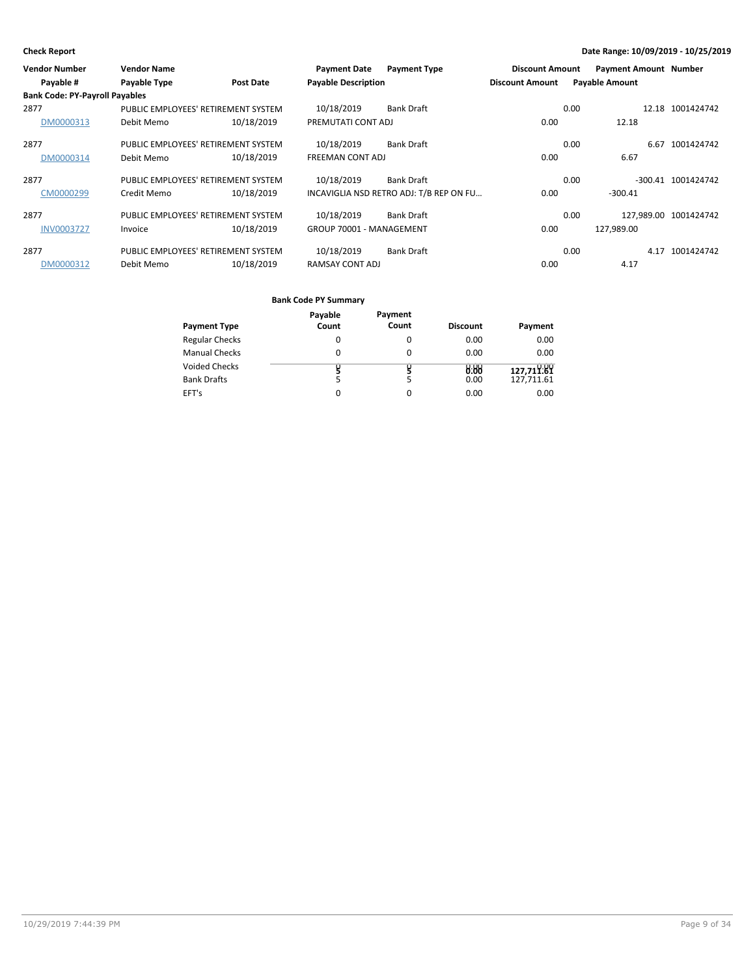| <b>Vendor Number</b>                  | <b>Vendor Name</b>                  |                  | <b>Payment Date</b>        | <b>Payment Type</b>                     | <b>Discount Amount</b> |      | <b>Payment Amount Number</b> |                       |
|---------------------------------------|-------------------------------------|------------------|----------------------------|-----------------------------------------|------------------------|------|------------------------------|-----------------------|
| Payable #                             | Payable Type                        | <b>Post Date</b> | <b>Payable Description</b> |                                         | <b>Discount Amount</b> |      | <b>Payable Amount</b>        |                       |
| <b>Bank Code: PY-Payroll Payables</b> |                                     |                  |                            |                                         |                        |      |                              |                       |
| 2877                                  | PUBLIC EMPLOYEES' RETIREMENT SYSTEM |                  | 10/18/2019                 | <b>Bank Draft</b>                       |                        | 0.00 |                              | 12.18 1001424742      |
| DM0000313                             | Debit Memo                          | 10/18/2019       | PREMUTATI CONT ADJ         |                                         | 0.00                   |      | 12.18                        |                       |
| 2877                                  | PUBLIC EMPLOYEES' RETIREMENT SYSTEM |                  | 10/18/2019                 | <b>Bank Draft</b>                       |                        | 0.00 | 6.67                         | 1001424742            |
| DM0000314                             | Debit Memo                          | 10/18/2019       | <b>FREEMAN CONT ADJ</b>    |                                         | 0.00                   |      | 6.67                         |                       |
| 2877                                  | PUBLIC EMPLOYEES' RETIREMENT SYSTEM |                  | 10/18/2019                 | <b>Bank Draft</b>                       |                        | 0.00 |                              | -300.41 1001424742    |
| CM0000299                             | Credit Memo                         | 10/18/2019       |                            | INCAVIGLIA NSD RETRO ADJ: T/B REP ON FU | 0.00                   |      | $-300.41$                    |                       |
| 2877                                  | PUBLIC EMPLOYEES' RETIREMENT SYSTEM |                  | 10/18/2019                 | <b>Bank Draft</b>                       |                        | 0.00 |                              | 127.989.00 1001424742 |
| <b>INV0003727</b>                     | Invoice                             | 10/18/2019       | GROUP 70001 - MANAGEMENT   |                                         | 0.00                   |      | 127.989.00                   |                       |
| 2877                                  | PUBLIC EMPLOYEES' RETIREMENT SYSTEM |                  | 10/18/2019                 | <b>Bank Draft</b>                       |                        | 0.00 | 4.17                         | 1001424742            |
| DM0000312                             | Debit Memo                          | 10/18/2019       | RAMSAY CONT ADJ            |                                         | 0.00                   |      | 4.17                         |                       |

|                       | Payable | Payment |                 |            |
|-----------------------|---------|---------|-----------------|------------|
| <b>Payment Type</b>   | Count   | Count   | <b>Discount</b> | Payment    |
| <b>Regular Checks</b> | 0       | 0       | 0.00            | 0.00       |
| <b>Manual Checks</b>  | 0       | 0       | 0.00            | 0.00       |
| <b>Voided Checks</b>  |         |         | 8.88            | 127,711.89 |
| <b>Bank Drafts</b>    |         | 5       | 0.00            | 127,711.61 |
| EFT's                 |         | 0       | 0.00            | 0.00       |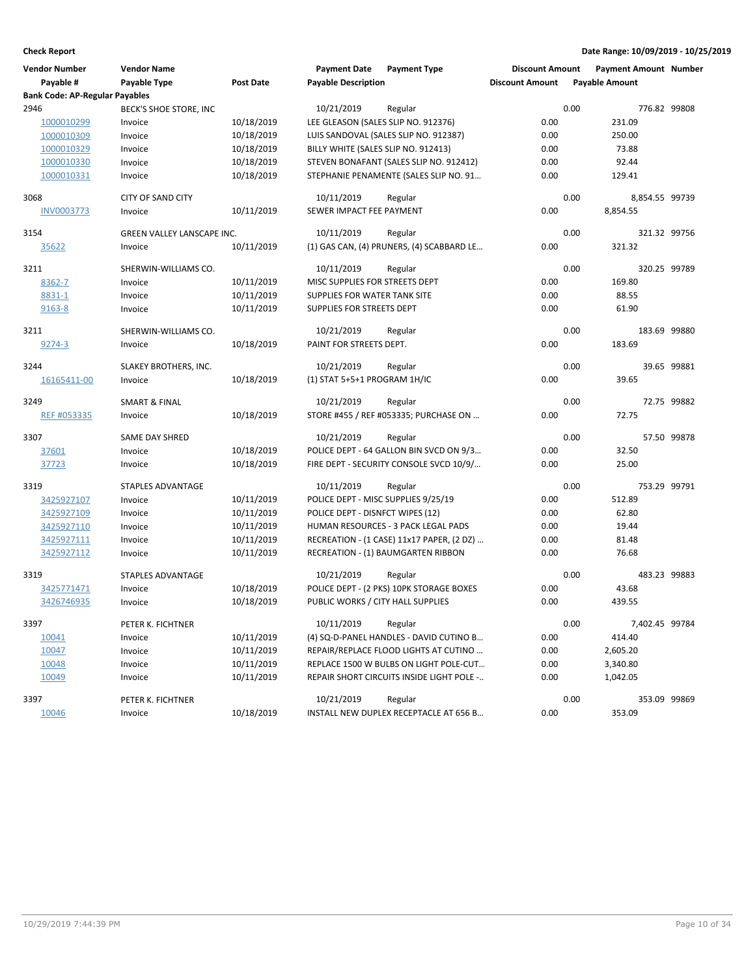| <b>Vendor Number</b>                  | <b>Vendor Name</b>         |                  | <b>Payment Date</b>                 | <b>Payment Type</b>                       | <b>Discount Amount</b> | <b>Payment Amount Number</b> |              |
|---------------------------------------|----------------------------|------------------|-------------------------------------|-------------------------------------------|------------------------|------------------------------|--------------|
| Payable #                             | Payable Type               | <b>Post Date</b> | <b>Payable Description</b>          |                                           | <b>Discount Amount</b> | <b>Payable Amount</b>        |              |
| <b>Bank Code: AP-Regular Payables</b> |                            |                  |                                     |                                           |                        |                              |              |
| 2946                                  | BECK'S SHOE STORE, INC     |                  | 10/21/2019                          | Regular                                   |                        | 0.00                         | 776.82 99808 |
| 1000010299                            | Invoice                    | 10/18/2019       | LEE GLEASON (SALES SLIP NO. 912376) |                                           | 0.00                   | 231.09                       |              |
| 1000010309                            | Invoice                    | 10/18/2019       |                                     | LUIS SANDOVAL (SALES SLIP NO. 912387)     | 0.00                   | 250.00                       |              |
| 1000010329                            | Invoice                    | 10/18/2019       | BILLY WHITE (SALES SLIP NO. 912413) |                                           | 0.00                   | 73.88                        |              |
| 1000010330                            | Invoice                    | 10/18/2019       |                                     | STEVEN BONAFANT (SALES SLIP NO. 912412)   | 0.00                   | 92.44                        |              |
| 1000010331                            | Invoice                    | 10/18/2019       |                                     | STEPHANIE PENAMENTE (SALES SLIP NO. 91    | 0.00                   | 129.41                       |              |
| 3068                                  | <b>CITY OF SAND CITY</b>   |                  | 10/11/2019                          | Regular                                   |                        | 0.00<br>8,854.55 99739       |              |
| <b>INV0003773</b>                     | Invoice                    | 10/11/2019       | SEWER IMPACT FEE PAYMENT            |                                           | 0.00                   | 8,854.55                     |              |
| 3154                                  | GREEN VALLEY LANSCAPE INC. |                  | 10/11/2019                          | Regular                                   |                        | 0.00                         | 321.32 99756 |
| 35622                                 | Invoice                    | 10/11/2019       |                                     | (1) GAS CAN, (4) PRUNERS, (4) SCABBARD LE | 0.00                   | 321.32                       |              |
| 3211                                  | SHERWIN-WILLIAMS CO.       |                  | 10/11/2019                          | Regular                                   |                        | 0.00                         | 320.25 99789 |
| 8362-7                                | Invoice                    | 10/11/2019       | MISC SUPPLIES FOR STREETS DEPT      |                                           | 0.00                   | 169.80                       |              |
| 8831-1                                | Invoice                    | 10/11/2019       | SUPPLIES FOR WATER TANK SITE        |                                           | 0.00                   | 88.55                        |              |
| 9163-8                                | Invoice                    | 10/11/2019       | SUPPLIES FOR STREETS DEPT           |                                           | 0.00                   | 61.90                        |              |
| 3211                                  | SHERWIN-WILLIAMS CO.       |                  | 10/21/2019                          | Regular                                   |                        | 0.00                         | 183.69 99880 |
| 9274-3                                | Invoice                    | 10/18/2019       | PAINT FOR STREETS DEPT.             |                                           | 0.00                   | 183.69                       |              |
| 3244                                  | SLAKEY BROTHERS, INC.      |                  | 10/21/2019                          | Regular                                   |                        | 0.00                         | 39.65 99881  |
| 16165411-00                           | Invoice                    | 10/18/2019       | (1) STAT 5+5+1 PROGRAM 1H/IC        |                                           | 0.00                   | 39.65                        |              |
| 3249                                  | <b>SMART &amp; FINAL</b>   |                  | 10/21/2019                          | Regular                                   |                        | 0.00                         | 72.75 99882  |
| REF #053335                           | Invoice                    | 10/18/2019       |                                     | STORE #455 / REF #053335; PURCHASE ON     | 0.00                   | 72.75                        |              |
| 3307                                  | SAME DAY SHRED             |                  | 10/21/2019                          | Regular                                   |                        | 0.00                         | 57.50 99878  |
| 37601                                 | Invoice                    | 10/18/2019       |                                     | POLICE DEPT - 64 GALLON BIN SVCD ON 9/3   | 0.00                   | 32.50                        |              |
| 37723                                 | Invoice                    | 10/18/2019       |                                     | FIRE DEPT - SECURITY CONSOLE SVCD 10/9/   | 0.00                   | 25.00                        |              |
| 3319                                  | STAPLES ADVANTAGE          |                  | 10/11/2019                          | Regular                                   |                        | 0.00                         | 753.29 99791 |
| 3425927107                            | Invoice                    | 10/11/2019       | POLICE DEPT - MISC SUPPLIES 9/25/19 |                                           | 0.00                   | 512.89                       |              |
| 3425927109                            | Invoice                    | 10/11/2019       | POLICE DEPT - DISNFCT WIPES (12)    |                                           | 0.00                   | 62.80                        |              |
| 3425927110                            | Invoice                    | 10/11/2019       |                                     | HUMAN RESOURCES - 3 PACK LEGAL PADS       | 0.00                   | 19.44                        |              |
| 3425927111                            | Invoice                    | 10/11/2019       |                                     | RECREATION - (1 CASE) 11x17 PAPER, (2 DZ) | 0.00                   | 81.48                        |              |
| 3425927112                            | Invoice                    | 10/11/2019       |                                     | RECREATION - (1) BAUMGARTEN RIBBON        | 0.00                   | 76.68                        |              |
| 3319                                  | <b>STAPLES ADVANTAGE</b>   |                  | 10/21/2019                          | Regular                                   |                        | 0.00                         | 483.23 99883 |
| 3425771471                            | Invoice                    | 10/18/2019       |                                     | POLICE DEPT - (2 PKS) 10PK STORAGE BOXES  | 0.00                   | 43.68                        |              |
| 3426746935                            | Invoice                    | 10/18/2019       | PUBLIC WORKS / CITY HALL SUPPLIES   |                                           | 0.00                   | 439.55                       |              |
| 3397                                  | PETER K. FICHTNER          |                  | 10/11/2019                          | Regular                                   |                        | 0.00<br>7,402.45 99784       |              |
| 10041                                 | Invoice                    | 10/11/2019       |                                     | (4) SQ-D-PANEL HANDLES - DAVID CUTINO B   | 0.00                   | 414.40                       |              |
| 10047                                 | Invoice                    | 10/11/2019       |                                     | REPAIR/REPLACE FLOOD LIGHTS AT CUTINO     | 0.00                   | 2,605.20                     |              |
| 10048                                 | Invoice                    | 10/11/2019       |                                     | REPLACE 1500 W BULBS ON LIGHT POLE-CUT    | 0.00                   | 3,340.80                     |              |
| 10049                                 | Invoice                    | 10/11/2019       |                                     | REPAIR SHORT CIRCUITS INSIDE LIGHT POLE - | 0.00                   | 1,042.05                     |              |
| 3397                                  | PETER K. FICHTNER          |                  | 10/21/2019                          | Regular                                   |                        | 0.00                         | 353.09 99869 |
| 10046                                 | Invoice                    | 10/18/2019       |                                     | INSTALL NEW DUPLEX RECEPTACLE AT 656 B    | 0.00                   | 353.09                       |              |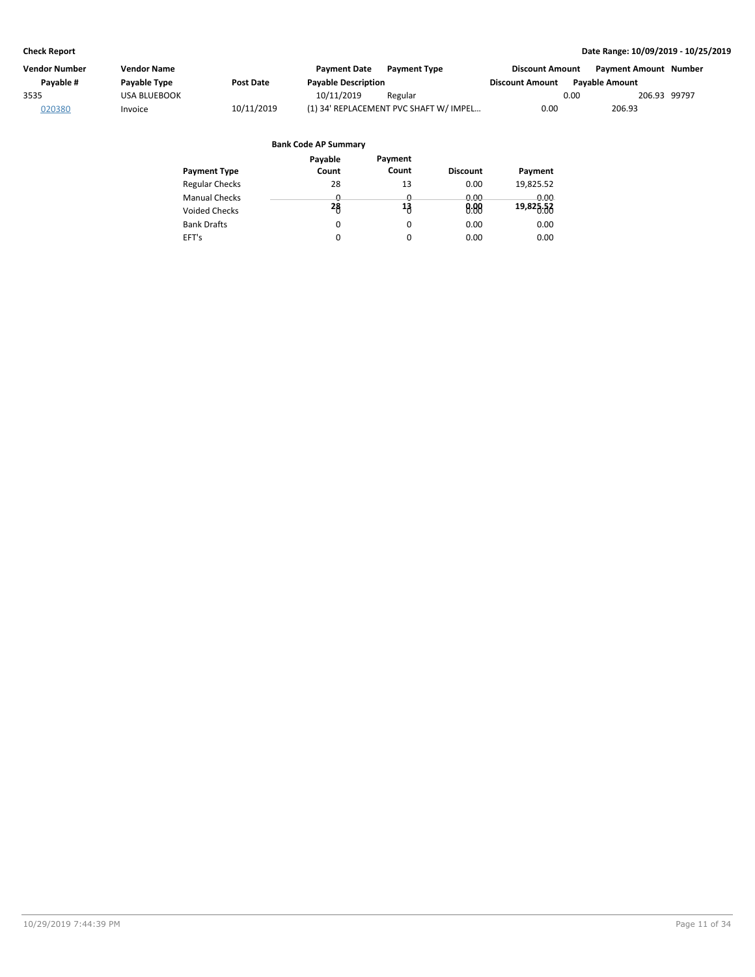| Vendor Number | <b>Vendor Name</b> |                  | <b>Payment Date</b>        | <b>Payment Type</b>                    | <b>Discount Amount</b> |      | <b>Payment Amount Number</b> |  |
|---------------|--------------------|------------------|----------------------------|----------------------------------------|------------------------|------|------------------------------|--|
| Pavable #     | Payable Type       | <b>Post Date</b> | <b>Payable Description</b> |                                        | <b>Discount Amount</b> |      | <b>Pavable Amount</b>        |  |
| 3535          | USA BLUEBOOK       |                  | 10/11/2019                 | Regular                                |                        | 0.00 | 206.93 99797                 |  |
| 020380        | Invoice            | 10/11/2019       |                            | (1) 34' REPLACEMENT PVC SHAFT W/ IMPEL | 0.00                   |      | 206.93                       |  |

|                       | Payable | Payment  |                 |             |
|-----------------------|---------|----------|-----------------|-------------|
| <b>Payment Type</b>   | Count   | Count    | <b>Discount</b> | Payment     |
| <b>Regular Checks</b> | 28      | 13       | 0.00            | 19,825.52   |
| <b>Manual Checks</b>  | ŋ       | n        | <u>n nn</u>     | <u>ი იი</u> |
| Voided Checks         | 28      | 13       | 0.88            | 19,825.53   |
| <b>Bank Drafts</b>    | 0       | 0        | 0.00            | 0.00        |
| EFT's                 | 0       | $\Omega$ | 0.00            | 0.00        |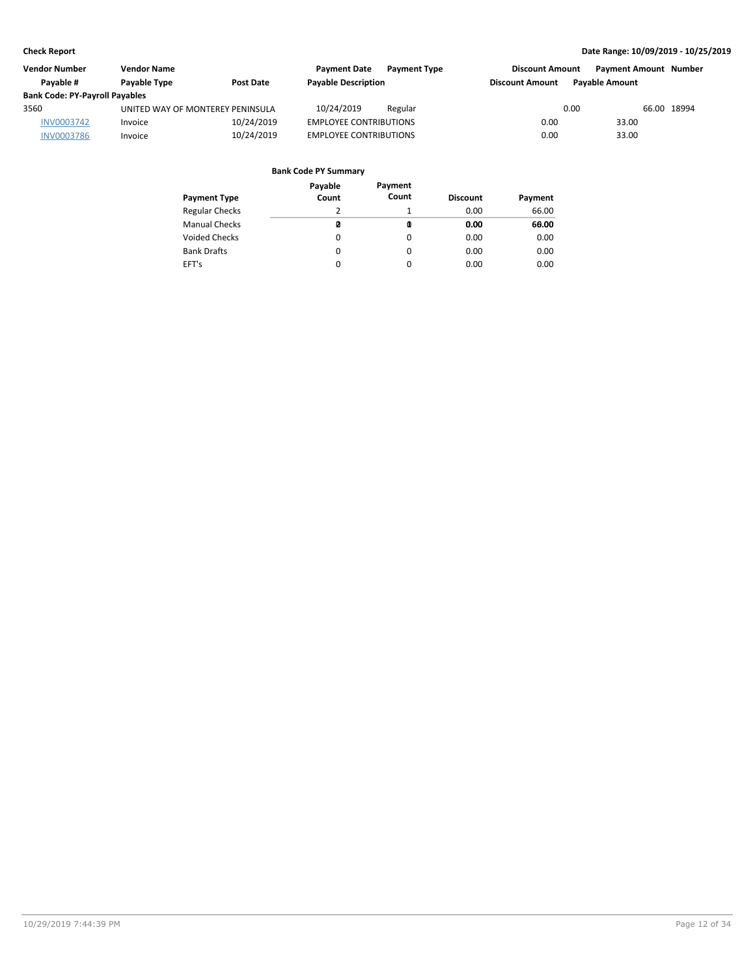| <b>Vendor Number</b>                  | <b>Vendor Name</b>               |                  | <b>Payment Date</b>           | <b>Payment Type</b> | <b>Discount Amount</b> |                       | <b>Payment Amount Number</b> |
|---------------------------------------|----------------------------------|------------------|-------------------------------|---------------------|------------------------|-----------------------|------------------------------|
| Pavable #                             | Payable Type                     | <b>Post Date</b> | <b>Payable Description</b>    |                     | <b>Discount Amount</b> | <b>Pavable Amount</b> |                              |
| <b>Bank Code: PY-Payroll Payables</b> |                                  |                  |                               |                     |                        |                       |                              |
| 3560                                  | UNITED WAY OF MONTEREY PENINSULA |                  | 10/24/2019                    | Regular             |                        | 0.00                  | 66.00 18994                  |
| INV0003742                            | Invoice                          | 10/24/2019       | <b>EMPLOYEE CONTRIBUTIONS</b> |                     | 0.00                   | 33.00                 |                              |
| <b>INV0003786</b>                     | Invoice                          | 10/24/2019       | <b>EMPLOYEE CONTRIBUTIONS</b> |                     | 0.00                   | 33.00                 |                              |

| Payment Type          | Payable<br>Count | Payment<br>Count | <b>Discount</b> | Payment |
|-----------------------|------------------|------------------|-----------------|---------|
| <b>Regular Checks</b> | 2                |                  | 0.00            | 66.00   |
| <b>Manual Checks</b>  | ø                | Q                | 0.00            | 60.00   |
| Voided Checks         | 0                | 0                | 0.00            | 0.00    |
| <b>Bank Drafts</b>    | 0                | 0                | 0.00            | 0.00    |
| EFT's                 | 0                | $\Omega$         | 0.00            | 0.00    |
|                       |                  |                  |                 |         |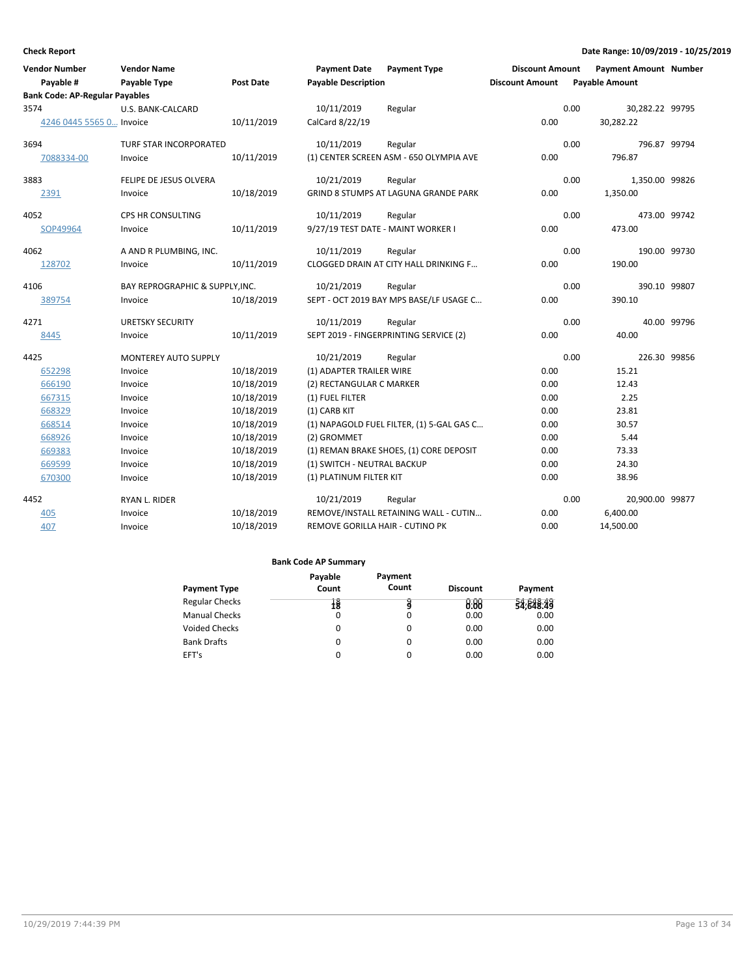| <b>Vendor Number</b>                  | <b>Vendor Name</b>              |                  | <b>Payment Date</b>                | <b>Payment Type</b>                       | <b>Discount Amount</b> |      | <b>Payment Amount Number</b> |             |
|---------------------------------------|---------------------------------|------------------|------------------------------------|-------------------------------------------|------------------------|------|------------------------------|-------------|
| Payable #                             | Payable Type                    | <b>Post Date</b> | <b>Payable Description</b>         |                                           | <b>Discount Amount</b> |      | <b>Payable Amount</b>        |             |
| <b>Bank Code: AP-Regular Payables</b> |                                 |                  |                                    |                                           |                        |      |                              |             |
| 3574                                  | U.S. BANK-CALCARD               |                  | 10/11/2019                         | Regular                                   |                        | 0.00 | 30,282.22 99795              |             |
| 4246 0445 5565 0 Invoice              |                                 | 10/11/2019       | CalCard 8/22/19                    |                                           | 0.00                   |      | 30,282.22                    |             |
| 3694                                  | TURF STAR INCORPORATED          |                  | 10/11/2019                         | Regular                                   |                        | 0.00 | 796.87 99794                 |             |
| 7088334-00                            | Invoice                         | 10/11/2019       |                                    | (1) CENTER SCREEN ASM - 650 OLYMPIA AVE   | 0.00                   |      | 796.87                       |             |
| 3883                                  | FELIPE DE JESUS OLVERA          |                  | 10/21/2019                         | Regular                                   |                        | 0.00 | 1,350.00 99826               |             |
| 2391                                  | Invoice                         | 10/18/2019       |                                    | GRIND 8 STUMPS AT LAGUNA GRANDE PARK      | 0.00                   |      | 1,350.00                     |             |
| 4052                                  | CPS HR CONSULTING               |                  | 10/11/2019                         | Regular                                   |                        | 0.00 | 473.00 99742                 |             |
| SOP49964                              | Invoice                         | 10/11/2019       | 9/27/19 TEST DATE - MAINT WORKER I |                                           | 0.00                   |      | 473.00                       |             |
| 4062                                  | A AND R PLUMBING, INC.          |                  | 10/11/2019                         | Regular                                   |                        | 0.00 | 190.00 99730                 |             |
| 128702                                | Invoice                         | 10/11/2019       |                                    | CLOGGED DRAIN AT CITY HALL DRINKING F     | 0.00                   |      | 190.00                       |             |
| 4106                                  | BAY REPROGRAPHIC & SUPPLY, INC. |                  | 10/21/2019                         | Regular                                   |                        | 0.00 | 390.10 99807                 |             |
| 389754                                | Invoice                         | 10/18/2019       |                                    | SEPT - OCT 2019 BAY MPS BASE/LF USAGE C   | 0.00                   |      | 390.10                       |             |
| 4271                                  | <b>URETSKY SECURITY</b>         |                  | 10/11/2019                         | Regular                                   |                        | 0.00 |                              | 40.00 99796 |
| 8445                                  | Invoice                         | 10/11/2019       |                                    | SEPT 2019 - FINGERPRINTING SERVICE (2)    | 0.00                   |      | 40.00                        |             |
| 4425                                  | MONTEREY AUTO SUPPLY            |                  | 10/21/2019                         | Regular                                   |                        | 0.00 | 226.30 99856                 |             |
| 652298                                | Invoice                         | 10/18/2019       | (1) ADAPTER TRAILER WIRE           |                                           | 0.00                   |      | 15.21                        |             |
| 666190                                | Invoice                         | 10/18/2019       | (2) RECTANGULAR C MARKER           |                                           | 0.00                   |      | 12.43                        |             |
| 667315                                | Invoice                         | 10/18/2019       | (1) FUEL FILTER                    |                                           | 0.00                   |      | 2.25                         |             |
| 668329                                | Invoice                         | 10/18/2019       | (1) CARB KIT                       |                                           | 0.00                   |      | 23.81                        |             |
| 668514                                | Invoice                         | 10/18/2019       |                                    | (1) NAPAGOLD FUEL FILTER, (1) 5-GAL GAS C | 0.00                   |      | 30.57                        |             |
| 668926                                | Invoice                         | 10/18/2019       | (2) GROMMET                        |                                           | 0.00                   |      | 5.44                         |             |
| 669383                                | Invoice                         | 10/18/2019       |                                    | (1) REMAN BRAKE SHOES, (1) CORE DEPOSIT   | 0.00                   |      | 73.33                        |             |
| 669599                                | Invoice                         | 10/18/2019       | (1) SWITCH - NEUTRAL BACKUP        |                                           | 0.00                   |      | 24.30                        |             |
| 670300                                | Invoice                         | 10/18/2019       | (1) PLATINUM FILTER KIT            |                                           | 0.00                   |      | 38.96                        |             |
| 4452                                  | RYAN L. RIDER                   |                  | 10/21/2019                         | Regular                                   |                        | 0.00 | 20,900.00 99877              |             |
| 405                                   | Invoice                         | 10/18/2019       |                                    | REMOVE/INSTALL RETAINING WALL - CUTIN     | 0.00                   |      | 6,400.00                     |             |
| 407                                   | Invoice                         | 10/18/2019       | REMOVE GORILLA HAIR - CUTINO PK    |                                           | 0.00                   |      | 14,500.00                    |             |

|                       | Payable | Payment  |                 |           |
|-----------------------|---------|----------|-----------------|-----------|
| <b>Payment Type</b>   | Count   | Count    | <b>Discount</b> | Payment   |
| <b>Regular Checks</b> | 1ğ      | g        | 0.00            | 34,848.49 |
| <b>Manual Checks</b>  | 0       | 0        | 0.00            | 0.00      |
| <b>Voided Checks</b>  | 0       | $\Omega$ | 0.00            | 0.00      |
| <b>Bank Drafts</b>    | 0       | 0        | 0.00            | 0.00      |
| EFT's                 | 0       | 0        | 0.00            | 0.00      |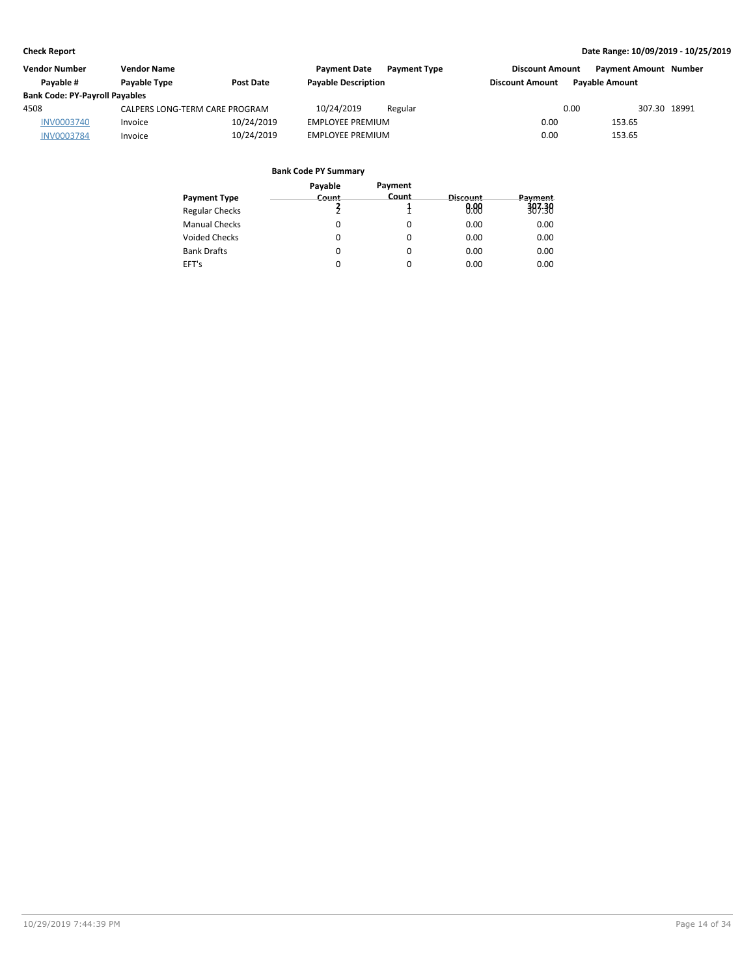| <b>Vendor Number</b>                  | <b>Vendor Name</b>             |                  | <b>Payment Date</b>        | <b>Payment Type</b> | <b>Discount Amount</b> |                       | <b>Payment Amount Number</b> |
|---------------------------------------|--------------------------------|------------------|----------------------------|---------------------|------------------------|-----------------------|------------------------------|
| Pavable #                             | Payable Type                   | <b>Post Date</b> | <b>Payable Description</b> |                     | <b>Discount Amount</b> | <b>Pavable Amount</b> |                              |
| <b>Bank Code: PY-Payroll Payables</b> |                                |                  |                            |                     |                        |                       |                              |
| 4508                                  | CALPERS LONG-TERM CARE PROGRAM |                  | 10/24/2019                 | Regular             |                        | 0.00                  | 307.30 18991                 |
| <b>INV0003740</b>                     | Invoice                        | 10/24/2019       | <b>EMPLOYEE PREMIUM</b>    |                     | 0.00                   | 153.65                |                              |
| <b>INV0003784</b>                     | Invoice                        | 10/24/2019       | <b>EMPLOYEE PREMIUM</b>    |                     | 0.00                   | 153.65                |                              |

|                       | Payable | Payment |          |         |
|-----------------------|---------|---------|----------|---------|
| <b>Payment Type</b>   | Count   | Count   | Discount | Payment |
| <b>Regular Checks</b> |         |         | 0.88     | 383.38  |
| <b>Manual Checks</b>  | 0       | 0       | 0.00     | 0.00    |
| <b>Voided Checks</b>  | 0       | 0       | 0.00     | 0.00    |
| <b>Bank Drafts</b>    | 0       | 0       | 0.00     | 0.00    |
| EFT's                 | 0       | 0       | 0.00     | 0.00    |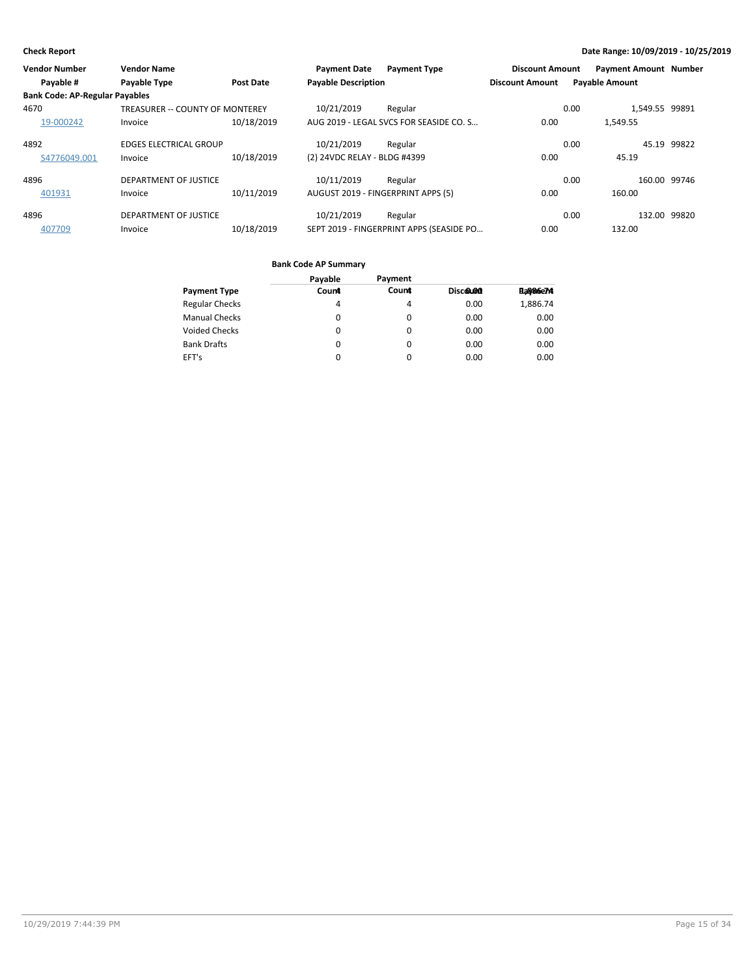| <b>Vendor Number</b>                  | <b>Vendor Name</b>              |                  | <b>Payment Date</b>          | <b>Payment Type</b>                      | <b>Discount Amount</b> | <b>Payment Amount Number</b> |              |
|---------------------------------------|---------------------------------|------------------|------------------------------|------------------------------------------|------------------------|------------------------------|--------------|
| Payable #                             | Payable Type                    | <b>Post Date</b> | <b>Payable Description</b>   |                                          | <b>Discount Amount</b> | <b>Payable Amount</b>        |              |
| <b>Bank Code: AP-Regular Payables</b> |                                 |                  |                              |                                          |                        |                              |              |
| 4670                                  | TREASURER -- COUNTY OF MONTEREY |                  | 10/21/2019                   | Regular                                  | 0.00                   | 1,549.55 99891               |              |
| 19-000242                             | Invoice                         | 10/18/2019       |                              | AUG 2019 - LEGAL SVCS FOR SEASIDE CO. S  | 0.00                   | 1.549.55                     |              |
| 4892                                  | <b>EDGES ELECTRICAL GROUP</b>   |                  | 10/21/2019                   | Regular                                  | 0.00                   | 45.19                        | 99822        |
| S4776049.001                          | Invoice                         | 10/18/2019       | (2) 24VDC RELAY - BLDG #4399 |                                          | 0.00                   | 45.19                        |              |
| 4896                                  | DEPARTMENT OF JUSTICE           |                  | 10/11/2019                   | Regular                                  | 0.00                   |                              | 160.00 99746 |
| 401931                                | Invoice                         | 10/11/2019       |                              | AUGUST 2019 - FINGERPRINT APPS (5)       | 0.00                   | 160.00                       |              |
| 4896                                  | <b>DEPARTMENT OF JUSTICE</b>    |                  | 10/21/2019                   | Regular                                  | 0.00                   | 132.00                       | 99820        |
| 407709                                | Invoice                         | 10/18/2019       |                              | SEPT 2019 - FINGERPRINT APPS (SEASIDE PO | 0.00                   | 132.00                       |              |

|                       | Payable | Payment |          |          |
|-----------------------|---------|---------|----------|----------|
| <b>Payment Type</b>   | Count   | Count   | Discolon | Pa886e74 |
| <b>Regular Checks</b> | 4       | 4       | 0.00     | 1,886.74 |
| <b>Manual Checks</b>  | 0       | 0       | 0.00     | 0.00     |
| <b>Voided Checks</b>  | 0       | 0       | 0.00     | 0.00     |
| <b>Bank Drafts</b>    | 0       | 0       | 0.00     | 0.00     |
| EFT's                 | 0       | 0       | 0.00     | 0.00     |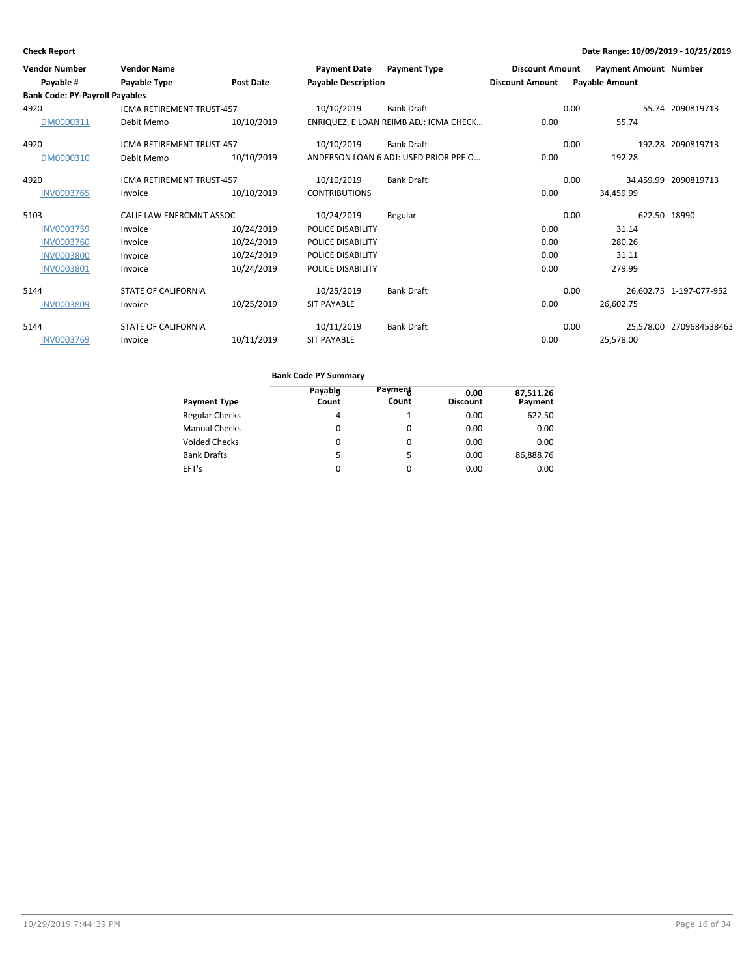| <b>Vendor Number</b><br>Payable #     | <b>Vendor Name</b><br>Payable Type | <b>Post Date</b> | <b>Payment Date</b><br><b>Payable Description</b> | <b>Payment Type</b>                    | <b>Discount Amount</b><br><b>Discount Amount</b> |      | Payment Amount Number<br><b>Payable Amount</b> |                         |
|---------------------------------------|------------------------------------|------------------|---------------------------------------------------|----------------------------------------|--------------------------------------------------|------|------------------------------------------------|-------------------------|
| <b>Bank Code: PY-Payroll Payables</b> |                                    |                  |                                                   |                                        |                                                  |      |                                                |                         |
| 4920                                  | <b>ICMA RETIREMENT TRUST-457</b>   |                  | 10/10/2019                                        | <b>Bank Draft</b>                      |                                                  | 0.00 |                                                | 55.74 2090819713        |
| DM0000311                             | Debit Memo                         | 10/10/2019       |                                                   | ENRIQUEZ, E LOAN REIMB ADJ: ICMA CHECK | 0.00                                             |      | 55.74                                          |                         |
| 4920                                  | <b>ICMA RETIREMENT TRUST-457</b>   |                  | 10/10/2019                                        | <b>Bank Draft</b>                      |                                                  | 0.00 |                                                | 192.28 2090819713       |
| DM0000310                             | Debit Memo                         | 10/10/2019       |                                                   | ANDERSON LOAN 6 ADJ: USED PRIOR PPE O  | 0.00                                             |      | 192.28                                         |                         |
| 4920                                  | <b>ICMA RETIREMENT TRUST-457</b>   |                  | 10/10/2019                                        | <b>Bank Draft</b>                      |                                                  | 0.00 |                                                | 34,459.99 2090819713    |
| <b>INV0003765</b>                     | Invoice                            | 10/10/2019       | <b>CONTRIBUTIONS</b>                              |                                        | 0.00                                             |      | 34,459.99                                      |                         |
| 5103                                  | CALIF LAW ENFRCMNT ASSOC           |                  | 10/24/2019                                        | Regular                                |                                                  | 0.00 | 622.50 18990                                   |                         |
| INV0003759                            | Invoice                            | 10/24/2019       | POLICE DISABILITY                                 |                                        | 0.00                                             |      | 31.14                                          |                         |
| <b>INV0003760</b>                     | Invoice                            | 10/24/2019       | POLICE DISABILITY                                 |                                        | 0.00                                             |      | 280.26                                         |                         |
| <b>INV0003800</b>                     | Invoice                            | 10/24/2019       | POLICE DISABILITY                                 |                                        | 0.00                                             |      | 31.11                                          |                         |
| INV0003801                            | Invoice                            | 10/24/2019       | POLICE DISABILITY                                 |                                        | 0.00                                             |      | 279.99                                         |                         |
| 5144                                  | <b>STATE OF CALIFORNIA</b>         |                  | 10/25/2019                                        | <b>Bank Draft</b>                      |                                                  | 0.00 |                                                | 26,602.75 1-197-077-952 |
| <b>INV0003809</b>                     | Invoice                            | 10/25/2019       | <b>SIT PAYABLE</b>                                |                                        | 0.00                                             |      | 26,602.75                                      |                         |
| 5144                                  | <b>STATE OF CALIFORNIA</b>         |                  | 10/11/2019                                        | <b>Bank Draft</b>                      |                                                  | 0.00 |                                                | 25,578.00 2709684538463 |
| <b>INV0003769</b>                     | Invoice                            | 10/11/2019       | <b>SIT PAYABLE</b>                                |                                        | 0.00                                             |      | 25,578.00                                      |                         |

| <b>Payment Type</b>   | Payable<br>Count | Payment<br>Count | 0.00<br><b>Discount</b> | 87,511.26<br>Payment |
|-----------------------|------------------|------------------|-------------------------|----------------------|
| <b>Regular Checks</b> | 4                |                  | 0.00                    | 622.50               |
| <b>Manual Checks</b>  | 0                | 0                | 0.00                    | 0.00                 |
| <b>Voided Checks</b>  | 0                | 0                | 0.00                    | 0.00                 |
| <b>Bank Drafts</b>    | 5                | 5                | 0.00                    | 86,888.76            |
| EFT's                 | 0                | 0                | 0.00                    | 0.00                 |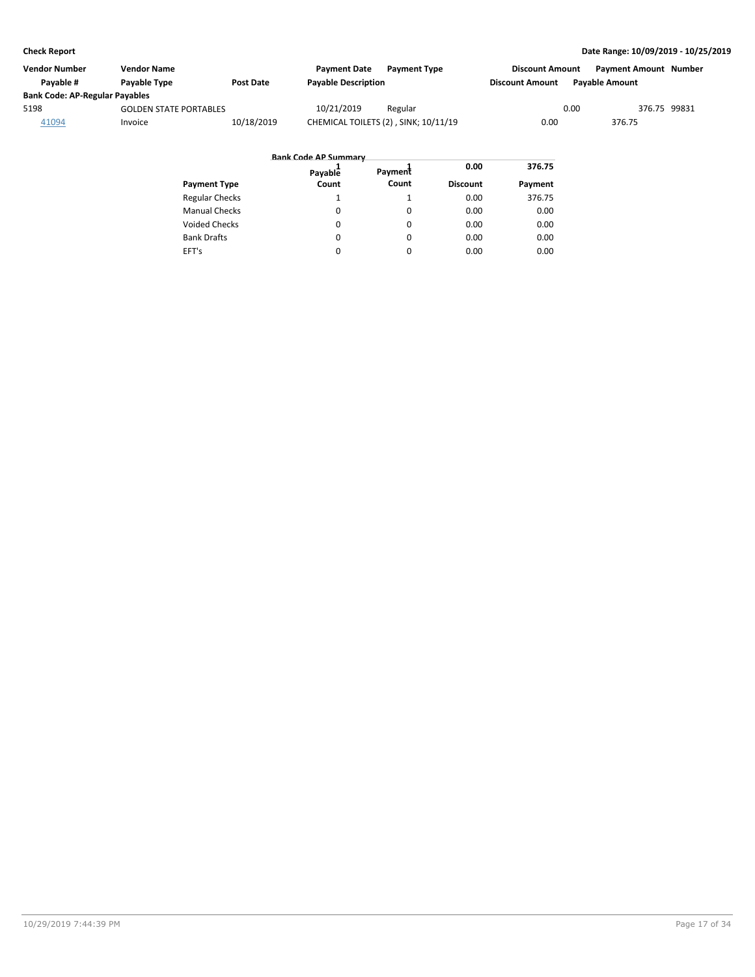| Vendor Number                         | <b>Vendor Name</b>            |                  | <b>Payment Date</b>        | <b>Payment Type</b>                  | <b>Discount Amount</b> |                       | <b>Payment Amount Number</b> |
|---------------------------------------|-------------------------------|------------------|----------------------------|--------------------------------------|------------------------|-----------------------|------------------------------|
| Pavable #                             | Payable Type                  | <b>Post Date</b> | <b>Payable Description</b> |                                      | <b>Discount Amount</b> | <b>Pavable Amount</b> |                              |
| <b>Bank Code: AP-Regular Payables</b> |                               |                  |                            |                                      |                        |                       |                              |
| 5198                                  | <b>GOLDEN STATE PORTABLES</b> |                  | 10/21/2019                 | Regular                              |                        | 0.00                  | 376.75 99831                 |
| 41094                                 | Invoice                       | 10/18/2019       |                            | CHEMICAL TOILETS (2), SINK; 10/11/19 | 0.00                   | 376.75                |                              |

|                       | <b>Bank Code AP Summary</b> |          |                 |         |
|-----------------------|-----------------------------|----------|-----------------|---------|
|                       | Payable                     | Payment  | 0.00            | 376.75  |
| <b>Payment Type</b>   | Count                       | Count    | <b>Discount</b> | Payment |
| <b>Regular Checks</b> |                             |          | 0.00            | 376.75  |
| <b>Manual Checks</b>  | $\Omega$                    | $\Omega$ | 0.00            | 0.00    |
| <b>Voided Checks</b>  | $\Omega$                    | $\Omega$ | 0.00            | 0.00    |
| <b>Bank Drafts</b>    | 0                           | $\Omega$ | 0.00            | 0.00    |
| EFT's                 | 0                           | $\Omega$ | 0.00            | 0.00    |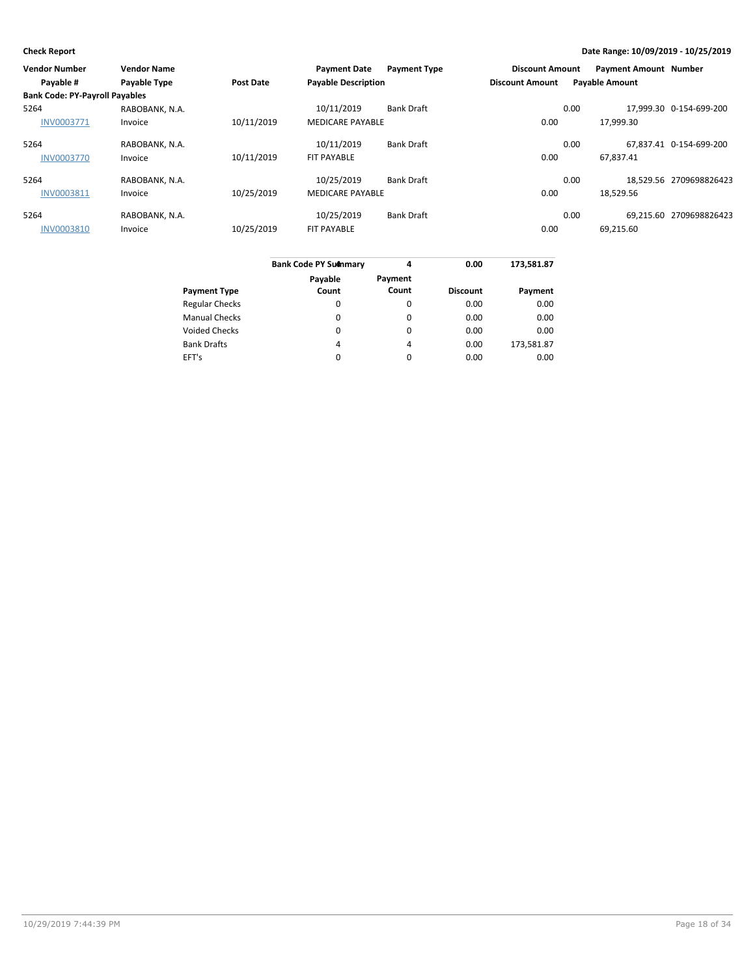| <b>Vendor Number</b>                  | <b>Vendor Name</b> |                  | <b>Payment Date</b>        | <b>Payment Type</b> | <b>Discount Amount</b> |      | <b>Payment Amount Number</b> |                         |
|---------------------------------------|--------------------|------------------|----------------------------|---------------------|------------------------|------|------------------------------|-------------------------|
| Payable #                             | Payable Type       | <b>Post Date</b> | <b>Payable Description</b> |                     | <b>Discount Amount</b> |      | <b>Payable Amount</b>        |                         |
| <b>Bank Code: PY-Payroll Payables</b> |                    |                  |                            |                     |                        |      |                              |                         |
| 5264                                  | RABOBANK, N.A.     |                  | 10/11/2019                 | <b>Bank Draft</b>   |                        | 0.00 |                              | 17.999.30 0-154-699-200 |
| <b>INV0003771</b>                     | Invoice            | 10/11/2019       | <b>MEDICARE PAYABLE</b>    |                     | 0.00                   |      | 17,999.30                    |                         |
| 5264                                  | RABOBANK, N.A.     |                  | 10/11/2019                 | <b>Bank Draft</b>   |                        | 0.00 |                              | 67.837.41 0-154-699-200 |
| <b>INV0003770</b>                     | Invoice            | 10/11/2019       | <b>FIT PAYABLE</b>         |                     | 0.00                   |      | 67,837.41                    |                         |
| 5264                                  | RABOBANK, N.A.     |                  | 10/25/2019                 | <b>Bank Draft</b>   |                        | 0.00 |                              | 18.529.56 2709698826423 |
| INV0003811                            | Invoice            | 10/25/2019       | <b>MEDICARE PAYABLE</b>    |                     | 0.00                   |      | 18,529.56                    |                         |
| 5264                                  | RABOBANK, N.A.     |                  | 10/25/2019                 | <b>Bank Draft</b>   |                        | 0.00 |                              | 69.215.60 2709698826423 |
| <b>INV0003810</b>                     | Invoice            | 10/25/2019       | <b>FIT PAYABLE</b>         |                     | 0.00                   |      | 69,215.60                    |                         |
|                                       |                    |                  |                            |                     |                        |      |                              |                         |

|                       | <b>Bank Code PY Summary</b> | 4                | 0.00            | 173,581.87 |
|-----------------------|-----------------------------|------------------|-----------------|------------|
| <b>Payment Type</b>   | Payable<br>Count            | Payment<br>Count | <b>Discount</b> | Payment    |
| <b>Regular Checks</b> | 0                           | 0                | 0.00            | 0.00       |
| <b>Manual Checks</b>  | 0                           | 0                | 0.00            | 0.00       |
| <b>Voided Checks</b>  | 0                           | $\Omega$         | 0.00            | 0.00       |
| <b>Bank Drafts</b>    | 4                           | 4                | 0.00            | 173,581.87 |
| EFT's                 | 0                           | 0                | 0.00            | 0.00       |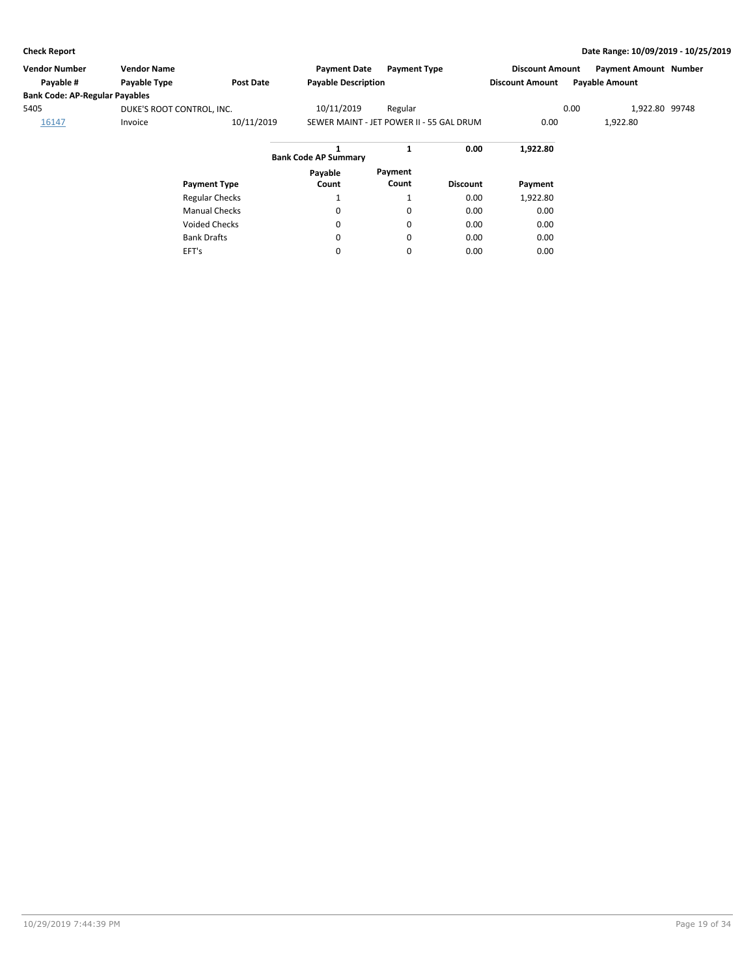| <b>Vendor Number</b>                  | <b>Vendor Name</b>        |                       | <b>Payment Date</b>                      | <b>Payment Type</b> |                 | <b>Discount Amount</b> |      | <b>Payment Amount Number</b> |  |
|---------------------------------------|---------------------------|-----------------------|------------------------------------------|---------------------|-----------------|------------------------|------|------------------------------|--|
| Payable #                             | Payable Type              | Post Date             | <b>Payable Description</b>               |                     |                 | <b>Discount Amount</b> |      | <b>Payable Amount</b>        |  |
| <b>Bank Code: AP-Regular Payables</b> |                           |                       |                                          |                     |                 |                        |      |                              |  |
| 5405                                  | DUKE'S ROOT CONTROL, INC. |                       | 10/11/2019                               | Regular             |                 |                        | 0.00 | 1,922.80 99748               |  |
| 16147                                 | Invoice                   | 10/11/2019            | SEWER MAINT - JET POWER II - 55 GAL DRUM |                     |                 | 0.00                   |      | 1,922.80                     |  |
|                                       |                           |                       | <b>Bank Code AP Summary</b>              | $\mathbf{1}$        | 0.00            | 1,922.80               |      |                              |  |
|                                       |                           | <b>Payment Type</b>   | Payable<br>Count                         | Payment<br>Count    | <b>Discount</b> | Payment                |      |                              |  |
|                                       |                           | <b>Regular Checks</b> |                                          |                     | 0.00            | 1,922.80               |      |                              |  |
|                                       |                           | <b>Manual Checks</b>  | ᆚ<br>0                                   | 0                   | 0.00            | 0.00                   |      |                              |  |
|                                       |                           |                       |                                          |                     |                 |                        |      |                              |  |
|                                       |                           | <b>Voided Checks</b>  | $\mathbf 0$                              | 0                   | 0.00            | 0.00                   |      |                              |  |
|                                       |                           | <b>Bank Drafts</b>    | 0                                        | 0                   | 0.00            | 0.00                   |      |                              |  |
|                                       | EFT's                     |                       | 0                                        | 0                   | 0.00            | 0.00                   |      |                              |  |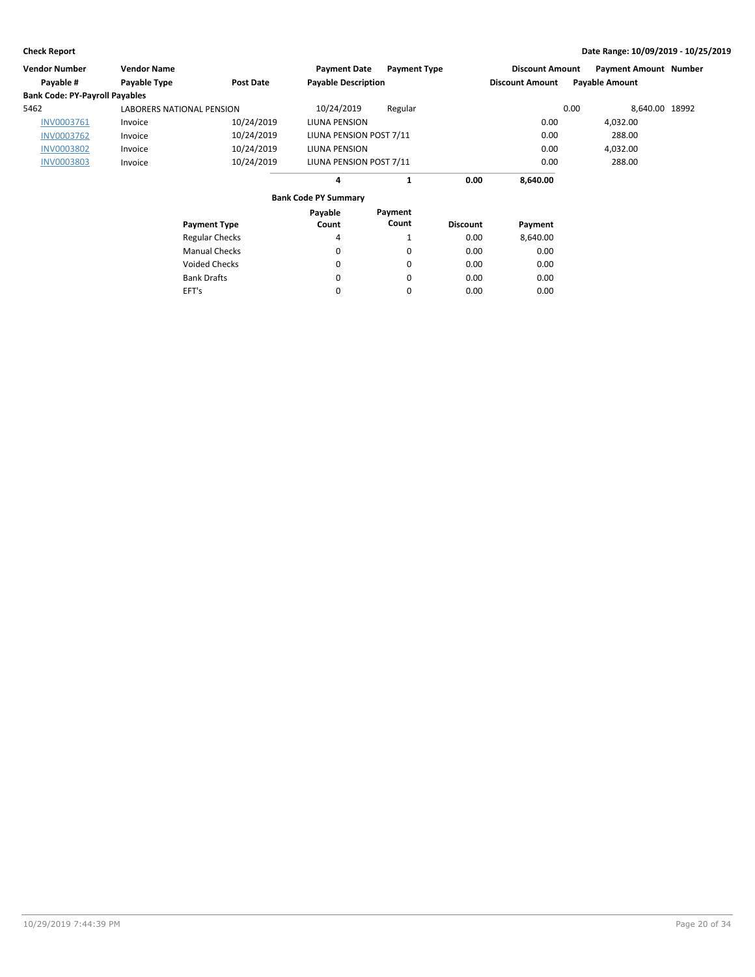| Vendor Number                         | <b>Vendor Name</b>               |                       | <b>Payment Date</b>         | <b>Payment Type</b> |                 | <b>Discount Amount</b> |      | <b>Payment Amount Number</b> |  |
|---------------------------------------|----------------------------------|-----------------------|-----------------------------|---------------------|-----------------|------------------------|------|------------------------------|--|
| Payable #                             | Payable Type                     | <b>Post Date</b>      | <b>Payable Description</b>  |                     |                 | <b>Discount Amount</b> |      | <b>Payable Amount</b>        |  |
| <b>Bank Code: PY-Payroll Payables</b> |                                  |                       |                             |                     |                 |                        |      |                              |  |
| 5462                                  | <b>LABORERS NATIONAL PENSION</b> |                       | 10/24/2019                  | Regular             |                 |                        | 0.00 | 8,640.00 18992               |  |
| INV0003761                            | Invoice                          | 10/24/2019            | LIUNA PENSION               |                     |                 | 0.00                   |      | 4,032.00                     |  |
| <b>INV0003762</b>                     | Invoice                          | 10/24/2019            | LIUNA PENSION POST 7/11     |                     |                 | 0.00                   |      | 288.00                       |  |
| <b>INV0003802</b>                     | Invoice                          | 10/24/2019            | LIUNA PENSION               |                     |                 | 0.00                   |      | 4,032.00                     |  |
| <b>INV0003803</b>                     | Invoice                          | 10/24/2019            | LIUNA PENSION POST 7/11     |                     |                 | 0.00                   |      | 288.00                       |  |
|                                       |                                  |                       | 4                           | 1                   | 0.00            | 8,640.00               |      |                              |  |
|                                       |                                  |                       | <b>Bank Code PY Summary</b> |                     |                 |                        |      |                              |  |
|                                       |                                  |                       | Payable                     | Payment             |                 |                        |      |                              |  |
|                                       |                                  | <b>Payment Type</b>   | Count                       | Count               | <b>Discount</b> | Payment                |      |                              |  |
|                                       |                                  | <b>Regular Checks</b> | 4                           | 1                   | 0.00            | 8,640.00               |      |                              |  |
|                                       |                                  | <b>Manual Checks</b>  | 0                           | 0                   | 0.00            | 0.00                   |      |                              |  |
|                                       |                                  | <b>Voided Checks</b>  | 0                           | 0                   | 0.00            | 0.00                   |      |                              |  |
|                                       |                                  | <b>Bank Drafts</b>    | 0                           | 0                   | 0.00            | 0.00                   |      |                              |  |
|                                       | EFT's                            |                       | 0                           | 0                   | 0.00            | 0.00                   |      |                              |  |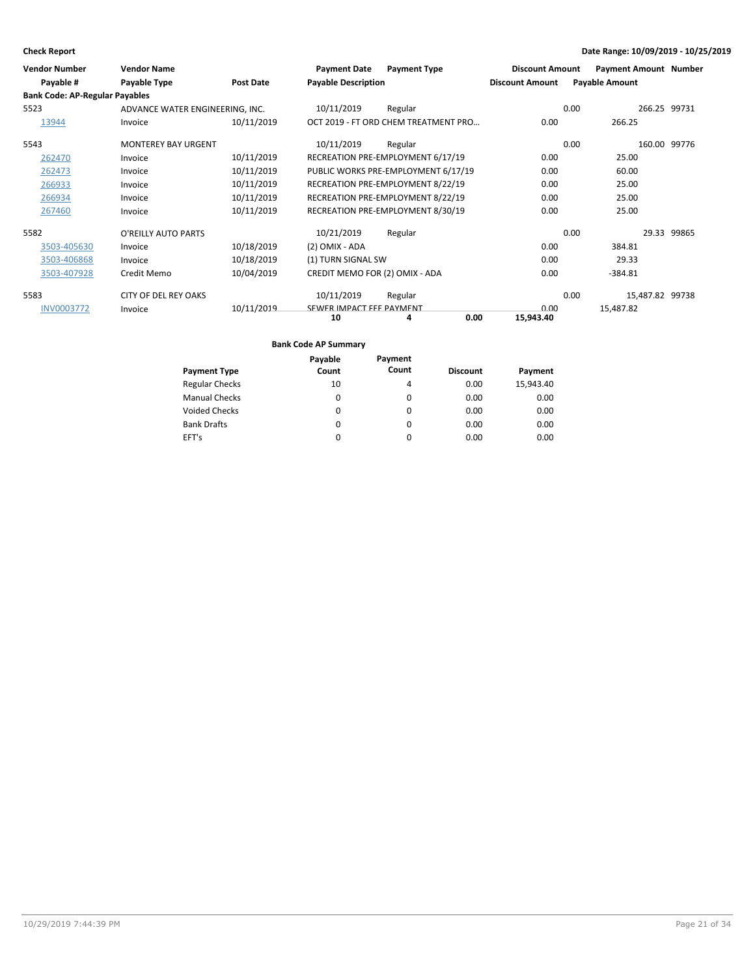| <b>Vendor Number</b><br>Payable #     | <b>Vendor Name</b><br>Payable Type | Post Date  | <b>Payment Date</b><br><b>Payable Description</b> | <b>Payment Type</b>                  | <b>Discount Amount</b><br><b>Discount Amount</b> | <b>Payment Amount Number</b><br><b>Payable Amount</b> |              |
|---------------------------------------|------------------------------------|------------|---------------------------------------------------|--------------------------------------|--------------------------------------------------|-------------------------------------------------------|--------------|
| <b>Bank Code: AP-Regular Payables</b> |                                    |            |                                                   |                                      |                                                  |                                                       |              |
| 5523                                  | ADVANCE WATER ENGINEERING, INC.    |            | 10/11/2019                                        | Regular                              |                                                  | 0.00                                                  | 266.25 99731 |
| 13944                                 | Invoice                            | 10/11/2019 |                                                   | OCT 2019 - FT ORD CHEM TREATMENT PRO | 0.00                                             | 266.25                                                |              |
| 5543                                  | <b>MONTEREY BAY URGENT</b>         |            | 10/11/2019                                        | Regular                              |                                                  | 0.00                                                  | 160.00 99776 |
| 262470                                | Invoice                            | 10/11/2019 |                                                   | RECREATION PRE-EMPLOYMENT 6/17/19    | 0.00                                             | 25.00                                                 |              |
| 262473                                | Invoice                            | 10/11/2019 |                                                   | PUBLIC WORKS PRE-EMPLOYMENT 6/17/19  | 0.00                                             | 60.00                                                 |              |
| 266933                                | Invoice                            | 10/11/2019 |                                                   | RECREATION PRE-EMPLOYMENT 8/22/19    | 0.00                                             | 25.00                                                 |              |
| 266934                                | Invoice                            | 10/11/2019 |                                                   | RECREATION PRE-EMPLOYMENT 8/22/19    | 0.00                                             | 25.00                                                 |              |
| 267460                                | Invoice                            | 10/11/2019 |                                                   | RECREATION PRE-EMPLOYMENT 8/30/19    | 0.00                                             | 25.00                                                 |              |
| 5582                                  | O'REILLY AUTO PARTS                |            | 10/21/2019                                        | Regular                              |                                                  | 0.00                                                  | 29.33 99865  |
| 3503-405630                           | Invoice                            | 10/18/2019 | (2) OMIX - ADA                                    |                                      | 0.00                                             | 384.81                                                |              |
| 3503-406868                           | Invoice                            | 10/18/2019 | (1) TURN SIGNAL SW                                |                                      | 0.00                                             | 29.33                                                 |              |
| 3503-407928                           | Credit Memo                        | 10/04/2019 | CREDIT MEMO FOR (2) OMIX - ADA                    |                                      | 0.00                                             | $-384.81$                                             |              |
| 5583                                  | <b>CITY OF DEL REY OAKS</b>        |            | 10/11/2019                                        | Regular                              |                                                  | 0.00<br>15,487.82 99738                               |              |
| <b>INV0003772</b>                     | Invoice                            | 10/11/2019 | SEWER IMPACT FFF PAYMENT<br>10                    | 0.00<br>4                            | 0.00<br>15,943.40                                | 15,487.82                                             |              |

|                       | Payable | Payment  |                 |           |
|-----------------------|---------|----------|-----------------|-----------|
| <b>Payment Type</b>   | Count   | Count    | <b>Discount</b> | Payment   |
| <b>Regular Checks</b> | 10      | 4        | 0.00            | 15,943.40 |
| <b>Manual Checks</b>  | 0       | $\Omega$ | 0.00            | 0.00      |
| <b>Voided Checks</b>  | 0       | $\Omega$ | 0.00            | 0.00      |
| <b>Bank Drafts</b>    | 0       | $\Omega$ | 0.00            | 0.00      |
| EFT's                 | 0       | $\Omega$ | 0.00            | 0.00      |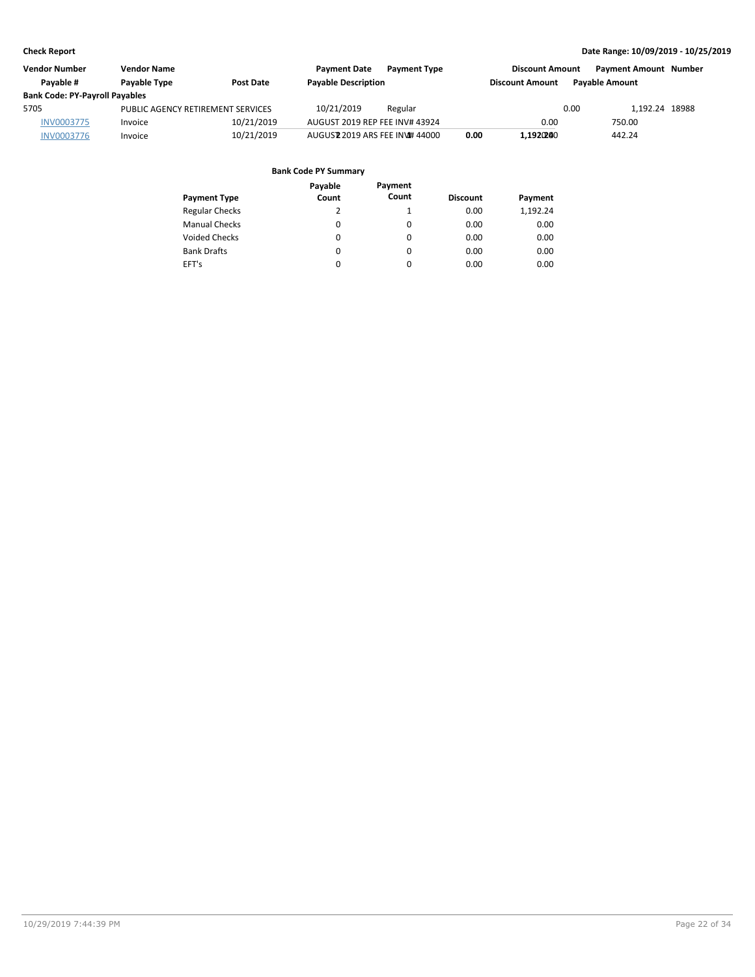| <b>Vendor Number</b><br><b>Vendor Name</b> |                                         | <b>Payment Date</b> | <b>Payment Type</b>            | <b>Discount Amount</b> |      |                        | <b>Payment Amount Number</b> |                |  |
|--------------------------------------------|-----------------------------------------|---------------------|--------------------------------|------------------------|------|------------------------|------------------------------|----------------|--|
| Pavable #                                  | <b>Pavable Type</b><br><b>Post Date</b> |                     | <b>Payable Description</b>     |                        |      | <b>Discount Amount</b> | <b>Pavable Amount</b>        |                |  |
| <b>Bank Code: PY-Payroll Payables</b>      |                                         |                     |                                |                        |      |                        |                              |                |  |
| 5705                                       | PUBLIC AGENCY RETIREMENT SERVICES       |                     | 10/21/2019                     | Regular                |      |                        | 0.00                         | 1.192.24 18988 |  |
| <b>INV0003775</b>                          | Invoice                                 | 10/21/2019          | AUGUST 2019 REP FEE INV# 43924 |                        |      | 0.00                   |                              | 750.00         |  |
| <b>INV0003776</b>                          | Invoice                                 | 10/21/2019          | AUGUSZ 2019 ARS FEE INV# 44000 |                        | 0.00 | 1.1920200              |                              | 442.24         |  |

| <b>Payment Type</b>   | Payable<br>Count | Payment<br>Count | <b>Discount</b> | Payment  |
|-----------------------|------------------|------------------|-----------------|----------|
| <b>Regular Checks</b> | 2                |                  | 0.00            | 1,192.24 |
| <b>Manual Checks</b>  | 0                | 0                | 0.00            | 0.00     |
| <b>Voided Checks</b>  | $\Omega$         | $\Omega$         | 0.00            | 0.00     |
| <b>Bank Drafts</b>    | $\Omega$         | $\Omega$         | 0.00            | 0.00     |
| EFT's                 | $\Omega$         | $\Omega$         | 0.00            | 0.00     |
|                       |                  |                  |                 |          |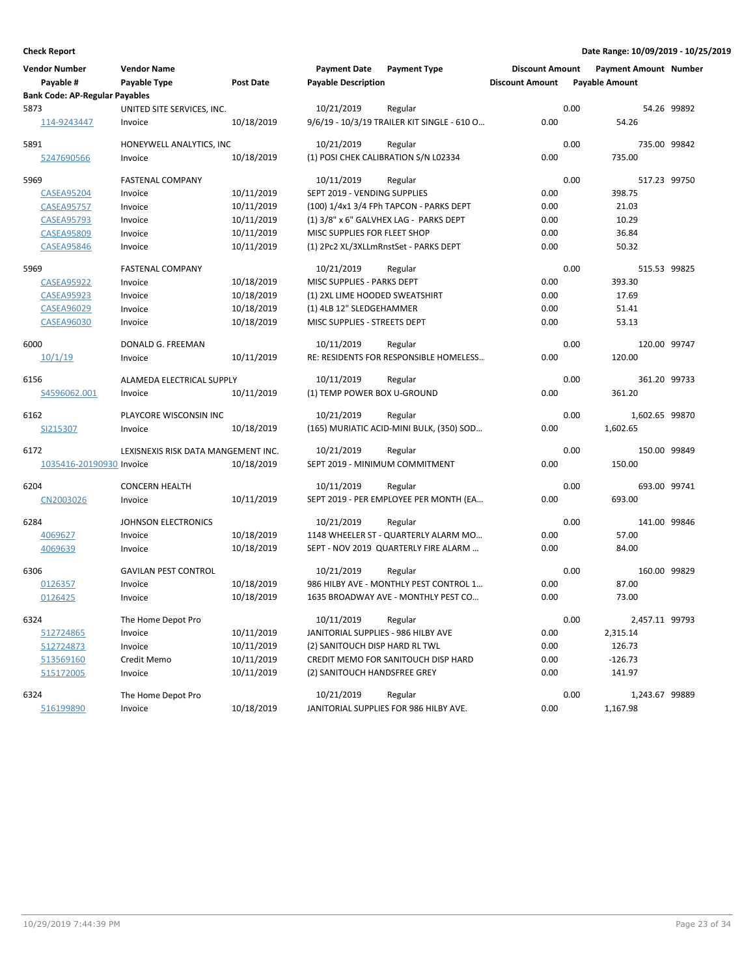| Vendor Number<br>Payable #            | <b>Vendor Name</b><br>Payable Type  | <b>Post Date</b> | <b>Payment Date</b><br><b>Payable Description</b> | <b>Payment Type</b>                         | <b>Discount Amount</b><br><b>Discount Amount</b> |      | <b>Payment Amount Number</b><br><b>Payable Amount</b> |             |
|---------------------------------------|-------------------------------------|------------------|---------------------------------------------------|---------------------------------------------|--------------------------------------------------|------|-------------------------------------------------------|-------------|
| <b>Bank Code: AP-Regular Payables</b> |                                     |                  |                                                   |                                             |                                                  |      |                                                       |             |
| 5873                                  | UNITED SITE SERVICES, INC.          |                  | 10/21/2019                                        | Regular                                     |                                                  | 0.00 |                                                       | 54.26 99892 |
| 114-9243447                           | Invoice                             | 10/18/2019       |                                                   | 9/6/19 - 10/3/19 TRAILER KIT SINGLE - 610 O | 0.00                                             |      | 54.26                                                 |             |
| 5891                                  | HONEYWELL ANALYTICS, INC            |                  | 10/21/2019                                        | Regular                                     |                                                  | 0.00 | 735.00 99842                                          |             |
| 5247690566                            | Invoice                             | 10/18/2019       |                                                   | (1) POSI CHEK CALIBRATION S/N L02334        | 0.00                                             |      | 735.00                                                |             |
| 5969                                  | <b>FASTENAL COMPANY</b>             |                  | 10/11/2019                                        | Regular                                     |                                                  | 0.00 | 517.23 99750                                          |             |
| <b>CASEA95204</b>                     | Invoice                             | 10/11/2019       | SEPT 2019 - VENDING SUPPLIES                      |                                             | 0.00                                             |      | 398.75                                                |             |
| <b>CASEA95757</b>                     | Invoice                             | 10/11/2019       |                                                   | (100) 1/4x1 3/4 FPh TAPCON - PARKS DEPT     | 0.00                                             |      | 21.03                                                 |             |
| <b>CASEA95793</b>                     | Invoice                             | 10/11/2019       |                                                   | (1) 3/8" x 6" GALVHEX LAG - PARKS DEPT      | 0.00                                             |      | 10.29                                                 |             |
| <b>CASEA95809</b>                     | Invoice                             | 10/11/2019       | MISC SUPPLIES FOR FLEET SHOP                      |                                             | 0.00                                             |      | 36.84                                                 |             |
| <b>CASEA95846</b>                     | Invoice                             | 10/11/2019       |                                                   | (1) 2Pc2 XL/3XLLmRnstSet - PARKS DEPT       | 0.00                                             |      | 50.32                                                 |             |
| 5969                                  | <b>FASTENAL COMPANY</b>             |                  | 10/21/2019                                        | Regular                                     |                                                  | 0.00 | 515.53 99825                                          |             |
| <b>CASEA95922</b>                     | Invoice                             | 10/18/2019       | MISC SUPPLIES - PARKS DEPT                        |                                             | 0.00                                             |      | 393.30                                                |             |
| <b>CASEA95923</b>                     | Invoice                             | 10/18/2019       | (1) 2XL LIME HOODED SWEATSHIRT                    |                                             | 0.00                                             |      | 17.69                                                 |             |
| <b>CASEA96029</b>                     | Invoice                             | 10/18/2019       | (1) 4LB 12" SLEDGEHAMMER                          |                                             | 0.00                                             |      | 51.41                                                 |             |
| <b>CASEA96030</b>                     | Invoice                             | 10/18/2019       | MISC SUPPLIES - STREETS DEPT                      |                                             | 0.00                                             |      | 53.13                                                 |             |
| 6000                                  | DONALD G. FREEMAN                   |                  | 10/11/2019                                        | Regular                                     |                                                  | 0.00 | 120.00 99747                                          |             |
| 10/1/19                               | Invoice                             | 10/11/2019       |                                                   | RE: RESIDENTS FOR RESPONSIBLE HOMELESS      | 0.00                                             |      | 120.00                                                |             |
| 6156                                  | ALAMEDA ELECTRICAL SUPPLY           |                  | 10/11/2019                                        | Regular                                     |                                                  | 0.00 | 361.20 99733                                          |             |
| S4596062.001                          | Invoice                             | 10/11/2019       | (1) TEMP POWER BOX U-GROUND                       |                                             | 0.00                                             |      | 361.20                                                |             |
| 6162                                  | PLAYCORE WISCONSIN INC              |                  | 10/21/2019                                        | Regular                                     |                                                  | 0.00 | 1,602.65 99870                                        |             |
| SI215307                              | Invoice                             | 10/18/2019       |                                                   | (165) MURIATIC ACID-MINI BULK, (350) SOD    | 0.00                                             |      | 1,602.65                                              |             |
| 6172                                  | LEXISNEXIS RISK DATA MANGEMENT INC. |                  | 10/21/2019                                        | Regular                                     |                                                  | 0.00 | 150.00 99849                                          |             |
| 1035416-20190930 Invoice              |                                     | 10/18/2019       |                                                   | SEPT 2019 - MINIMUM COMMITMENT              | 0.00                                             |      | 150.00                                                |             |
| 6204                                  | <b>CONCERN HEALTH</b>               |                  | 10/11/2019                                        | Regular                                     |                                                  | 0.00 | 693.00 99741                                          |             |
| CN2003026                             | Invoice                             | 10/11/2019       |                                                   | SEPT 2019 - PER EMPLOYEE PER MONTH (EA      | 0.00                                             |      | 693.00                                                |             |
| 6284                                  | <b>JOHNSON ELECTRONICS</b>          |                  | 10/21/2019                                        | Regular                                     |                                                  | 0.00 | 141.00 99846                                          |             |
| 4069627                               | Invoice                             | 10/18/2019       |                                                   | 1148 WHEELER ST - QUARTERLY ALARM MO        | 0.00                                             |      | 57.00                                                 |             |
| 4069639                               | Invoice                             | 10/18/2019       |                                                   | SEPT - NOV 2019 QUARTERLY FIRE ALARM        | 0.00                                             |      | 84.00                                                 |             |
| 6306                                  | <b>GAVILAN PEST CONTROL</b>         |                  | 10/21/2019                                        | Regular                                     |                                                  | 0.00 | 160.00 99829                                          |             |
| 0126357                               | Invoice                             | 10/18/2019       |                                                   | 986 HILBY AVE - MONTHLY PEST CONTROL 1      | 0.00                                             |      | 87.00                                                 |             |
| 0126425                               | Invoice                             | 10/18/2019       |                                                   | 1635 BROADWAY AVE - MONTHLY PEST CO         | 0.00                                             |      | 73.00                                                 |             |
| 6324                                  | The Home Depot Pro                  |                  | 10/11/2019                                        | Regular                                     |                                                  | 0.00 | 2,457.11 99793                                        |             |
| 512724865                             | Invoice                             | 10/11/2019       | JANITORIAL SUPPLIES - 986 HILBY AVE               |                                             | 0.00                                             |      | 2,315.14                                              |             |
| 512724873                             | Invoice                             | 10/11/2019       | (2) SANITOUCH DISP HARD RL TWL                    |                                             | 0.00                                             |      | 126.73                                                |             |
| 513569160                             | Credit Memo                         | 10/11/2019       |                                                   | CREDIT MEMO FOR SANITOUCH DISP HARD         | 0.00                                             |      | $-126.73$                                             |             |
| 515172005                             | Invoice                             | 10/11/2019       | (2) SANITOUCH HANDSFREE GREY                      |                                             | 0.00                                             |      | 141.97                                                |             |
| 6324                                  | The Home Depot Pro                  |                  | 10/21/2019                                        | Regular                                     |                                                  | 0.00 | 1,243.67 99889                                        |             |
| 516199890                             | Invoice                             | 10/18/2019       |                                                   | JANITORIAL SUPPLIES FOR 986 HILBY AVE.      | 0.00                                             |      | 1,167.98                                              |             |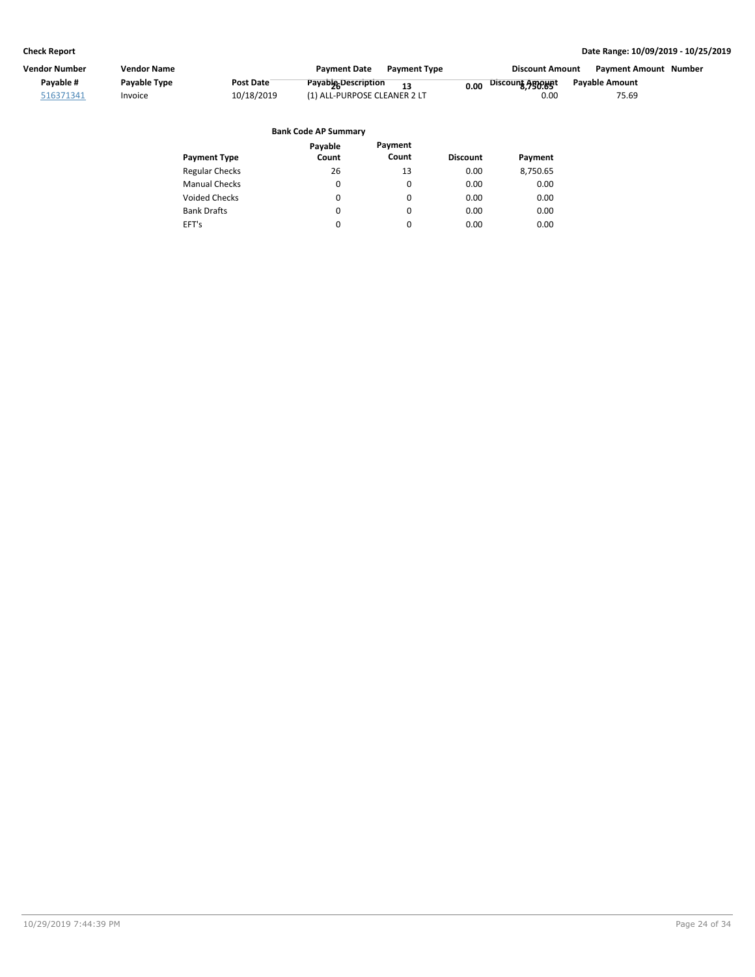| Vendor Number | <b>Vendor Name</b> |            | <b>Payment Date</b><br><b>Payment Type</b> | <b>Discount Amount</b>   | <b>Payment Amount Number</b> |  |
|---------------|--------------------|------------|--------------------------------------------|--------------------------|------------------------------|--|
| Pavable #     | Payable Type       | Post Date  | <b>Payabig Description</b><br>12           | Discount Agopupt<br>0.00 | Payable Amount               |  |
| 516371341     | Invoice            | 10/18/2019 | (1) ALL-PURPOSE CLEANER 2 LT               | 0.00                     | 75.69                        |  |
|               |                    |            |                                            |                          |                              |  |

| <b>Bank Code AP Summary</b> |  |
|-----------------------------|--|
|-----------------------------|--|

|                       | Payable  | Payment  |                 |          |
|-----------------------|----------|----------|-----------------|----------|
| <b>Payment Type</b>   | Count    | Count    | <b>Discount</b> | Payment  |
| <b>Regular Checks</b> | 26       | 13       | 0.00            | 8,750.65 |
| <b>Manual Checks</b>  | 0        | 0        | 0.00            | 0.00     |
| <b>Voided Checks</b>  | 0        | 0        | 0.00            | 0.00     |
| <b>Bank Drafts</b>    | $\Omega$ | $\Omega$ | 0.00            | 0.00     |
| EFT's                 | 0        | 0        | 0.00            | 0.00     |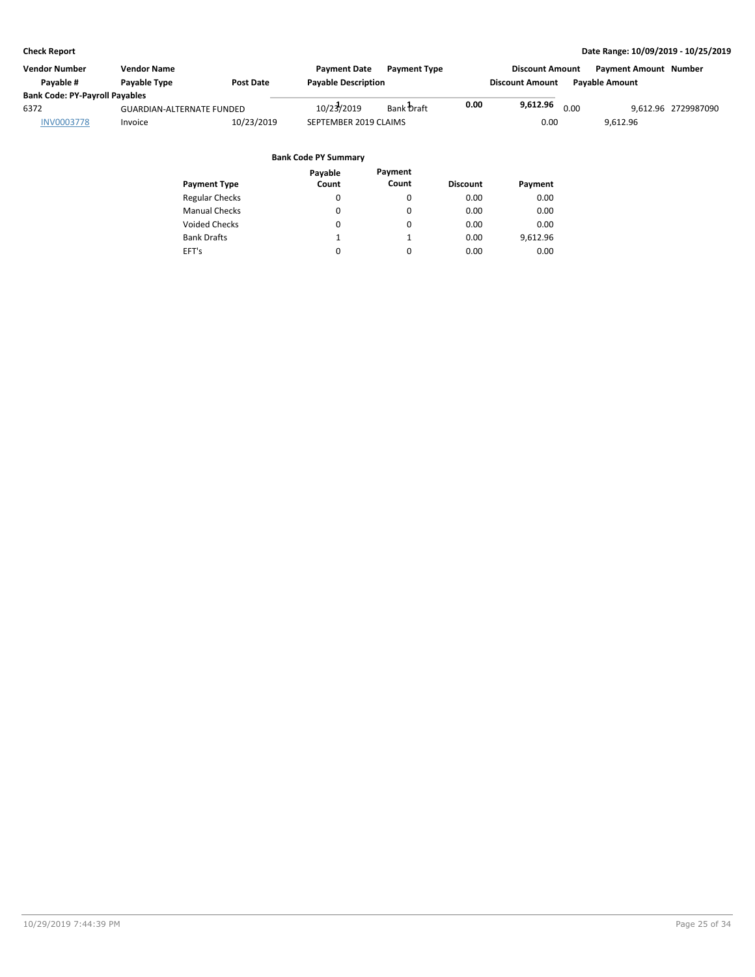| Vendor Number<br><b>Vendor Name</b><br>Pavable #<br>Payable Type<br><b>Post Date</b> |            | <b>Payment Date</b>              | <b>Payment Type</b> |                       |                        | <b>Payment Amount Number</b> |                                              |                       |  |
|--------------------------------------------------------------------------------------|------------|----------------------------------|---------------------|-----------------------|------------------------|------------------------------|----------------------------------------------|-----------------------|--|
|                                                                                      |            | <b>Payable Description</b>       |                     |                       | <b>Discount Amount</b> |                              |                                              |                       |  |
| <b>Bank Code: PY-Payroll Payables</b>                                                |            |                                  |                     |                       |                        |                              |                                              |                       |  |
|                                                                                      |            | 10/23/2019                       | Bank Draft          | 0.00                  |                        |                              |                                              | 9.612.96 2729987090   |  |
| Invoice                                                                              | 10/23/2019 |                                  |                     |                       | 0.00                   |                              | 9.612.96                                     |                       |  |
|                                                                                      |            |                                  |                     |                       |                        |                              |                                              |                       |  |
|                                                                                      |            | <b>GUARDIAN-ALTERNATE FUNDED</b> |                     | SEPTEMBER 2019 CLAIMS |                        |                              | <b>Discount Amount</b><br>9,612.96 $_{0.00}$ | <b>Payable Amount</b> |  |

|                       | Payable | Payment  |                 |          |
|-----------------------|---------|----------|-----------------|----------|
| <b>Payment Type</b>   | Count   | Count    | <b>Discount</b> | Payment  |
| <b>Regular Checks</b> | 0       | 0        | 0.00            | 0.00     |
| <b>Manual Checks</b>  |         | $\Omega$ | 0.00            | 0.00     |
| <b>Voided Checks</b>  |         | $\Omega$ | 0.00            | 0.00     |
| <b>Bank Drafts</b>    |         | 1        | 0.00            | 9,612.96 |
| EFT's                 |         | 0        | 0.00            | 0.00     |
|                       |         |          |                 |          |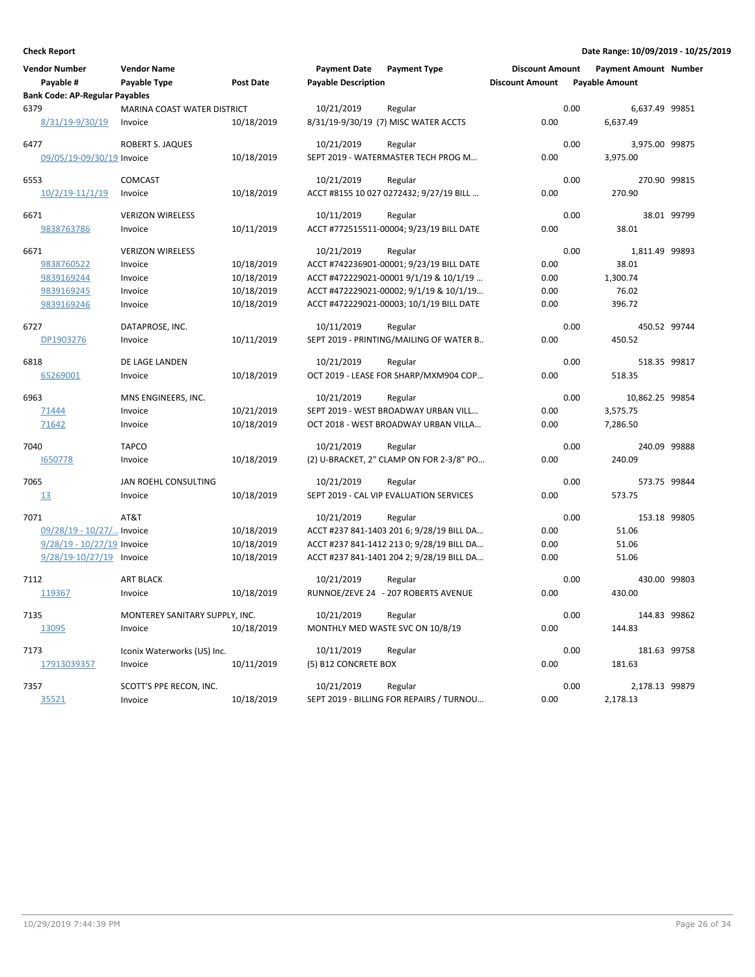| <b>Vendor Number</b><br>Payable #             | <b>Vendor Name</b><br>Payable Type | <b>Post Date</b> | <b>Payment Date</b><br><b>Payable Description</b> | <b>Payment Type</b>                       | <b>Discount Amount</b><br><b>Discount Amount</b> |      | <b>Payment Amount Number</b><br><b>Payable Amount</b> |             |
|-----------------------------------------------|------------------------------------|------------------|---------------------------------------------------|-------------------------------------------|--------------------------------------------------|------|-------------------------------------------------------|-------------|
| <b>Bank Code: AP-Regular Payables</b><br>6379 | MARINA COAST WATER DISTRICT        |                  | 10/21/2019                                        | Regular                                   |                                                  | 0.00 | 6,637.49 99851                                        |             |
| 8/31/19-9/30/19                               | Invoice                            | 10/18/2019       |                                                   | 8/31/19-9/30/19 (7) MISC WATER ACCTS      | 0.00                                             |      | 6.637.49                                              |             |
| 6477                                          | <b>ROBERT S. JAQUES</b>            |                  | 10/21/2019                                        | Regular                                   |                                                  | 0.00 | 3,975.00 99875                                        |             |
| 09/05/19-09/30/19 Invoice                     |                                    | 10/18/2019       |                                                   | SEPT 2019 - WATERMASTER TECH PROG M       | 0.00                                             |      | 3,975.00                                              |             |
| 6553                                          | <b>COMCAST</b>                     |                  | 10/21/2019                                        | Regular                                   |                                                  | 0.00 | 270.90 99815                                          |             |
| $10/2/19 - 11/1/19$                           | Invoice                            | 10/18/2019       |                                                   | ACCT #8155 10 027 0272432; 9/27/19 BILL   | 0.00                                             |      | 270.90                                                |             |
| 6671                                          | <b>VERIZON WIRELESS</b>            |                  | 10/11/2019                                        | Regular                                   |                                                  | 0.00 |                                                       | 38.01 99799 |
| 9838763786                                    | Invoice                            | 10/11/2019       |                                                   | ACCT #772515511-00004; 9/23/19 BILL DATE  | 0.00                                             |      | 38.01                                                 |             |
| 6671                                          | <b>VERIZON WIRELESS</b>            |                  | 10/21/2019                                        | Regular                                   |                                                  | 0.00 | 1,811.49 99893                                        |             |
| 9838760522                                    | Invoice                            | 10/18/2019       |                                                   | ACCT #742236901-00001; 9/23/19 BILL DATE  | 0.00                                             |      | 38.01                                                 |             |
| 9839169244                                    | Invoice                            | 10/18/2019       |                                                   | ACCT #472229021-00001 9/1/19 & 10/1/19    | 0.00                                             |      | 1,300.74                                              |             |
| 9839169245                                    | Invoice                            | 10/18/2019       |                                                   | ACCT #472229021-00002; 9/1/19 & 10/1/19   | 0.00                                             |      | 76.02                                                 |             |
| 9839169246                                    | Invoice                            | 10/18/2019       |                                                   | ACCT #472229021-00003; 10/1/19 BILL DATE  | 0.00                                             |      | 396.72                                                |             |
| 6727                                          | DATAPROSE, INC.                    |                  | 10/11/2019                                        | Regular                                   |                                                  | 0.00 | 450.52 99744                                          |             |
| DP1903276                                     | Invoice                            | 10/11/2019       |                                                   | SEPT 2019 - PRINTING/MAILING OF WATER B   | 0.00                                             |      | 450.52                                                |             |
| 6818                                          | DE LAGE LANDEN                     |                  | 10/21/2019                                        | Regular                                   |                                                  | 0.00 | 518.35 99817                                          |             |
| 65269001                                      | Invoice                            | 10/18/2019       |                                                   | OCT 2019 - LEASE FOR SHARP/MXM904 COP     | 0.00                                             |      | 518.35                                                |             |
| 6963                                          | MNS ENGINEERS, INC.                |                  | 10/21/2019                                        | Regular                                   |                                                  | 0.00 | 10,862.25 99854                                       |             |
| 71444                                         | Invoice                            | 10/21/2019       |                                                   | SEPT 2019 - WEST BROADWAY URBAN VILL      | 0.00                                             |      | 3,575.75                                              |             |
| 71642                                         | Invoice                            | 10/18/2019       |                                                   | OCT 2018 - WEST BROADWAY URBAN VILLA      | 0.00                                             |      | 7,286.50                                              |             |
| 7040                                          | <b>TAPCO</b>                       |                  | 10/21/2019                                        | Regular                                   |                                                  | 0.00 | 240.09 99888                                          |             |
| 1650778                                       | Invoice                            | 10/18/2019       |                                                   | (2) U-BRACKET, 2" CLAMP ON FOR 2-3/8" PO  | 0.00                                             |      | 240.09                                                |             |
| 7065                                          | JAN ROEHL CONSULTING               |                  | 10/21/2019                                        | Regular                                   |                                                  | 0.00 | 573.75 99844                                          |             |
| 13                                            | Invoice                            | 10/18/2019       |                                                   | SEPT 2019 - CAL VIP EVALUATION SERVICES   | 0.00                                             |      | 573.75                                                |             |
| 7071                                          | AT&T                               |                  | 10/21/2019                                        | Regular                                   |                                                  | 0.00 | 153.18 99805                                          |             |
| 09/28/19 - 10/27/ Invoice                     |                                    | 10/18/2019       |                                                   | ACCT #237 841-1403 201 6; 9/28/19 BILL DA | 0.00                                             |      | 51.06                                                 |             |
| 9/28/19 - 10/27/19 Invoice                    |                                    | 10/18/2019       |                                                   | ACCT #237 841-1412 213 0; 9/28/19 BILL DA | 0.00                                             |      | 51.06                                                 |             |
| 9/28/19-10/27/19 Invoice                      |                                    | 10/18/2019       |                                                   | ACCT #237 841-1401 204 2; 9/28/19 BILL DA | 0.00                                             |      | 51.06                                                 |             |
| 7112                                          | <b>ART BLACK</b>                   |                  | 10/21/2019                                        | Regular                                   |                                                  | 0.00 | 430.00 99803                                          |             |
| 119367                                        | Invoice                            | 10/18/2019       |                                                   | RUNNOE/ZEVE 24 - 207 ROBERTS AVENUE       | 0.00                                             |      | 430.00                                                |             |
| 7135                                          | MONTEREY SANITARY SUPPLY, INC.     |                  | 10/21/2019                                        | Regular                                   |                                                  | 0.00 | 144.83 99862                                          |             |
| 13095                                         | Invoice                            | 10/18/2019       |                                                   | MONTHLY MED WASTE SVC ON 10/8/19          | 0.00                                             |      | 144.83                                                |             |
| 7173                                          | Iconix Waterworks (US) Inc.        |                  | 10/11/2019                                        | Regular                                   |                                                  | 0.00 | 181.63 99758                                          |             |
| 17913039357                                   | Invoice                            | 10/11/2019       | (5) B12 CONCRETE BOX                              |                                           | 0.00                                             |      | 181.63                                                |             |
| 7357                                          | SCOTT'S PPE RECON, INC.            |                  | 10/21/2019                                        | Regular                                   |                                                  | 0.00 | 2,178.13 99879                                        |             |
| 35521                                         | Invoice                            | 10/18/2019       |                                                   | SEPT 2019 - BILLING FOR REPAIRS / TURNOU  | 0.00                                             |      | 2,178.13                                              |             |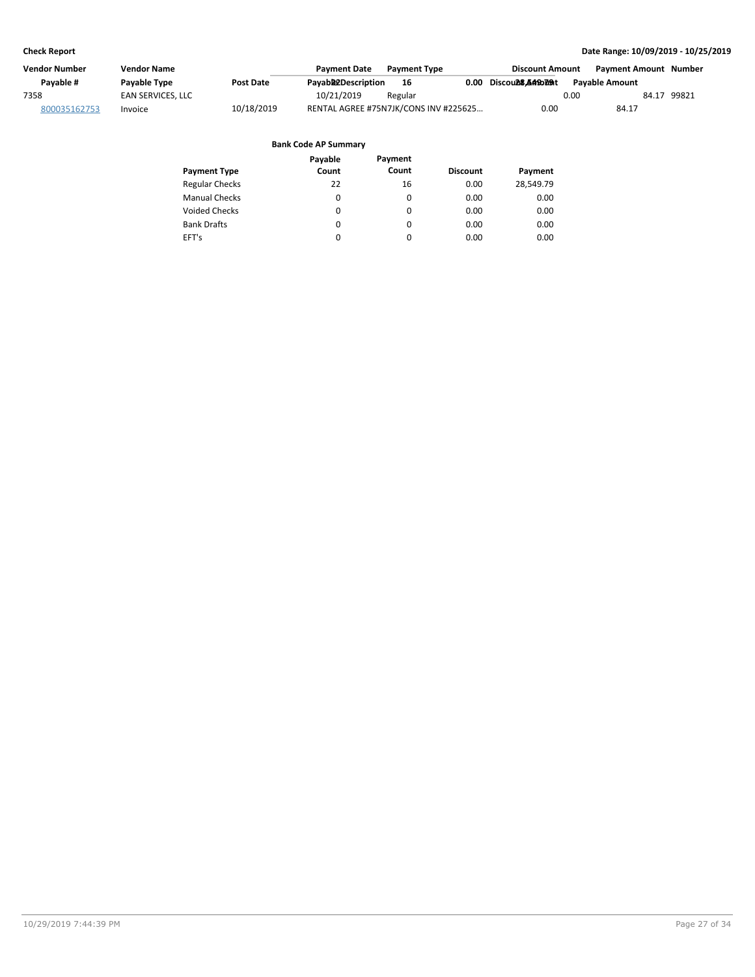| Vendor Number | <b>Vendor Name</b>  |                  | <b>Payment Date</b> | <b>Payment Type</b>                   |      | <b>Discount Amount</b> | Payment Amount Number |             |
|---------------|---------------------|------------------|---------------------|---------------------------------------|------|------------------------|-----------------------|-------------|
| Pavable #     | <b>Pavable Type</b> | <b>Post Date</b> | Payabb2Description  | 16                                    | 0.00 | Discould8.A49bl09t     | <b>Pavable Amount</b> |             |
| 7358          | EAN SERVICES. LLC   |                  | 10/21/2019          | Regular                               |      | 0.00                   |                       | 84.17 99821 |
| 800035162753  | Invoice             | 10/18/2019       |                     | RENTAL AGREE #75N7JK/CONS INV #225625 |      | 0.00                   | 84.17                 |             |

|                       | Payable  | Payment  |                 |           |
|-----------------------|----------|----------|-----------------|-----------|
| <b>Payment Type</b>   | Count    | Count    | <b>Discount</b> | Payment   |
| <b>Regular Checks</b> | 22       | 16       | 0.00            | 28,549.79 |
| <b>Manual Checks</b>  | 0        | 0        | 0.00            | 0.00      |
| Voided Checks         | $\Omega$ | $\Omega$ | 0.00            | 0.00      |
| <b>Bank Drafts</b>    | 0        | $\Omega$ | 0.00            | 0.00      |
| EFT's                 | 0        | $\Omega$ | 0.00            | 0.00      |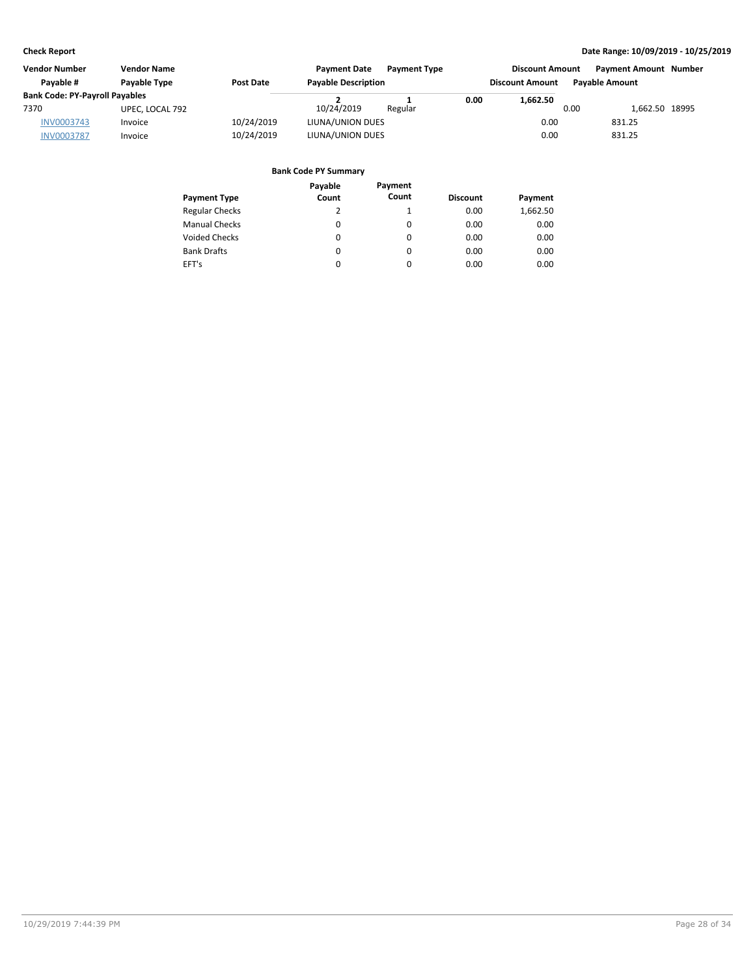| <b>Vendor Number</b><br><b>Vendor Name</b> |                                  |            | <b>Payment Date</b><br><b>Payment Type</b> |         |      | <b>Discount Amount</b> |                       | <b>Payment Amount Number</b> |  |
|--------------------------------------------|----------------------------------|------------|--------------------------------------------|---------|------|------------------------|-----------------------|------------------------------|--|
| Pavable #                                  | Payable Type<br><b>Post Date</b> |            | <b>Payable Description</b>                 |         |      | <b>Discount Amount</b> | <b>Pavable Amount</b> |                              |  |
| <b>Bank Code: PY-Payroll Payables</b>      |                                  |            |                                            |         | 0.00 | 1.662.50               |                       |                              |  |
| 7370                                       | UPEC, LOCAL 792                  |            | 10/24/2019                                 | Regular |      |                        | 0.00                  | 1.662.50 18995               |  |
| <b>INV0003743</b>                          | Invoice                          | 10/24/2019 | LIUNA/UNION DUES                           |         |      | 0.00                   |                       | 831.25                       |  |
| <b>INV0003787</b>                          | Invoice                          | 10/24/2019 | LIUNA/UNION DUES                           |         |      | 0.00                   |                       | 831.25                       |  |

|                       | Payable  | Payment  |                 |          |
|-----------------------|----------|----------|-----------------|----------|
| <b>Payment Type</b>   | Count    | Count    | <b>Discount</b> | Payment  |
| <b>Regular Checks</b> | 2        |          | 0.00            | 1,662.50 |
| <b>Manual Checks</b>  | 0        | $\Omega$ | 0.00            | 0.00     |
| <b>Voided Checks</b>  | $\Omega$ | $\Omega$ | 0.00            | 0.00     |
| <b>Bank Drafts</b>    | $\Omega$ | $\Omega$ | 0.00            | 0.00     |
| EFT's                 | 0        | $\Omega$ | 0.00            | 0.00     |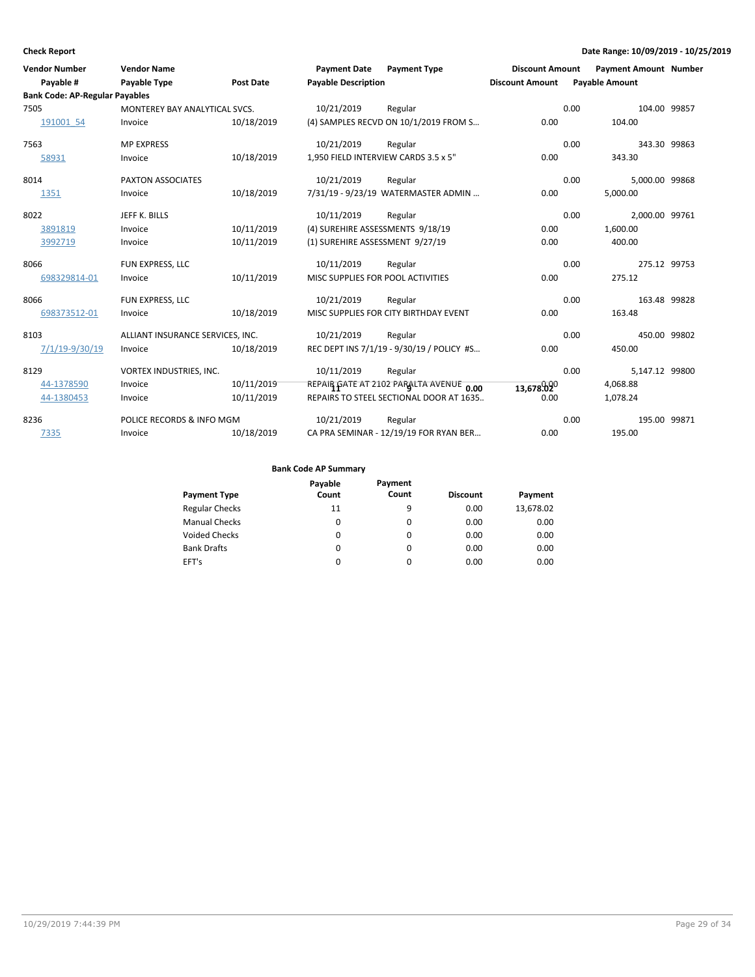| <b>Vendor Number</b><br>Payable #     | <b>Vendor Name</b><br>Payable Type | <b>Post Date</b> | <b>Payment Date</b><br><b>Payable Description</b> | <b>Payment Type</b>                       | <b>Discount Amount</b><br><b>Discount Amount</b> | <b>Payment Amount Number</b><br><b>Payable Amount</b> |              |
|---------------------------------------|------------------------------------|------------------|---------------------------------------------------|-------------------------------------------|--------------------------------------------------|-------------------------------------------------------|--------------|
| <b>Bank Code: AP-Regular Payables</b> |                                    |                  |                                                   |                                           |                                                  |                                                       |              |
| 7505                                  | MONTEREY BAY ANALYTICAL SVCS.      |                  | 10/21/2019                                        | Regular                                   |                                                  | 104.00 99857<br>0.00                                  |              |
| 191001 54                             | Invoice                            | 10/18/2019       |                                                   | (4) SAMPLES RECVD ON 10/1/2019 FROM S     | 0.00                                             | 104.00                                                |              |
| 7563                                  | <b>MP EXPRESS</b>                  |                  | 10/21/2019                                        | Regular                                   |                                                  | 0.00                                                  | 343.30 99863 |
| 58931                                 | Invoice                            | 10/18/2019       |                                                   | 1,950 FIELD INTERVIEW CARDS 3.5 x 5"      | 0.00                                             | 343.30                                                |              |
| 8014                                  | <b>PAXTON ASSOCIATES</b>           |                  | 10/21/2019                                        | Regular                                   |                                                  | 0.00<br>5,000.00 99868                                |              |
| 1351                                  | Invoice                            | 10/18/2019       |                                                   | 7/31/19 - 9/23/19 WATERMASTER ADMIN       | 0.00                                             | 5,000.00                                              |              |
| 8022                                  | JEFF K. BILLS                      |                  | 10/11/2019                                        | Regular                                   |                                                  | 0.00<br>2,000.00 99761                                |              |
| 3891819                               | Invoice                            | 10/11/2019       |                                                   | (4) SUREHIRE ASSESSMENTS 9/18/19          | 0.00                                             | 1,600.00                                              |              |
| 3992719                               | Invoice                            | 10/11/2019       | (1) SUREHIRE ASSESSMENT 9/27/19                   |                                           | 0.00                                             | 400.00                                                |              |
| 8066                                  | FUN EXPRESS, LLC                   |                  | 10/11/2019                                        | Regular                                   |                                                  | 0.00<br>275.12 99753                                  |              |
| 698329814-01                          | Invoice                            | 10/11/2019       |                                                   | MISC SUPPLIES FOR POOL ACTIVITIES         | 0.00                                             | 275.12                                                |              |
| 8066                                  | FUN EXPRESS, LLC                   |                  | 10/21/2019                                        | Regular                                   |                                                  | 0.00                                                  | 163.48 99828 |
| 698373512-01                          | Invoice                            | 10/18/2019       |                                                   | MISC SUPPLIES FOR CITY BIRTHDAY EVENT     | 0.00                                             | 163.48                                                |              |
| 8103                                  | ALLIANT INSURANCE SERVICES, INC.   |                  | 10/21/2019                                        | Regular                                   |                                                  | 0.00                                                  | 450.00 99802 |
| 7/1/19-9/30/19                        | Invoice                            | 10/18/2019       |                                                   | REC DEPT INS 7/1/19 - 9/30/19 / POLICY #S | 0.00                                             | 450.00                                                |              |
| 8129                                  | VORTEX INDUSTRIES, INC.            |                  | 10/11/2019                                        | Regular                                   |                                                  | 0.00<br>5,147.12 99800                                |              |
| 44-1378590                            | Invoice                            | 10/11/2019       |                                                   | REPAIR GATE AT 2102 PARALTA AVENUE 0.00   | 13,678.020                                       | 4,068.88                                              |              |
| 44-1380453                            | Invoice                            | 10/11/2019       |                                                   | REPAIRS TO STEEL SECTIONAL DOOR AT 1635   | 0.00                                             | 1,078.24                                              |              |
| 8236                                  | POLICE RECORDS & INFO MGM          |                  | 10/21/2019                                        | Regular                                   |                                                  | 195.00 99871<br>0.00                                  |              |
| 7335                                  | Invoice                            | 10/18/2019       |                                                   | CA PRA SEMINAR - 12/19/19 FOR RYAN BER    | 0.00                                             | 195.00                                                |              |

| <b>Payment Type</b>   | Payable<br>Count | Payment<br>Count | <b>Discount</b> | Payment   |
|-----------------------|------------------|------------------|-----------------|-----------|
| <b>Regular Checks</b> | 11               | 9                | 0.00            | 13,678.02 |
| <b>Manual Checks</b>  | 0                | $\Omega$         | 0.00            | 0.00      |
| <b>Voided Checks</b>  | 0                | $\Omega$         | 0.00            | 0.00      |
| <b>Bank Drafts</b>    | 0                | $\Omega$         | 0.00            | 0.00      |
| EFT's                 | 0                | $\Omega$         | 0.00            | 0.00      |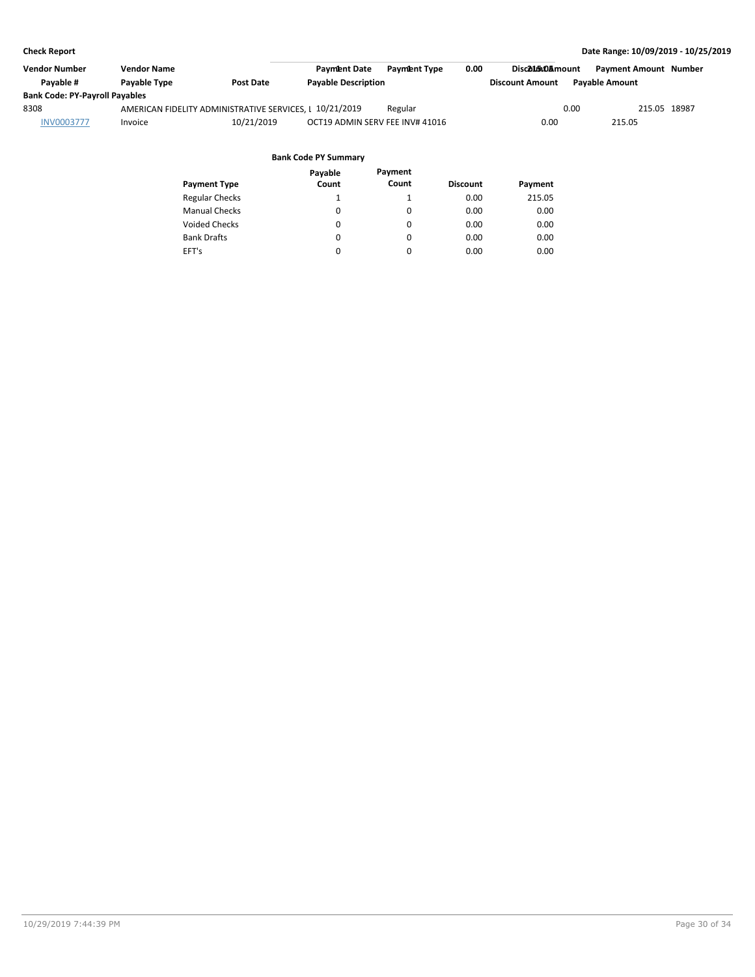| Vendor Number                         | Vendor Name  |                                                         | <b>Payment Type</b><br><b>Payment Date</b> | 0.00 | Disc215.0Amount        | Payment Amount Number |  |
|---------------------------------------|--------------|---------------------------------------------------------|--------------------------------------------|------|------------------------|-----------------------|--|
| Pavable #                             | Payable Type | Post Date                                               | <b>Payable Description</b>                 |      | <b>Discount Amount</b> | <b>Pavable Amount</b> |  |
| <b>Bank Code: PY-Payroll Payables</b> |              |                                                         |                                            |      |                        |                       |  |
| 8308                                  |              | AMERICAN FIDELITY ADMINISTRATIVE SERVICES, I 10/21/2019 | Regular                                    |      | 0.00                   | 215.05 18987          |  |
| <b>INV0003777</b>                     | Invoice      | 10/21/2019                                              | OCT19 ADMIN SERV FEE INV# 41016            |      | 0.00                   | 215.05                |  |
|                                       |              |                                                         |                                            |      |                        |                       |  |

#### **Bank Code PY Summary Payable**

| <b>Payment Type</b>   | Payable<br>Count | Payment<br>Count | <b>Discount</b> | Payment |
|-----------------------|------------------|------------------|-----------------|---------|
| <b>Regular Checks</b> | 1                | 1                | 0.00            | 215.05  |
| <b>Manual Checks</b>  | $\Omega$         | 0                | 0.00            | 0.00    |
| <b>Voided Checks</b>  | 0                | 0                | 0.00            | 0.00    |
| <b>Bank Drafts</b>    | 0                | 0                | 0.00            | 0.00    |
| EFT's                 | 0                | 0                | 0.00            | 0.00    |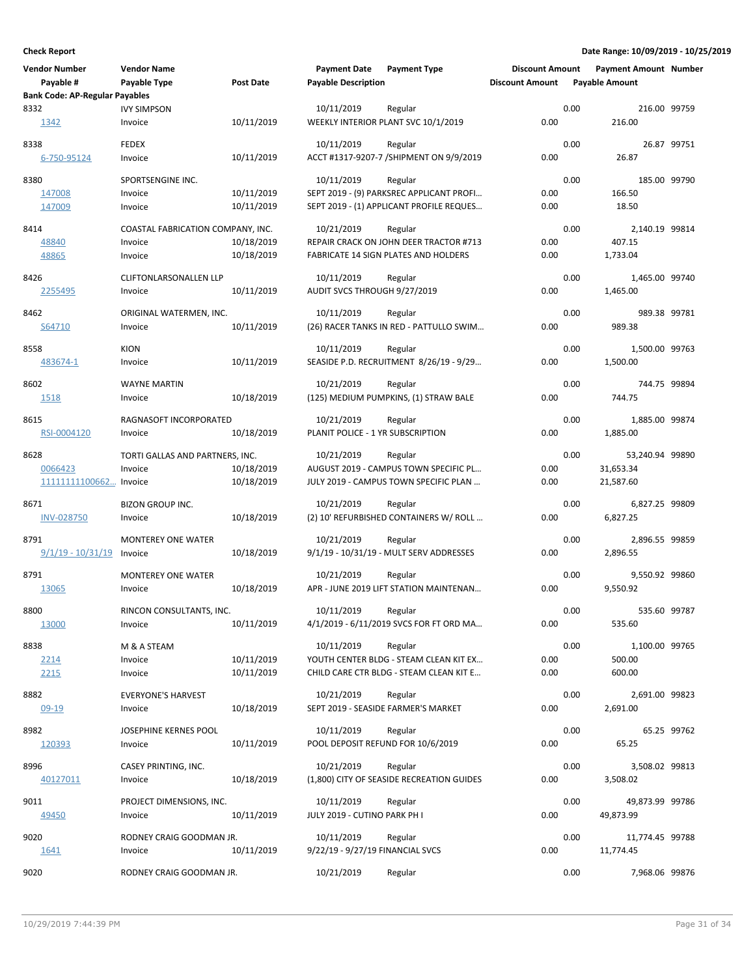| <b>Vendor Number</b><br>Payable #     | <b>Vendor Name</b><br>Payable Type         | <b>Post Date</b> | <b>Payment Date</b><br><b>Payable Description</b> | <b>Payment Type</b>                               | <b>Discount Amount</b><br><b>Discount Amount</b> |      | <b>Payment Amount Number</b><br><b>Payable Amount</b> |             |
|---------------------------------------|--------------------------------------------|------------------|---------------------------------------------------|---------------------------------------------------|--------------------------------------------------|------|-------------------------------------------------------|-------------|
| <b>Bank Code: AP-Regular Payables</b> |                                            |                  |                                                   |                                                   |                                                  |      |                                                       |             |
| 8332                                  | <b>IVY SIMPSON</b>                         |                  | 10/11/2019                                        | Regular                                           |                                                  | 0.00 | 216.00 99759                                          |             |
| 1342                                  | Invoice                                    | 10/11/2019       |                                                   | WEEKLY INTERIOR PLANT SVC 10/1/2019               | 0.00                                             |      | 216.00                                                |             |
| 8338                                  | <b>FEDEX</b>                               |                  | 10/11/2019                                        | Regular                                           |                                                  | 0.00 |                                                       | 26.87 99751 |
| 6-750-95124                           | Invoice                                    | 10/11/2019       |                                                   | ACCT #1317-9207-7 / SHIPMENT ON 9/9/2019          | 0.00                                             |      | 26.87                                                 |             |
| 8380                                  | SPORTSENGINE INC.                          |                  | 10/11/2019                                        | Regular                                           |                                                  | 0.00 | 185.00 99790                                          |             |
| 147008                                | Invoice                                    | 10/11/2019       |                                                   | SEPT 2019 - (9) PARKSREC APPLICANT PROFI          | 0.00                                             |      | 166.50                                                |             |
| 147009                                | Invoice                                    | 10/11/2019       |                                                   | SEPT 2019 - (1) APPLICANT PROFILE REQUES          | 0.00                                             |      | 18.50                                                 |             |
| 8414                                  | COASTAL FABRICATION COMPANY, INC.          |                  | 10/21/2019                                        | Regular                                           |                                                  | 0.00 | 2,140.19 99814                                        |             |
| 48840                                 | Invoice                                    | 10/18/2019       |                                                   | REPAIR CRACK ON JOHN DEER TRACTOR #713            | 0.00                                             |      | 407.15                                                |             |
| 48865                                 | Invoice                                    | 10/18/2019       |                                                   | FABRICATE 14 SIGN PLATES AND HOLDERS              | 0.00                                             |      | 1,733.04                                              |             |
|                                       |                                            |                  |                                                   |                                                   |                                                  |      |                                                       |             |
| 8426<br>2255495                       | <b>CLIFTONLARSONALLEN LLP</b><br>Invoice   | 10/11/2019       | 10/11/2019<br>AUDIT SVCS THROUGH 9/27/2019        | Regular                                           | 0.00                                             | 0.00 | 1,465.00 99740<br>1,465.00                            |             |
|                                       |                                            |                  |                                                   |                                                   |                                                  |      |                                                       |             |
| 8462                                  | ORIGINAL WATERMEN, INC.                    |                  | 10/11/2019                                        | Regular                                           |                                                  | 0.00 | 989.38 99781                                          |             |
| S64710                                | Invoice                                    | 10/11/2019       |                                                   | (26) RACER TANKS IN RED - PATTULLO SWIM           | 0.00                                             |      | 989.38                                                |             |
| 8558                                  | <b>KION</b>                                |                  | 10/11/2019                                        | Regular                                           |                                                  | 0.00 | 1,500.00 99763                                        |             |
| 483674-1                              | Invoice                                    | 10/11/2019       |                                                   | SEASIDE P.D. RECRUITMENT 8/26/19 - 9/29           | 0.00                                             |      | 1.500.00                                              |             |
|                                       |                                            |                  |                                                   |                                                   |                                                  |      |                                                       |             |
| 8602                                  | <b>WAYNE MARTIN</b>                        |                  | 10/21/2019                                        | Regular                                           |                                                  | 0.00 | 744.75 99894                                          |             |
| 1518                                  | Invoice                                    | 10/18/2019       |                                                   | (125) MEDIUM PUMPKINS, (1) STRAW BALE             | 0.00                                             |      | 744.75                                                |             |
| 8615                                  | RAGNASOFT INCORPORATED                     |                  | 10/21/2019                                        | Regular                                           |                                                  | 0.00 | 1,885.00 99874                                        |             |
| RSI-0004120                           | Invoice                                    | 10/18/2019       | PLANIT POLICE - 1 YR SUBSCRIPTION                 |                                                   | 0.00                                             |      | 1,885.00                                              |             |
|                                       |                                            |                  |                                                   |                                                   |                                                  | 0.00 |                                                       |             |
| 8628<br>0066423                       | TORTI GALLAS AND PARTNERS, INC.<br>Invoice | 10/18/2019       | 10/21/2019                                        | Regular<br>AUGUST 2019 - CAMPUS TOWN SPECIFIC PL  | 0.00                                             |      | 53,240.94 99890<br>31,653.34                          |             |
| 11111111100662                        | Invoice                                    | 10/18/2019       |                                                   | JULY 2019 - CAMPUS TOWN SPECIFIC PLAN             | 0.00                                             |      | 21,587.60                                             |             |
|                                       |                                            |                  |                                                   |                                                   |                                                  |      |                                                       |             |
| 8671                                  | BIZON GROUP INC.                           |                  | 10/21/2019                                        | Regular                                           |                                                  | 0.00 | 6,827.25 99809                                        |             |
| <b>INV-028750</b>                     | Invoice                                    | 10/18/2019       |                                                   | (2) 10' REFURBISHED CONTAINERS W/ ROLL            | 0.00                                             |      | 6,827.25                                              |             |
| 8791                                  | <b>MONTEREY ONE WATER</b>                  |                  | 10/21/2019                                        | Regular                                           |                                                  | 0.00 | 2,896.55 99859                                        |             |
| $9/1/19 - 10/31/19$                   | Invoice                                    | 10/18/2019       |                                                   | 9/1/19 - 10/31/19 - MULT SERV ADDRESSES           | 0.00                                             |      | 2,896.55                                              |             |
| 8791                                  | <b>MONTEREY ONE WATER</b>                  |                  |                                                   |                                                   |                                                  | 0.00 |                                                       |             |
| <u>13065</u>                          | Invoice                                    | 10/18/2019       | 10/21/2019                                        | Regular<br>APR - JUNE 2019 LIFT STATION MAINTENAN | 0.00                                             |      | 9,550.92 99860<br>9,550.92                            |             |
|                                       |                                            |                  |                                                   |                                                   |                                                  |      |                                                       |             |
| 8800                                  | RINCON CONSULTANTS, INC.                   |                  | 10/11/2019                                        | Regular                                           |                                                  | 0.00 | 535.60 99787                                          |             |
| 13000                                 | Invoice                                    | 10/11/2019       |                                                   | 4/1/2019 - 6/11/2019 SVCS FOR FT ORD MA           | 0.00                                             |      | 535.60                                                |             |
| 8838                                  | M & A STEAM                                |                  | 10/11/2019                                        | Regular                                           |                                                  | 0.00 | 1,100.00 99765                                        |             |
| 2214                                  | Invoice                                    | 10/11/2019       |                                                   | YOUTH CENTER BLDG - STEAM CLEAN KIT EX            | 0.00                                             |      | 500.00                                                |             |
| 2215                                  | Invoice                                    | 10/11/2019       |                                                   | CHILD CARE CTR BLDG - STEAM CLEAN KIT E           | 0.00                                             |      | 600.00                                                |             |
| 8882                                  |                                            |                  | 10/21/2019                                        |                                                   |                                                  | 0.00 | 2,691.00 99823                                        |             |
| $09-19$                               | <b>EVERYONE'S HARVEST</b><br>Invoice       | 10/18/2019       |                                                   | Regular<br>SEPT 2019 - SEASIDE FARMER'S MARKET    | 0.00                                             |      | 2,691.00                                              |             |
|                                       |                                            |                  |                                                   |                                                   |                                                  |      |                                                       |             |
| 8982                                  | JOSEPHINE KERNES POOL                      |                  | 10/11/2019                                        | Regular                                           |                                                  | 0.00 |                                                       | 65.25 99762 |
| 120393                                | Invoice                                    | 10/11/2019       |                                                   | POOL DEPOSIT REFUND FOR 10/6/2019                 | 0.00                                             |      | 65.25                                                 |             |
| 8996                                  | CASEY PRINTING, INC.                       |                  | 10/21/2019                                        | Regular                                           |                                                  | 0.00 | 3,508.02 99813                                        |             |
| 40127011                              | Invoice                                    | 10/18/2019       |                                                   | (1,800) CITY OF SEASIDE RECREATION GUIDES         | 0.00                                             |      | 3,508.02                                              |             |
|                                       |                                            |                  |                                                   |                                                   |                                                  |      |                                                       |             |
| 9011                                  | PROJECT DIMENSIONS, INC.                   |                  | 10/11/2019                                        | Regular                                           |                                                  | 0.00 | 49,873.99 99786                                       |             |
| 49450                                 | Invoice                                    | 10/11/2019       | JULY 2019 - CUTINO PARK PH I                      |                                                   | 0.00                                             |      | 49,873.99                                             |             |
| 9020                                  | RODNEY CRAIG GOODMAN JR.                   |                  | 10/11/2019                                        | Regular                                           |                                                  | 0.00 | 11,774.45 99788                                       |             |
| 1641                                  | Invoice                                    | 10/11/2019       | 9/22/19 - 9/27/19 FINANCIAL SVCS                  |                                                   | 0.00                                             |      | 11,774.45                                             |             |
| 9020                                  | RODNEY CRAIG GOODMAN JR.                   |                  | 10/21/2019                                        | Regular                                           |                                                  | 0.00 | 7,968.06 99876                                        |             |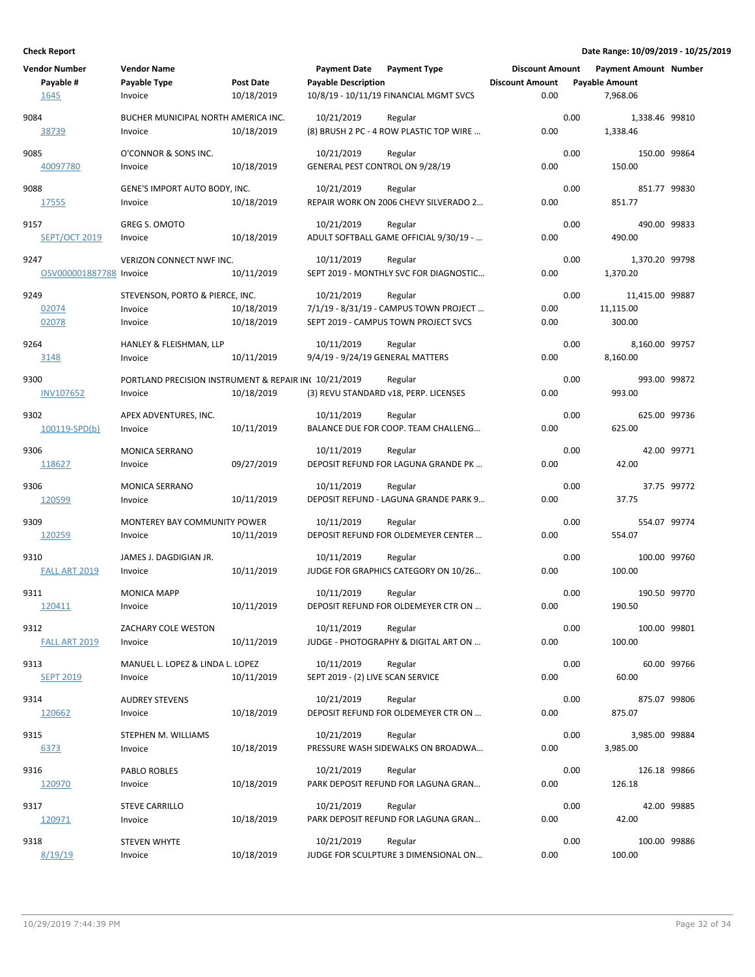| <b>Vendor Number</b><br>Payable #<br>1645 | <b>Vendor Name</b><br>Payable Type<br>Invoice                   | <b>Post Date</b><br>10/18/2019 | <b>Payment Date</b><br><b>Payable Description</b> | <b>Payment Type</b><br>10/8/19 - 10/11/19 FINANCIAL MGMT SVCS                             | <b>Discount Amount</b><br><b>Discount Amount</b><br>0.00 |      | <b>Payment Amount Number</b><br><b>Payable Amount</b><br>7,968.06 |             |
|-------------------------------------------|-----------------------------------------------------------------|--------------------------------|---------------------------------------------------|-------------------------------------------------------------------------------------------|----------------------------------------------------------|------|-------------------------------------------------------------------|-------------|
| 9084<br><u>38739</u>                      | BUCHER MUNICIPAL NORTH AMERICA INC.<br>Invoice                  | 10/18/2019                     | 10/21/2019                                        | Regular<br>(8) BRUSH 2 PC - 4 ROW PLASTIC TOP WIRE                                        | 0.00                                                     | 0.00 | 1,338.46 99810<br>1,338.46                                        |             |
| 9085<br>40097780                          | O'CONNOR & SONS INC.<br>Invoice                                 | 10/18/2019                     | 10/21/2019<br>GENERAL PEST CONTROL ON 9/28/19     | Regular                                                                                   | 0.00                                                     | 0.00 | 150.00 99864<br>150.00                                            |             |
| 9088<br>17555                             | GENE'S IMPORT AUTO BODY, INC.<br>Invoice                        | 10/18/2019                     | 10/21/2019                                        | Regular<br>REPAIR WORK ON 2006 CHEVY SILVERADO 2                                          | 0.00                                                     | 0.00 | 851.77 99830<br>851.77                                            |             |
| 9157<br><b>SEPT/OCT 2019</b>              | GREG S. OMOTO<br>Invoice                                        | 10/18/2019                     | 10/21/2019                                        | Regular<br>ADULT SOFTBALL GAME OFFICIAL 9/30/19 -                                         | 0.00                                                     | 0.00 | 490.00 99833<br>490.00                                            |             |
| 9247<br>OSV000001887788 Invoice           | VERIZON CONNECT NWF INC.                                        | 10/11/2019                     | 10/11/2019                                        | Regular<br>SEPT 2019 - MONTHLY SVC FOR DIAGNOSTIC                                         | 0.00                                                     | 0.00 | 1,370.20 99798<br>1,370.20                                        |             |
| 9249<br>02074<br>02078                    | STEVENSON, PORTO & PIERCE, INC.<br>Invoice<br>Invoice           | 10/18/2019<br>10/18/2019       | 10/21/2019                                        | Regular<br>7/1/19 - 8/31/19 - CAMPUS TOWN PROJECT<br>SEPT 2019 - CAMPUS TOWN PROJECT SVCS | 0.00<br>0.00                                             | 0.00 | 11,415.00 99887<br>11,115.00<br>300.00                            |             |
| 9264<br>3148                              | HANLEY & FLEISHMAN, LLP<br>Invoice                              | 10/11/2019                     | 10/11/2019<br>9/4/19 - 9/24/19 GENERAL MATTERS    | Regular                                                                                   | 0.00                                                     | 0.00 | 8,160.00 99757<br>8,160.00                                        |             |
| 9300<br><b>INV107652</b>                  | PORTLAND PRECISION INSTRUMENT & REPAIR IN(10/21/2019<br>Invoice | 10/18/2019                     |                                                   | Regular<br>(3) REVU STANDARD v18, PERP. LICENSES                                          | 0.00                                                     | 0.00 | 993.00 99872<br>993.00                                            |             |
| 9302<br>100119-SPD(b)                     | APEX ADVENTURES, INC.<br>Invoice                                | 10/11/2019                     | 10/11/2019                                        | Regular<br>BALANCE DUE FOR COOP. TEAM CHALLENG                                            | 0.00                                                     | 0.00 | 625.00 99736<br>625.00                                            |             |
| 9306<br>118627                            | <b>MONICA SERRANO</b><br>Invoice                                | 09/27/2019                     | 10/11/2019                                        | Regular<br>DEPOSIT REFUND FOR LAGUNA GRANDE PK                                            | 0.00                                                     | 0.00 | 42.00                                                             | 42.00 99771 |
| 9306<br>120599                            | <b>MONICA SERRANO</b><br>Invoice                                | 10/11/2019                     | 10/11/2019                                        | Regular<br>DEPOSIT REFUND - LAGUNA GRANDE PARK 9                                          | 0.00                                                     | 0.00 | 37.75                                                             | 37.75 99772 |
| 9309<br>120259                            | MONTEREY BAY COMMUNITY POWER<br>Invoice                         | 10/11/2019                     | 10/11/2019                                        | Regular<br>DEPOSIT REFUND FOR OLDEMEYER CENTER                                            | 0.00                                                     | 0.00 | 554.07 99774<br>554.07                                            |             |
| 9310<br>FALL ART 2019                     | JAMES J. DAGDIGIAN JR.<br>Invoice                               | 10/11/2019                     | 10/11/2019                                        | Regular<br>JUDGE FOR GRAPHICS CATEGORY ON 10/26                                           | 0.00                                                     | 0.00 | 100.00 99760<br>100.00                                            |             |
| 9311<br>120411                            | <b>MONICA MAPP</b><br>Invoice                                   | 10/11/2019                     | 10/11/2019                                        | Regular<br>DEPOSIT REFUND FOR OLDEMEYER CTR ON                                            | 0.00                                                     | 0.00 | 190.50 99770<br>190.50                                            |             |
| 9312<br>FALL ART 2019                     | ZACHARY COLE WESTON<br>Invoice                                  | 10/11/2019                     | 10/11/2019                                        | Regular<br>JUDGE - PHOTOGRAPHY & DIGITAL ART ON                                           | 0.00                                                     | 0.00 | 100.00 99801<br>100.00                                            |             |
| 9313<br><b>SEPT 2019</b>                  | MANUEL L. LOPEZ & LINDA L. LOPEZ<br>Invoice                     | 10/11/2019                     | 10/11/2019<br>SEPT 2019 - (2) LIVE SCAN SERVICE   | Regular                                                                                   | 0.00                                                     | 0.00 | 60.00                                                             | 60.00 99766 |
| 9314<br>120662                            | <b>AUDREY STEVENS</b><br>Invoice                                | 10/18/2019                     | 10/21/2019                                        | Regular<br>DEPOSIT REFUND FOR OLDEMEYER CTR ON                                            | 0.00                                                     | 0.00 | 875.07 99806<br>875.07                                            |             |
| 9315<br>6373                              | STEPHEN M. WILLIAMS<br>Invoice                                  | 10/18/2019                     | 10/21/2019                                        | Regular<br>PRESSURE WASH SIDEWALKS ON BROADWA                                             | 0.00                                                     | 0.00 | 3,985.00 99884<br>3,985.00                                        |             |
| 9316<br>120970                            | PABLO ROBLES<br>Invoice                                         | 10/18/2019                     | 10/21/2019                                        | Regular<br>PARK DEPOSIT REFUND FOR LAGUNA GRAN                                            | 0.00                                                     | 0.00 | 126.18 99866<br>126.18                                            |             |
| 9317<br>120971                            | <b>STEVE CARRILLO</b><br>Invoice                                | 10/18/2019                     | 10/21/2019                                        | Regular<br>PARK DEPOSIT REFUND FOR LAGUNA GRAN                                            | 0.00                                                     | 0.00 | 42.00                                                             | 42.00 99885 |
| 9318<br>8/19/19                           | <b>STEVEN WHYTE</b><br>Invoice                                  | 10/18/2019                     | 10/21/2019                                        | Regular<br>JUDGE FOR SCULPTURE 3 DIMENSIONAL ON                                           | 0.00                                                     | 0.00 | 100.00 99886<br>100.00                                            |             |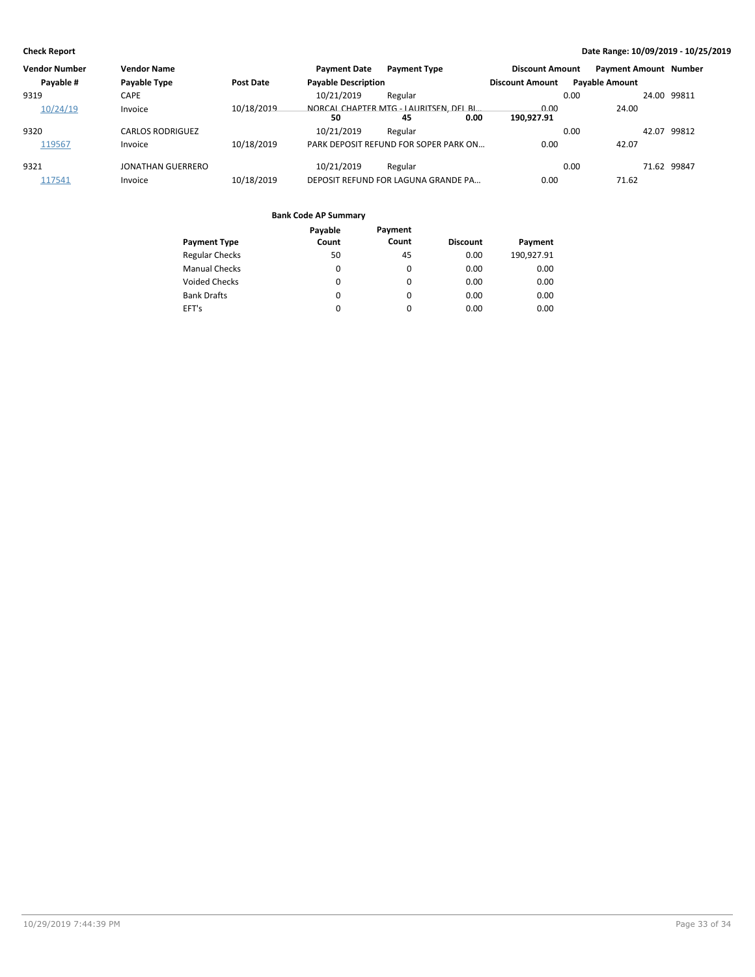| <b>Vendor Number</b> | <b>Vendor Name</b>       |                  | <b>Payment Date</b>        | <b>Payment Type</b>                          | <b>Discount Amount</b>     |      | <b>Payment Amount Number</b> |             |
|----------------------|--------------------------|------------------|----------------------------|----------------------------------------------|----------------------------|------|------------------------------|-------------|
| Payable #            | Payable Type             | <b>Post Date</b> | <b>Payable Description</b> |                                              | <b>Discount Amount</b>     |      | <b>Payable Amount</b>        |             |
| 9319                 | CAPE                     |                  | 10/21/2019                 | Regular                                      |                            | 0.00 |                              | 24.00 99811 |
| 10/24/19             | Invoice                  | 10/18/2019       | 50                         | NORCAL CHAPTER MTG - LAURITSEN, DEL BI<br>45 | 0.00<br>0.00<br>190.927.91 |      | 24.00                        |             |
| 9320                 | <b>CARLOS RODRIGUEZ</b>  |                  | 10/21/2019                 | Regular                                      |                            | 0.00 | 42.07                        | 99812       |
| 119567               | Invoice                  | 10/18/2019       |                            | PARK DEPOSIT REFUND FOR SOPER PARK ON        | 0.00                       |      | 42.07                        |             |
| 9321                 | <b>JONATHAN GUERRERO</b> |                  | 10/21/2019                 | Regular                                      |                            | 0.00 |                              | 71.62 99847 |
| 117541               | Invoice                  | 10/18/2019       |                            | DEPOSIT REFUND FOR LAGUNA GRANDE PA          | 0.00                       |      | 71.62                        |             |

|                       | Payable  | Payment |                 |            |
|-----------------------|----------|---------|-----------------|------------|
| <b>Payment Type</b>   | Count    | Count   | <b>Discount</b> | Payment    |
| <b>Regular Checks</b> | 50       | 45      | 0.00            | 190,927.91 |
| <b>Manual Checks</b>  | $\Omega$ | 0       | 0.00            | 0.00       |
| Voided Checks         | 0        | 0       | 0.00            | 0.00       |
| <b>Bank Drafts</b>    | 0        | 0       | 0.00            | 0.00       |
| EFT's                 | 0        | 0       | 0.00            | 0.00       |